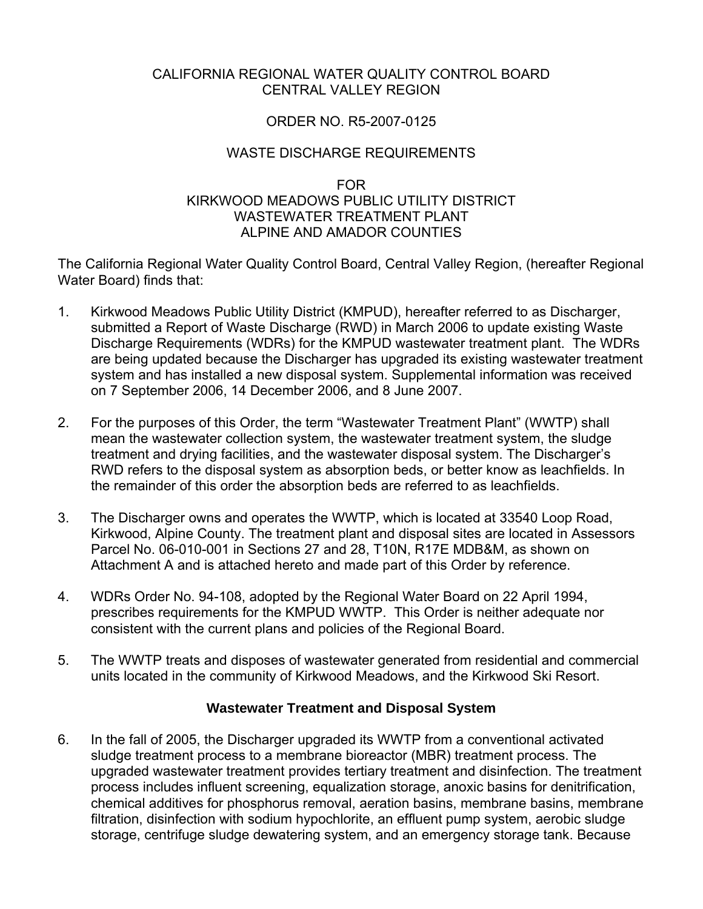#### CALIFORNIA REGIONAL WATER QUALITY CONTROL BOARD CENTRAL VALLEY REGION

# ORDER NO. R5-2007-0125

# WASTE DISCHARGE REQUIREMENTS

#### FOR KIRKWOOD MEADOWS PUBLIC UTILITY DISTRICT WASTEWATER TREATMENT PI ANT ALPINE AND AMADOR COUNTIES

The California Regional Water Quality Control Board, Central Valley Region, (hereafter Regional Water Board) finds that:

- 1. Kirkwood Meadows Public Utility District (KMPUD), hereafter referred to as Discharger, submitted a Report of Waste Discharge (RWD) in March 2006 to update existing Waste Discharge Requirements (WDRs) for the KMPUD wastewater treatment plant. The WDRs are being updated because the Discharger has upgraded its existing wastewater treatment system and has installed a new disposal system. Supplemental information was received on 7 September 2006, 14 December 2006, and 8 June 2007.
- 2. For the purposes of this Order, the term "Wastewater Treatment Plant" (WWTP) shall mean the wastewater collection system, the wastewater treatment system, the sludge treatment and drying facilities, and the wastewater disposal system. The Discharger's RWD refers to the disposal system as absorption beds, or better know as leachfields. In the remainder of this order the absorption beds are referred to as leachfields.
- 3. The Discharger owns and operates the WWTP, which is located at 33540 Loop Road, Kirkwood, Alpine County. The treatment plant and disposal sites are located in Assessors Parcel No. 06-010-001 in Sections 27 and 28, T10N, R17E MDB&M, as shown on Attachment A and is attached hereto and made part of this Order by reference.
- 4. WDRs Order No. 94-108, adopted by the Regional Water Board on 22 April 1994, prescribes requirements for the KMPUD WWTP. This Order is neither adequate nor consistent with the current plans and policies of the Regional Board.
- 5. The WWTP treats and disposes of wastewater generated from residential and commercial units located in the community of Kirkwood Meadows, and the Kirkwood Ski Resort.

### **Wastewater Treatment and Disposal System**

6. In the fall of 2005, the Discharger upgraded its WWTP from a conventional activated sludge treatment process to a membrane bioreactor (MBR) treatment process. The upgraded wastewater treatment provides tertiary treatment and disinfection. The treatment process includes influent screening, equalization storage, anoxic basins for denitrification, chemical additives for phosphorus removal, aeration basins, membrane basins, membrane filtration, disinfection with sodium hypochlorite, an effluent pump system, aerobic sludge storage, centrifuge sludge dewatering system, and an emergency storage tank. Because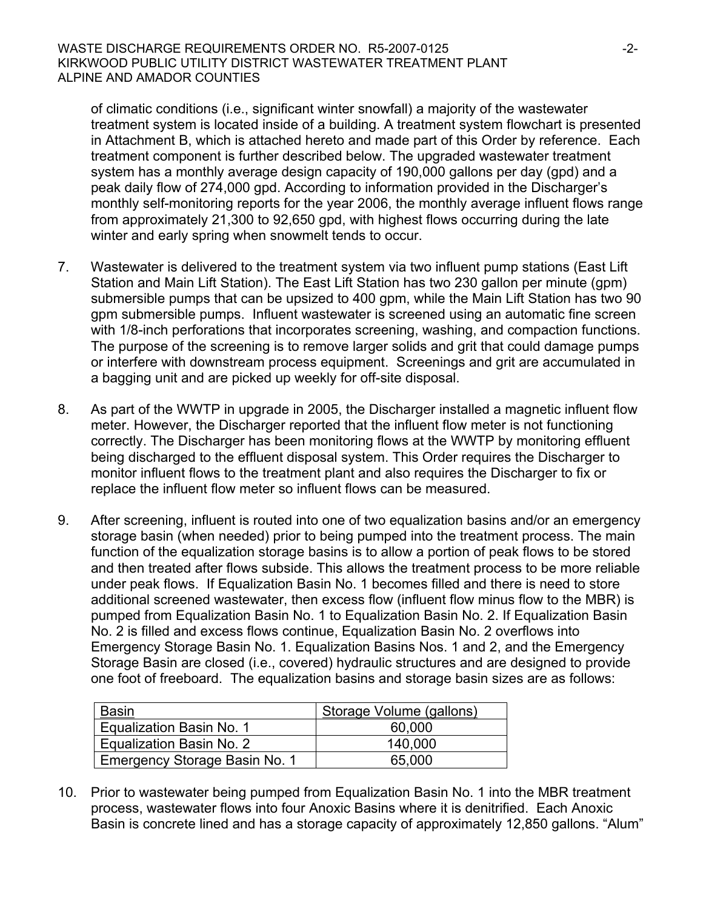of climatic conditions (i.e., significant winter snowfall) a majority of the wastewater treatment system is located inside of a building. A treatment system flowchart is presented in Attachment B, which is attached hereto and made part of this Order by reference. Each treatment component is further described below. The upgraded wastewater treatment system has a monthly average design capacity of 190,000 gallons per day (gpd) and a peak daily flow of 274,000 gpd. According to information provided in the Discharger's monthly self-monitoring reports for the year 2006, the monthly average influent flows range from approximately 21,300 to 92,650 gpd, with highest flows occurring during the late winter and early spring when snowmelt tends to occur.

- 7. Wastewater is delivered to the treatment system via two influent pump stations (East Lift Station and Main Lift Station). The East Lift Station has two 230 gallon per minute (gpm) submersible pumps that can be upsized to 400 gpm, while the Main Lift Station has two 90 gpm submersible pumps. Influent wastewater is screened using an automatic fine screen with 1/8-inch perforations that incorporates screening, washing, and compaction functions. The purpose of the screening is to remove larger solids and grit that could damage pumps or interfere with downstream process equipment. Screenings and grit are accumulated in a bagging unit and are picked up weekly for off-site disposal.
- 8. As part of the WWTP in upgrade in 2005, the Discharger installed a magnetic influent flow meter. However, the Discharger reported that the influent flow meter is not functioning correctly. The Discharger has been monitoring flows at the WWTP by monitoring effluent being discharged to the effluent disposal system. This Order requires the Discharger to monitor influent flows to the treatment plant and also requires the Discharger to fix or replace the influent flow meter so influent flows can be measured.
- 9. After screening, influent is routed into one of two equalization basins and/or an emergency storage basin (when needed) prior to being pumped into the treatment process. The main function of the equalization storage basins is to allow a portion of peak flows to be stored and then treated after flows subside. This allows the treatment process to be more reliable under peak flows. If Equalization Basin No. 1 becomes filled and there is need to store additional screened wastewater, then excess flow (influent flow minus flow to the MBR) is pumped from Equalization Basin No. 1 to Equalization Basin No. 2. If Equalization Basin No. 2 is filled and excess flows continue, Equalization Basin No. 2 overflows into Emergency Storage Basin No. 1. Equalization Basins Nos. 1 and 2, and the Emergency Storage Basin are closed (i.e., covered) hydraulic structures and are designed to provide one foot of freeboard. The equalization basins and storage basin sizes are as follows:

| <b>Basin</b>                  | Storage Volume (gallons) |
|-------------------------------|--------------------------|
| Equalization Basin No. 1      | 60,000                   |
| Equalization Basin No. 2      | 140,000                  |
| Emergency Storage Basin No. 1 | 65,000                   |

10. Prior to wastewater being pumped from Equalization Basin No. 1 into the MBR treatment process, wastewater flows into four Anoxic Basins where it is denitrified. Each Anoxic Basin is concrete lined and has a storage capacity of approximately 12,850 gallons. "Alum"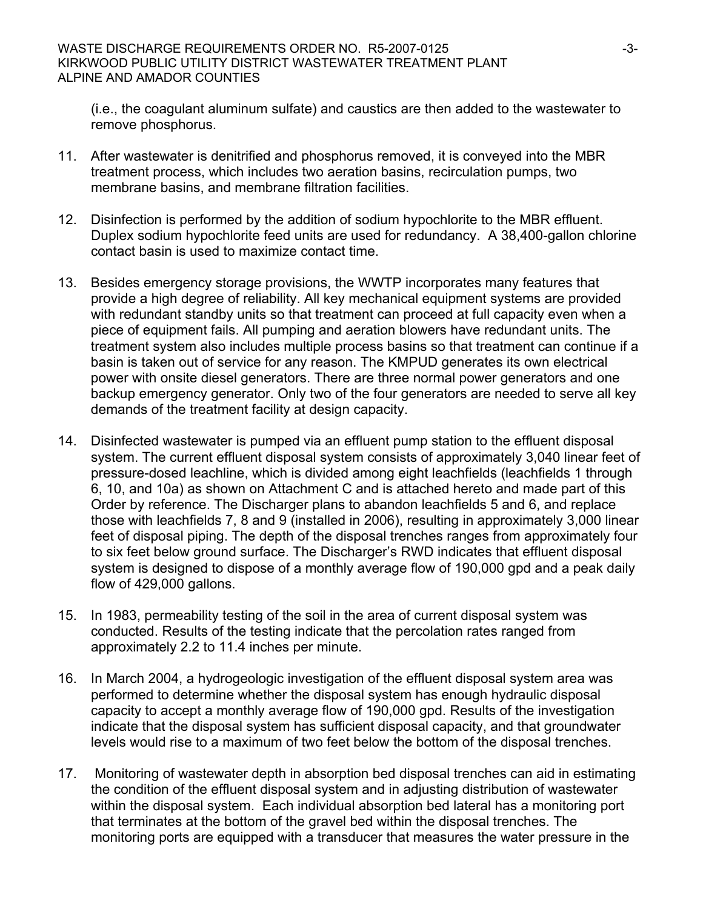(i.e., the coagulant aluminum sulfate) and caustics are then added to the wastewater to remove phosphorus.

- 11. After wastewater is denitrified and phosphorus removed, it is conveyed into the MBR treatment process, which includes two aeration basins, recirculation pumps, two membrane basins, and membrane filtration facilities.
- 12. Disinfection is performed by the addition of sodium hypochlorite to the MBR effluent. Duplex sodium hypochlorite feed units are used for redundancy. A 38,400-gallon chlorine contact basin is used to maximize contact time.
- 13. Besides emergency storage provisions, the WWTP incorporates many features that provide a high degree of reliability. All key mechanical equipment systems are provided with redundant standby units so that treatment can proceed at full capacity even when a piece of equipment fails. All pumping and aeration blowers have redundant units. The treatment system also includes multiple process basins so that treatment can continue if a basin is taken out of service for any reason. The KMPUD generates its own electrical power with onsite diesel generators. There are three normal power generators and one backup emergency generator. Only two of the four generators are needed to serve all key demands of the treatment facility at design capacity.
- 14. Disinfected wastewater is pumped via an effluent pump station to the effluent disposal system. The current effluent disposal system consists of approximately 3,040 linear feet of pressure-dosed leachline, which is divided among eight leachfields (leachfields 1 through 6, 10, and 10a) as shown on Attachment C and is attached hereto and made part of this Order by reference. The Discharger plans to abandon leachfields 5 and 6, and replace those with leachfields 7, 8 and 9 (installed in 2006), resulting in approximately 3,000 linear feet of disposal piping. The depth of the disposal trenches ranges from approximately four to six feet below ground surface. The Discharger's RWD indicates that effluent disposal system is designed to dispose of a monthly average flow of 190,000 gpd and a peak daily flow of 429,000 gallons.
- 15. In 1983, permeability testing of the soil in the area of current disposal system was conducted. Results of the testing indicate that the percolation rates ranged from approximately 2.2 to 11.4 inches per minute.
- 16. In March 2004, a hydrogeologic investigation of the effluent disposal system area was performed to determine whether the disposal system has enough hydraulic disposal capacity to accept a monthly average flow of 190,000 gpd. Results of the investigation indicate that the disposal system has sufficient disposal capacity, and that groundwater levels would rise to a maximum of two feet below the bottom of the disposal trenches.
- 17. Monitoring of wastewater depth in absorption bed disposal trenches can aid in estimating the condition of the effluent disposal system and in adjusting distribution of wastewater within the disposal system. Each individual absorption bed lateral has a monitoring port that terminates at the bottom of the gravel bed within the disposal trenches. The monitoring ports are equipped with a transducer that measures the water pressure in the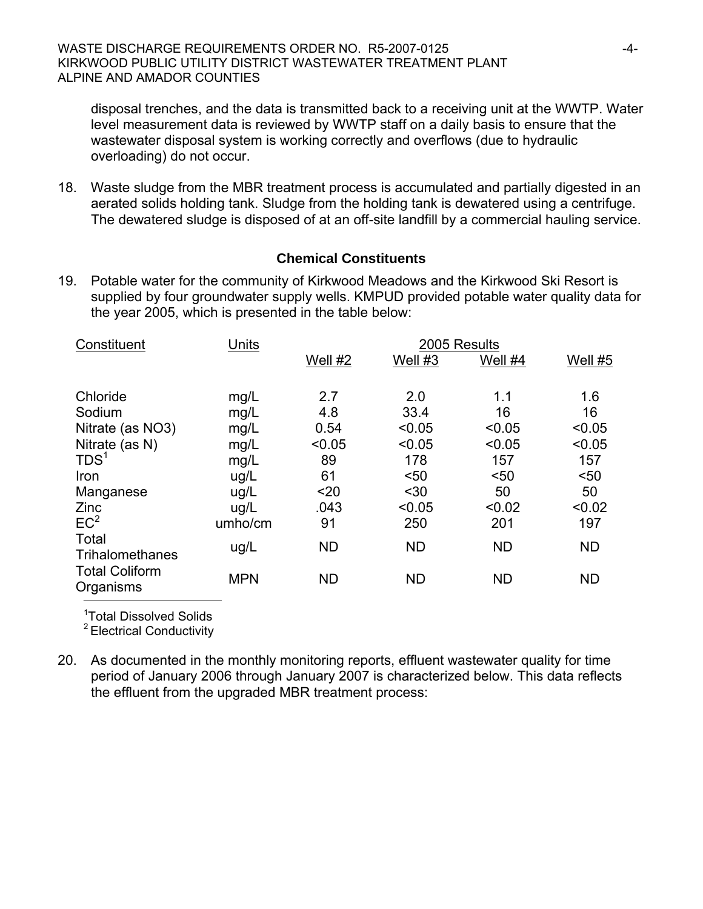disposal trenches, and the data is transmitted back to a receiving unit at the WWTP. Water level measurement data is reviewed by WWTP staff on a daily basis to ensure that the wastewater disposal system is working correctly and overflows (due to hydraulic overloading) do not occur.

18. Waste sludge from the MBR treatment process is accumulated and partially digested in an aerated solids holding tank. Sludge from the holding tank is dewatered using a centrifuge. The dewatered sludge is disposed of at an off-site landfill by a commercial hauling service.

# **Chemical Constituents**

19. Potable water for the community of Kirkwood Meadows and the Kirkwood Ski Resort is supplied by four groundwater supply wells. KMPUD provided potable water quality data for the year 2005, which is presented in the table below:

| Constituent                        | Units      | 2005 Results |           |           |           |
|------------------------------------|------------|--------------|-----------|-----------|-----------|
|                                    |            | Well #2      | Well $#3$ | Well #4   | Well #5   |
| Chloride                           | mg/L       | 2.7          | 2.0       | 1.1       | 1.6       |
| Sodium                             | mg/L       | 4.8          | 33.4      | 16        | 16        |
| Nitrate (as NO3)                   | mg/L       | 0.54         | < 0.05    | < 0.05    | < 0.05    |
| Nitrate (as N)                     | mg/L       | < 0.05       | < 0.05    | < 0.05    | < 0.05    |
| TDS <sup>1</sup>                   | mg/L       | 89           | 178       | 157       | 157       |
| Iron                               | ug/L       | 61           | < 50      | < 50      | $50$      |
| Manganese                          | ug/L       | $20$         | $30$      | 50        | 50        |
| Zinc                               | ug/L       | .043         | < 0.05    | < 0.02    | < 0.02    |
| EC <sup>2</sup>                    | umho/cm    | 91           | 250       | 201       | 197       |
| Total<br>Trihalomethanes           | ug/L       | <b>ND</b>    | <b>ND</b> | <b>ND</b> | <b>ND</b> |
| <b>Total Coliform</b><br>Organisms | <b>MPN</b> | <b>ND</b>    | <b>ND</b> | <b>ND</b> | <b>ND</b> |

<sup>1</sup>Total Dissolved Solids

2 Electrical Conductivity

20. As documented in the monthly monitoring reports, effluent wastewater quality for time period of January 2006 through January 2007 is characterized below. This data reflects the effluent from the upgraded MBR treatment process: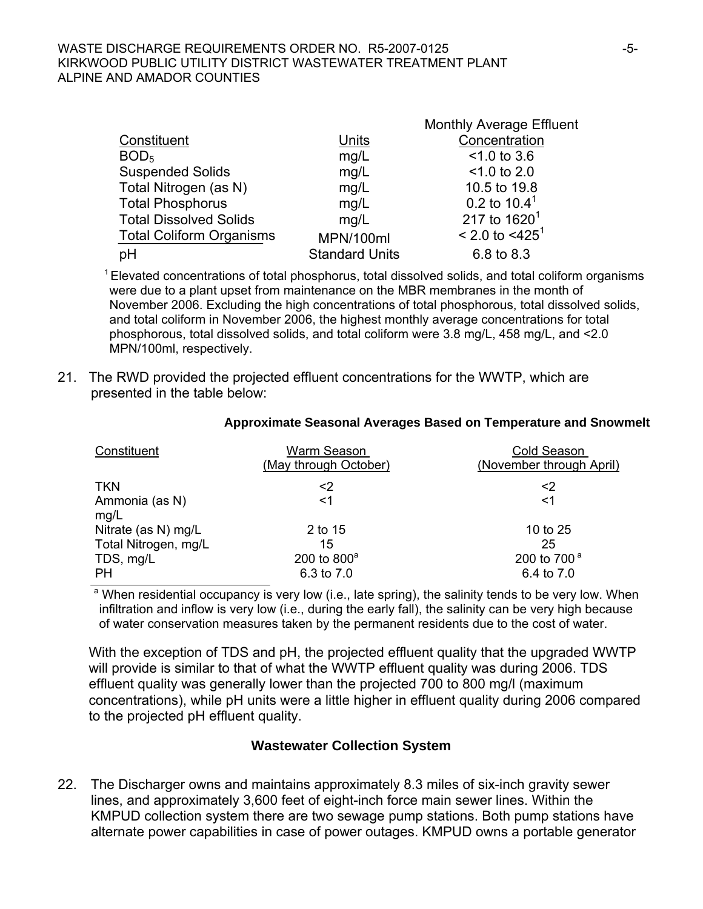#### WASTE DISCHARGE REQUIREMENTS ORDER NO. R5-2007-0125 KIRKWOOD PUBLIC UTILITY DISTRICT WASTEWATER TREATMENT PLANT ALPINE AND AMADOR COUNTIES

|                                 |                       | <b>Monthly Average Effluent</b> |
|---------------------------------|-----------------------|---------------------------------|
| Constituent                     | Units                 | Concentration                   |
| BOD <sub>5</sub>                | mg/L                  | $< 1.0$ to 3.6                  |
| <b>Suspended Solids</b>         | mg/L                  | $< 1.0$ to 2.0                  |
| Total Nitrogen (as N)           | mg/L                  | 10.5 to 19.8                    |
| <b>Total Phosphorus</b>         | mg/L                  | 0.2 to $10.4^1$                 |
| <b>Total Dissolved Solids</b>   | mq/L                  | 217 to $1620^1$                 |
| <b>Total Coliform Organisms</b> | MPN/100ml             | $< 2.0$ to $< 4251$             |
| pH                              | <b>Standard Units</b> | 6.8 to 8.3                      |

 $1$  Elevated concentrations of total phosphorus, total dissolved solids, and total coliform organisms were due to a plant upset from maintenance on the MBR membranes in the month of November 2006. Excluding the high concentrations of total phosphorous, total dissolved solids, and total coliform in November 2006, the highest monthly average concentrations for total phosphorous, total dissolved solids, and total coliform were 3.8 mg/L, 458 mg/L, and <2.0 MPN/100ml, respectively.

21. The RWD provided the projected effluent concentrations for the WWTP, which are presented in the table below:

| Constituent            | Warm Season<br>(May through October) | Cold Season<br>(November through April) |
|------------------------|--------------------------------------|-----------------------------------------|
| <b>TKN</b>             | <2                                   | <2                                      |
| Ammonia (as N)<br>mg/L | $<$ 1                                | $<$ 1                                   |
| Nitrate (as N) mg/L    | 2 to 15                              | 10 to 25                                |
| Total Nitrogen, mg/L   | 15                                   | 25                                      |
| TDS, mg/L              | 200 to $800^{\circ}$                 | 200 to 700 <sup>a</sup>                 |
| <b>PH</b>              | 6.3 to 7.0                           | 6.4 to 7.0                              |

#### **Approximate Seasonal Averages Based on Temperature and Snowmelt**

<sup>a</sup> When residential occupancy is very low (i.e., late spring), the salinity tends to be very low. When infiltration and inflow is very low (i.e., during the early fall), the salinity can be very high because of water conservation measures taken by the permanent residents due to the cost of water.

 With the exception of TDS and pH, the projected effluent quality that the upgraded WWTP will provide is similar to that of what the WWTP effluent quality was during 2006. TDS effluent quality was generally lower than the projected 700 to 800 mg/l (maximum concentrations), while pH units were a little higher in effluent quality during 2006 compared to the projected pH effluent quality.

#### **Wastewater Collection System**

22. The Discharger owns and maintains approximately 8.3 miles of six-inch gravity sewer lines, and approximately 3,600 feet of eight-inch force main sewer lines. Within the KMPUD collection system there are two sewage pump stations. Both pump stations have alternate power capabilities in case of power outages. KMPUD owns a portable generator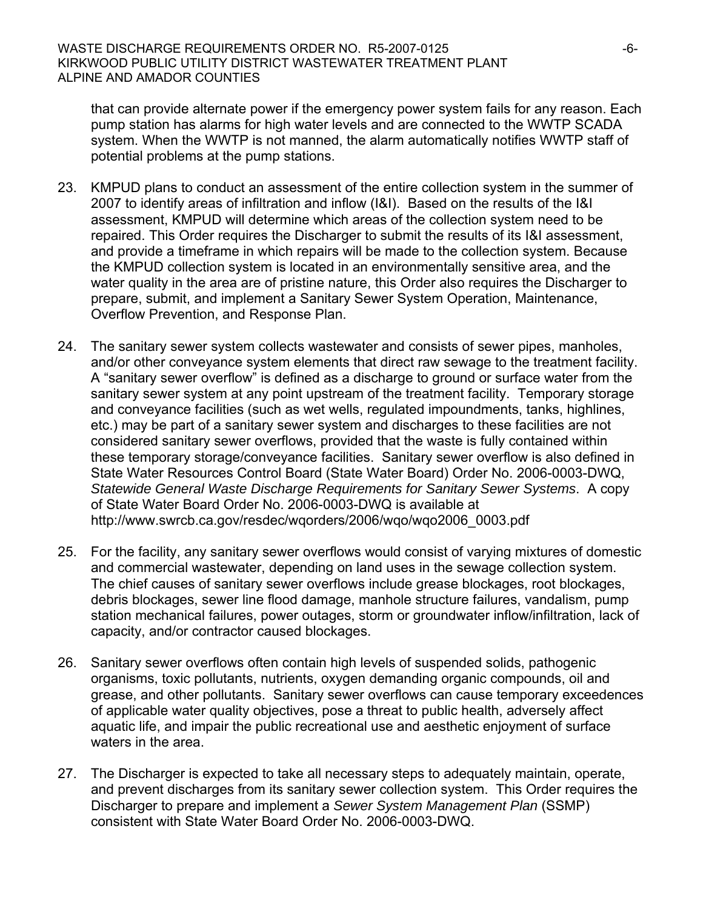that can provide alternate power if the emergency power system fails for any reason. Each pump station has alarms for high water levels and are connected to the WWTP SCADA system. When the WWTP is not manned, the alarm automatically notifies WWTP staff of potential problems at the pump stations.

- 23. KMPUD plans to conduct an assessment of the entire collection system in the summer of 2007 to identify areas of infiltration and inflow (I&I). Based on the results of the I&I assessment, KMPUD will determine which areas of the collection system need to be repaired. This Order requires the Discharger to submit the results of its I&I assessment, and provide a timeframe in which repairs will be made to the collection system. Because the KMPUD collection system is located in an environmentally sensitive area, and the water quality in the area are of pristine nature, this Order also requires the Discharger to prepare, submit, and implement a Sanitary Sewer System Operation, Maintenance, Overflow Prevention, and Response Plan.
- 24. The sanitary sewer system collects wastewater and consists of sewer pipes, manholes, and/or other conveyance system elements that direct raw sewage to the treatment facility. A "sanitary sewer overflow" is defined as a discharge to ground or surface water from the sanitary sewer system at any point upstream of the treatment facility. Temporary storage and conveyance facilities (such as wet wells, regulated impoundments, tanks, highlines, etc.) may be part of a sanitary sewer system and discharges to these facilities are not considered sanitary sewer overflows, provided that the waste is fully contained within these temporary storage/conveyance facilities. Sanitary sewer overflow is also defined in State Water Resources Control Board (State Water Board) Order No. 2006-0003-DWQ, *Statewide General Waste Discharge Requirements for Sanitary Sewer Systems*. A copy of State Water Board Order No. 2006-0003-DWQ is available at http://www.swrcb.ca.gov/resdec/wqorders/2006/wqo/wqo2006\_0003.pdf
- 25. For the facility, any sanitary sewer overflows would consist of varying mixtures of domestic and commercial wastewater, depending on land uses in the sewage collection system. The chief causes of sanitary sewer overflows include grease blockages, root blockages, debris blockages, sewer line flood damage, manhole structure failures, vandalism, pump station mechanical failures, power outages, storm or groundwater inflow/infiltration, lack of capacity, and/or contractor caused blockages.
- 26. Sanitary sewer overflows often contain high levels of suspended solids, pathogenic organisms, toxic pollutants, nutrients, oxygen demanding organic compounds, oil and grease, and other pollutants. Sanitary sewer overflows can cause temporary exceedences of applicable water quality objectives, pose a threat to public health, adversely affect aquatic life, and impair the public recreational use and aesthetic enjoyment of surface waters in the area.
- 27. The Discharger is expected to take all necessary steps to adequately maintain, operate, and prevent discharges from its sanitary sewer collection system. This Order requires the Discharger to prepare and implement a *Sewer System Management Plan* (SSMP) consistent with State Water Board Order No. 2006-0003-DWQ.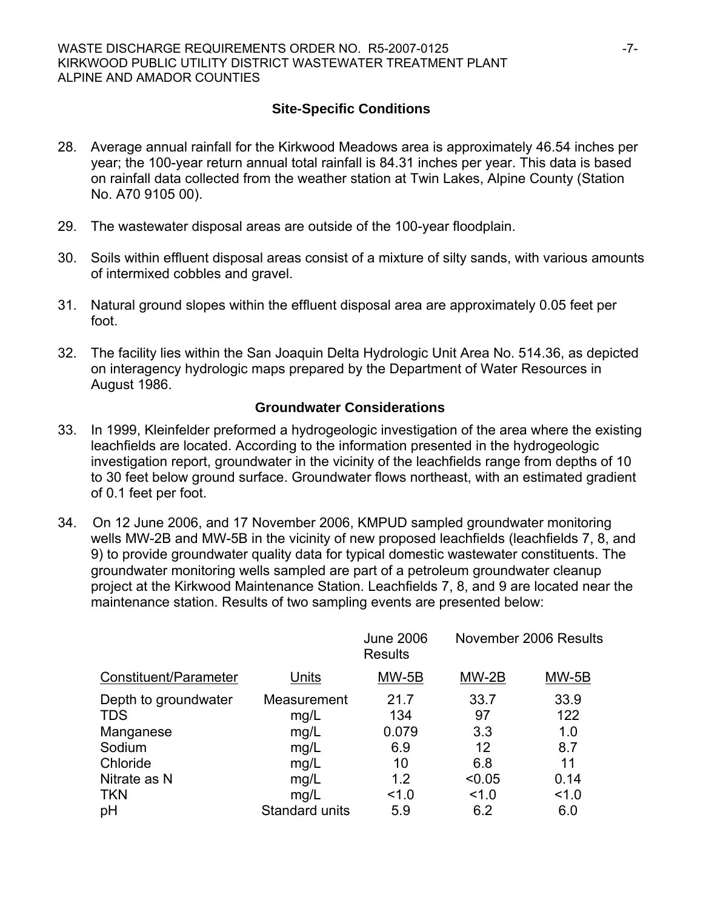# **Site-Specific Conditions**

- 28. Average annual rainfall for the Kirkwood Meadows area is approximately 46.54 inches per year; the 100-year return annual total rainfall is 84.31 inches per year. This data is based on rainfall data collected from the weather station at Twin Lakes, Alpine County (Station No. A70 9105 00).
- 29. The wastewater disposal areas are outside of the 100-year floodplain.
- 30. Soils within effluent disposal areas consist of a mixture of silty sands, with various amounts of intermixed cobbles and gravel.
- 31. Natural ground slopes within the effluent disposal area are approximately 0.05 feet per foot.
- 32. The facility lies within the San Joaquin Delta Hydrologic Unit Area No. 514.36, as depicted on interagency hydrologic maps prepared by the Department of Water Resources in August 1986.

# **Groundwater Considerations**

- 33. In 1999, Kleinfelder preformed a hydrogeologic investigation of the area where the existing leachfields are located. According to the information presented in the hydrogeologic investigation report, groundwater in the vicinity of the leachfields range from depths of 10 to 30 feet below ground surface. Groundwater flows northeast, with an estimated gradient of 0.1 feet per foot.
- 34. On 12 June 2006, and 17 November 2006, KMPUD sampled groundwater monitoring wells MW-2B and MW-5B in the vicinity of new proposed leachfields (leachfields 7, 8, and 9) to provide groundwater quality data for typical domestic wastewater constituents. The groundwater monitoring wells sampled are part of a petroleum groundwater cleanup project at the Kirkwood Maintenance Station. Leachfields 7, 8, and 9 are located near the maintenance station. Results of two sampling events are presented below:

|                                    |                     | <b>June 2006</b><br><b>Results</b> |            | November 2006 Results |
|------------------------------------|---------------------|------------------------------------|------------|-----------------------|
| Constituent/Parameter              | Units               | MW-5B                              | $MW-2B$    | MW-5B                 |
| Depth to groundwater<br><b>TDS</b> | Measurement<br>mg/L | 21.7<br>134                        | 33.7<br>97 | 33.9<br>122           |
| Manganese                          | mg/L                | 0.079                              | 3.3        | 1.0                   |
| Sodium<br>Chloride                 | mg/L<br>mg/L        | 6.9<br>10                          | 12<br>6.8  | 8.7<br>11             |
| Nitrate as N                       | mg/L                | 1.2                                | < 0.05     | 0.14                  |
| <b>TKN</b>                         | mg/L                | 1.0                                | 1.0        | 1.0                   |
| pH                                 | Standard units      | 5.9                                | 6.2        | 6.0                   |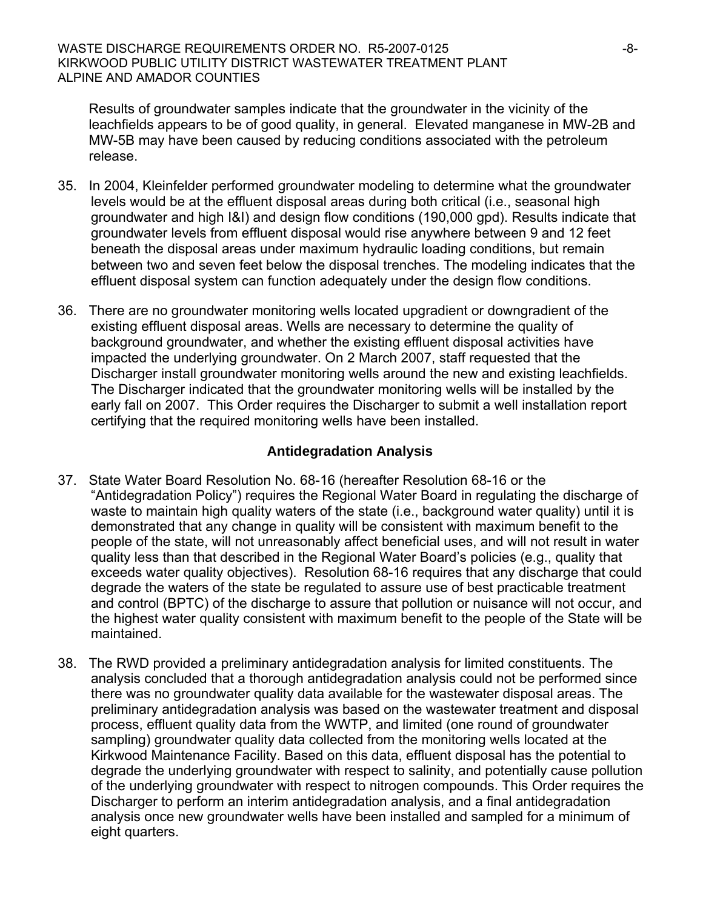Results of groundwater samples indicate that the groundwater in the vicinity of the leachfields appears to be of good quality, in general. Elevated manganese in MW-2B and MW-5B may have been caused by reducing conditions associated with the petroleum release.

- 35. In 2004, Kleinfelder performed groundwater modeling to determine what the groundwater levels would be at the effluent disposal areas during both critical (i.e., seasonal high groundwater and high I&I) and design flow conditions (190,000 gpd). Results indicate that groundwater levels from effluent disposal would rise anywhere between 9 and 12 feet beneath the disposal areas under maximum hydraulic loading conditions, but remain between two and seven feet below the disposal trenches. The modeling indicates that the effluent disposal system can function adequately under the design flow conditions.
- 36. There are no groundwater monitoring wells located upgradient or downgradient of the existing effluent disposal areas. Wells are necessary to determine the quality of background groundwater, and whether the existing effluent disposal activities have impacted the underlying groundwater. On 2 March 2007, staff requested that the Discharger install groundwater monitoring wells around the new and existing leachfields. The Discharger indicated that the groundwater monitoring wells will be installed by the early fall on 2007. This Order requires the Discharger to submit a well installation report certifying that the required monitoring wells have been installed.

# **Antidegradation Analysis**

- 37. State Water Board Resolution No. 68-16 (hereafter Resolution 68-16 or the "Antidegradation Policy") requires the Regional Water Board in regulating the discharge of waste to maintain high quality waters of the state (i.e., background water quality) until it is demonstrated that any change in quality will be consistent with maximum benefit to the people of the state, will not unreasonably affect beneficial uses, and will not result in water quality less than that described in the Regional Water Board's policies (e.g., quality that exceeds water quality objectives). Resolution 68-16 requires that any discharge that could degrade the waters of the state be regulated to assure use of best practicable treatment and control (BPTC) of the discharge to assure that pollution or nuisance will not occur, and the highest water quality consistent with maximum benefit to the people of the State will be maintained.
- 38. The RWD provided a preliminary antidegradation analysis for limited constituents. The analysis concluded that a thorough antidegradation analysis could not be performed since there was no groundwater quality data available for the wastewater disposal areas. The preliminary antidegradation analysis was based on the wastewater treatment and disposal process, effluent quality data from the WWTP, and limited (one round of groundwater sampling) groundwater quality data collected from the monitoring wells located at the Kirkwood Maintenance Facility. Based on this data, effluent disposal has the potential to degrade the underlying groundwater with respect to salinity, and potentially cause pollution of the underlying groundwater with respect to nitrogen compounds. This Order requires the Discharger to perform an interim antidegradation analysis, and a final antidegradation analysis once new groundwater wells have been installed and sampled for a minimum of eight quarters.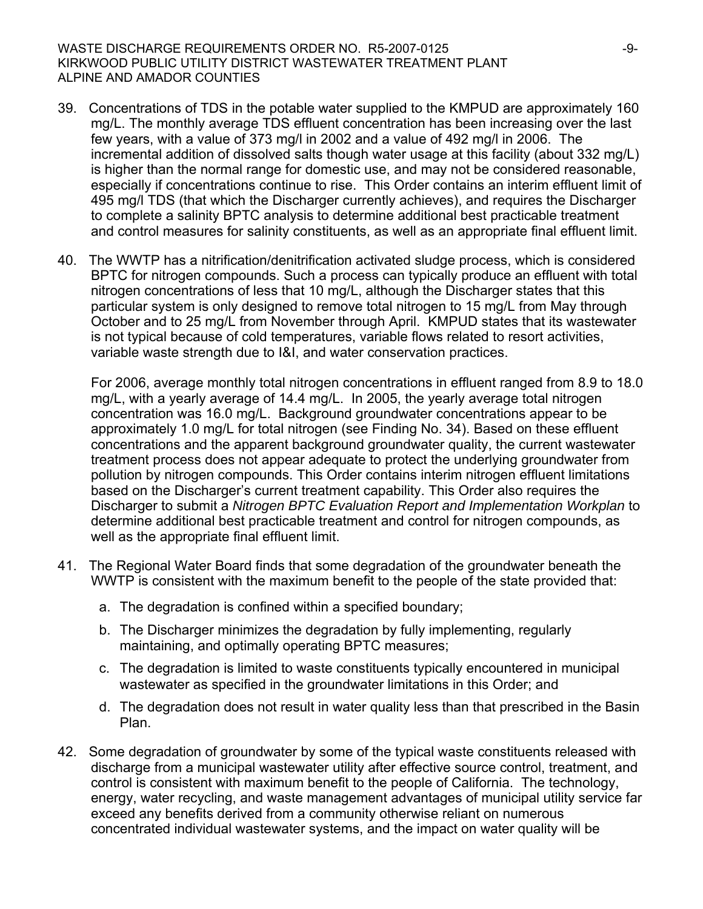#### WASTE DISCHARGE REQUIREMENTS ORDER NO. R5-2007-0125 KIRKWOOD PUBLIC UTILITY DISTRICT WASTEWATER TREATMENT PLANT ALPINE AND AMADOR COUNTIES

- 39. Concentrations of TDS in the potable water supplied to the KMPUD are approximately 160 mg/L. The monthly average TDS effluent concentration has been increasing over the last few years, with a value of 373 mg/l in 2002 and a value of 492 mg/l in 2006. The incremental addition of dissolved salts though water usage at this facility (about 332 mg/L) is higher than the normal range for domestic use, and may not be considered reasonable, especially if concentrations continue to rise. This Order contains an interim effluent limit of 495 mg/l TDS (that which the Discharger currently achieves), and requires the Discharger to complete a salinity BPTC analysis to determine additional best practicable treatment and control measures for salinity constituents, as well as an appropriate final effluent limit.
- 40. The WWTP has a nitrification/denitrification activated sludge process, which is considered BPTC for nitrogen compounds. Such a process can typically produce an effluent with total nitrogen concentrations of less that 10 mg/L, although the Discharger states that this particular system is only designed to remove total nitrogen to 15 mg/L from May through October and to 25 mg/L from November through April. KMPUD states that its wastewater is not typical because of cold temperatures, variable flows related to resort activities, variable waste strength due to I&I, and water conservation practices.

For 2006, average monthly total nitrogen concentrations in effluent ranged from 8.9 to 18.0 mg/L, with a yearly average of 14.4 mg/L. In 2005, the yearly average total nitrogen concentration was 16.0 mg/L. Background groundwater concentrations appear to be approximately 1.0 mg/L for total nitrogen (see Finding No. 34). Based on these effluent concentrations and the apparent background groundwater quality, the current wastewater treatment process does not appear adequate to protect the underlying groundwater from pollution by nitrogen compounds. This Order contains interim nitrogen effluent limitations based on the Discharger's current treatment capability. This Order also requires the Discharger to submit a *Nitrogen BPTC Evaluation Report and Implementation Workplan* to determine additional best practicable treatment and control for nitrogen compounds, as well as the appropriate final effluent limit.

- 41. The Regional Water Board finds that some degradation of the groundwater beneath the WWTP is consistent with the maximum benefit to the people of the state provided that:
	- a. The degradation is confined within a specified boundary;
	- b. The Discharger minimizes the degradation by fully implementing, regularly maintaining, and optimally operating BPTC measures;
	- c. The degradation is limited to waste constituents typically encountered in municipal wastewater as specified in the groundwater limitations in this Order; and
	- d. The degradation does not result in water quality less than that prescribed in the Basin Plan.
- 42. Some degradation of groundwater by some of the typical waste constituents released with discharge from a municipal wastewater utility after effective source control, treatment, and control is consistent with maximum benefit to the people of California. The technology, energy, water recycling, and waste management advantages of municipal utility service far exceed any benefits derived from a community otherwise reliant on numerous concentrated individual wastewater systems, and the impact on water quality will be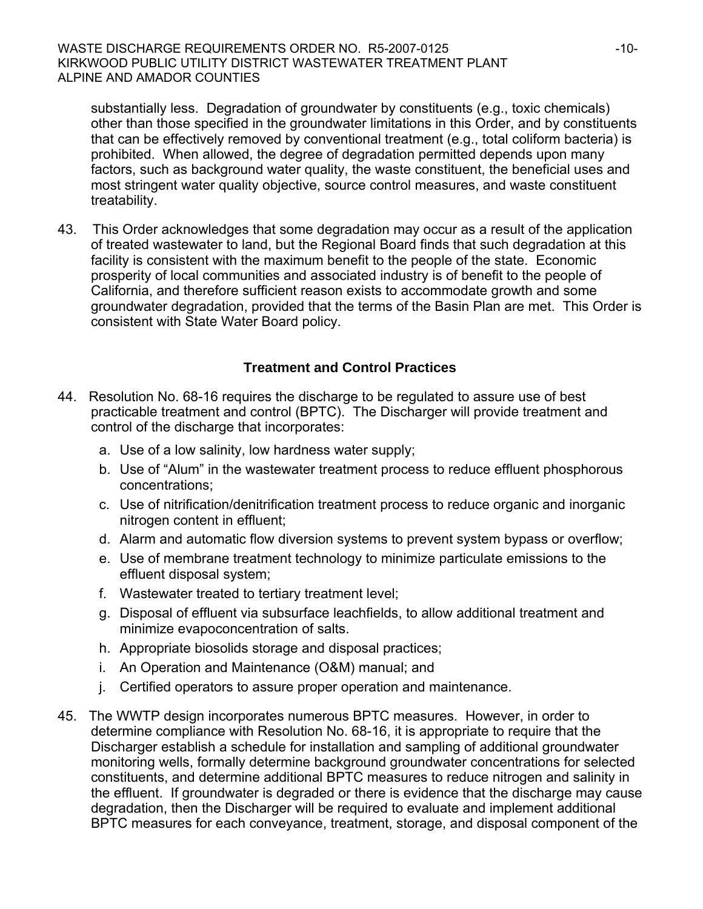substantially less. Degradation of groundwater by constituents (e.g., toxic chemicals) other than those specified in the groundwater limitations in this Order, and by constituents that can be effectively removed by conventional treatment (e.g., total coliform bacteria) is prohibited. When allowed, the degree of degradation permitted depends upon many factors, such as background water quality, the waste constituent, the beneficial uses and most stringent water quality objective, source control measures, and waste constituent treatability.

43. This Order acknowledges that some degradation may occur as a result of the application of treated wastewater to land, but the Regional Board finds that such degradation at this facility is consistent with the maximum benefit to the people of the state. Economic prosperity of local communities and associated industry is of benefit to the people of California, and therefore sufficient reason exists to accommodate growth and some groundwater degradation, provided that the terms of the Basin Plan are met. This Order is consistent with State Water Board policy.

### **Treatment and Control Practices**

- 44. Resolution No. 68-16 requires the discharge to be regulated to assure use of best practicable treatment and control (BPTC). The Discharger will provide treatment and control of the discharge that incorporates:
	- a. Use of a low salinity, low hardness water supply;
	- b. Use of "Alum" in the wastewater treatment process to reduce effluent phosphorous concentrations;
	- c. Use of nitrification/denitrification treatment process to reduce organic and inorganic nitrogen content in effluent;
	- d. Alarm and automatic flow diversion systems to prevent system bypass or overflow;
	- e. Use of membrane treatment technology to minimize particulate emissions to the effluent disposal system;
	- f. Wastewater treated to tertiary treatment level;
	- g. Disposal of effluent via subsurface leachfields, to allow additional treatment and minimize evapoconcentration of salts.
	- h. Appropriate biosolids storage and disposal practices;
	- i. An Operation and Maintenance (O&M) manual; and
	- j. Certified operators to assure proper operation and maintenance.
- 45. The WWTP design incorporates numerous BPTC measures. However, in order to determine compliance with Resolution No. 68-16, it is appropriate to require that the Discharger establish a schedule for installation and sampling of additional groundwater monitoring wells, formally determine background groundwater concentrations for selected constituents, and determine additional BPTC measures to reduce nitrogen and salinity in the effluent. If groundwater is degraded or there is evidence that the discharge may cause degradation, then the Discharger will be required to evaluate and implement additional BPTC measures for each conveyance, treatment, storage, and disposal component of the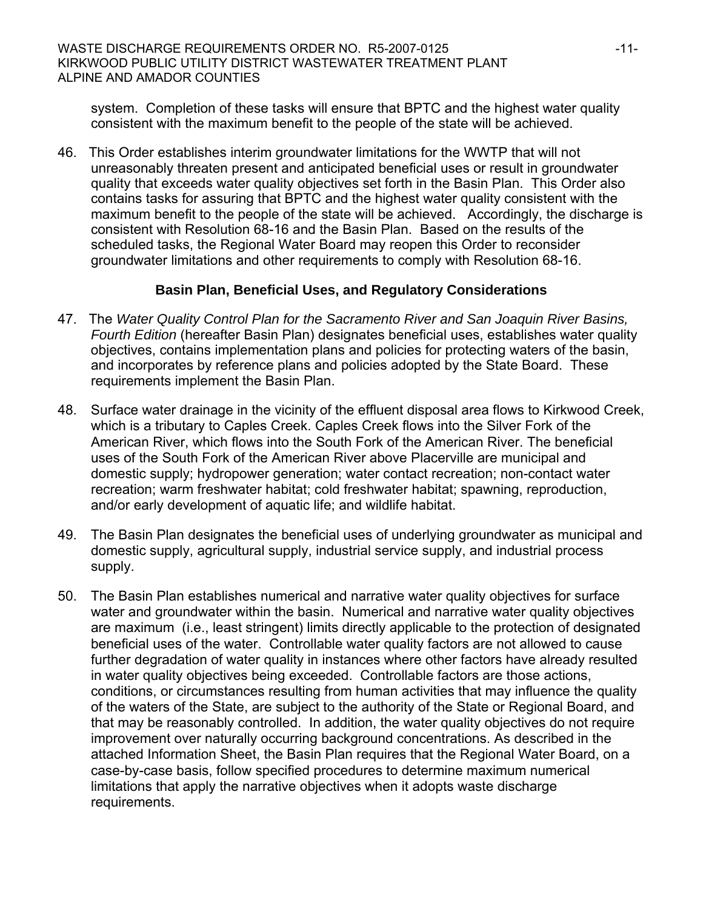system. Completion of these tasks will ensure that BPTC and the highest water quality consistent with the maximum benefit to the people of the state will be achieved.

46. This Order establishes interim groundwater limitations for the WWTP that will not unreasonably threaten present and anticipated beneficial uses or result in groundwater quality that exceeds water quality objectives set forth in the Basin Plan. This Order also contains tasks for assuring that BPTC and the highest water quality consistent with the maximum benefit to the people of the state will be achieved. Accordingly, the discharge is consistent with Resolution 68-16 and the Basin Plan. Based on the results of the scheduled tasks, the Regional Water Board may reopen this Order to reconsider groundwater limitations and other requirements to comply with Resolution 68-16.

# **Basin Plan, Beneficial Uses, and Regulatory Considerations**

- 47. The *Water Quality Control Plan for the Sacramento River and San Joaquin River Basins, Fourth Edition* (hereafter Basin Plan) designates beneficial uses, establishes water quality objectives, contains implementation plans and policies for protecting waters of the basin, and incorporates by reference plans and policies adopted by the State Board. These requirements implement the Basin Plan.
- 48. Surface water drainage in the vicinity of the effluent disposal area flows to Kirkwood Creek, which is a tributary to Caples Creek. Caples Creek flows into the Silver Fork of the American River, which flows into the South Fork of the American River. The beneficial uses of the South Fork of the American River above Placerville are municipal and domestic supply; hydropower generation; water contact recreation; non-contact water recreation; warm freshwater habitat; cold freshwater habitat; spawning, reproduction, and/or early development of aquatic life; and wildlife habitat.
- 49. The Basin Plan designates the beneficial uses of underlying groundwater as municipal and domestic supply, agricultural supply, industrial service supply, and industrial process supply.
- 50. The Basin Plan establishes numerical and narrative water quality objectives for surface water and groundwater within the basin. Numerical and narrative water quality objectives are maximum (i.e., least stringent) limits directly applicable to the protection of designated beneficial uses of the water. Controllable water quality factors are not allowed to cause further degradation of water quality in instances where other factors have already resulted in water quality objectives being exceeded. Controllable factors are those actions, conditions, or circumstances resulting from human activities that may influence the quality of the waters of the State, are subject to the authority of the State or Regional Board, and that may be reasonably controlled. In addition, the water quality objectives do not require improvement over naturally occurring background concentrations. As described in the attached Information Sheet, the Basin Plan requires that the Regional Water Board, on a case-by-case basis, follow specified procedures to determine maximum numerical limitations that apply the narrative objectives when it adopts waste discharge requirements.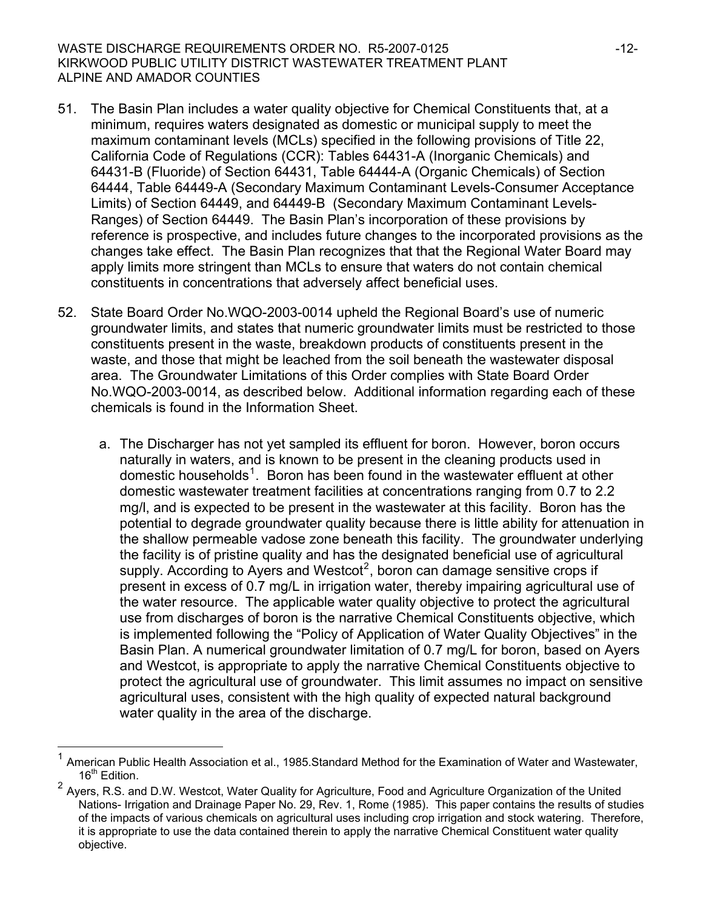- 51. The Basin Plan includes a water quality objective for Chemical Constituents that, at a minimum, requires waters designated as domestic or municipal supply to meet the maximum contaminant levels (MCLs) specified in the following provisions of Title 22, California Code of Regulations (CCR): Tables 64431-A (Inorganic Chemicals) and 64431-B (Fluoride) of Section 64431, Table 64444-A (Organic Chemicals) of Section 64444, Table 64449-A (Secondary Maximum Contaminant Levels-Consumer Acceptance Limits) of Section 64449, and 64449-B (Secondary Maximum Contaminant Levels-Ranges) of Section 64449. The Basin Plan's incorporation of these provisions by reference is prospective, and includes future changes to the incorporated provisions as the changes take effect. The Basin Plan recognizes that that the Regional Water Board may apply limits more stringent than MCLs to ensure that waters do not contain chemical constituents in concentrations that adversely affect beneficial uses.
- 52. State Board Order No.WQO-2003-0014 upheld the Regional Board's use of numeric groundwater limits, and states that numeric groundwater limits must be restricted to those constituents present in the waste, breakdown products of constituents present in the waste, and those that might be leached from the soil beneath the wastewater disposal area. The Groundwater Limitations of this Order complies with State Board Order No.WQO-2003-0014, as described below. Additional information regarding each of these chemicals is found in the Information Sheet.
	- a. The Discharger has not yet sampled its effluent for boron. However, boron occurs naturally in waters, and is known to be present in the cleaning products used in domestic households<sup>[1](#page-11-0)</sup>. Boron has been found in the wastewater effluent at other domestic wastewater treatment facilities at concentrations ranging from 0.7 to 2.2 mg/l, and is expected to be present in the wastewater at this facility. Boron has the potential to degrade groundwater quality because there is little ability for attenuation in the shallow permeable vadose zone beneath this facility. The groundwater underlying the facility is of pristine quality and has the designated beneficial use of agricultural supply. According to Ayers and Westcot<sup>[2](#page-11-1)</sup>, boron can damage sensitive crops if present in excess of 0.7 mg/L in irrigation water, thereby impairing agricultural use of the water resource. The applicable water quality objective to protect the agricultural use from discharges of boron is the narrative Chemical Constituents objective, which is implemented following the "Policy of Application of Water Quality Objectives" in the Basin Plan. A numerical groundwater limitation of 0.7 mg/L for boron, based on Ayers and Westcot, is appropriate to apply the narrative Chemical Constituents objective to protect the agricultural use of groundwater. This limit assumes no impact on sensitive agricultural uses, consistent with the high quality of expected natural background water quality in the area of the discharge.

l

<span id="page-11-0"></span><sup>1</sup> American Public Health Association et al., 1985.Standard Method for the Examination of Water and Wastewater,  $16<sup>th</sup>$  Edition.

<span id="page-11-1"></span><sup>2</sup> Ayers, R.S. and D.W. Westcot, Water Quality for Agriculture, Food and Agriculture Organization of the United Nations- Irrigation and Drainage Paper No. 29, Rev. 1, Rome (1985). This paper contains the results of studies of the impacts of various chemicals on agricultural uses including crop irrigation and stock watering. Therefore, it is appropriate to use the data contained therein to apply the narrative Chemical Constituent water quality objective.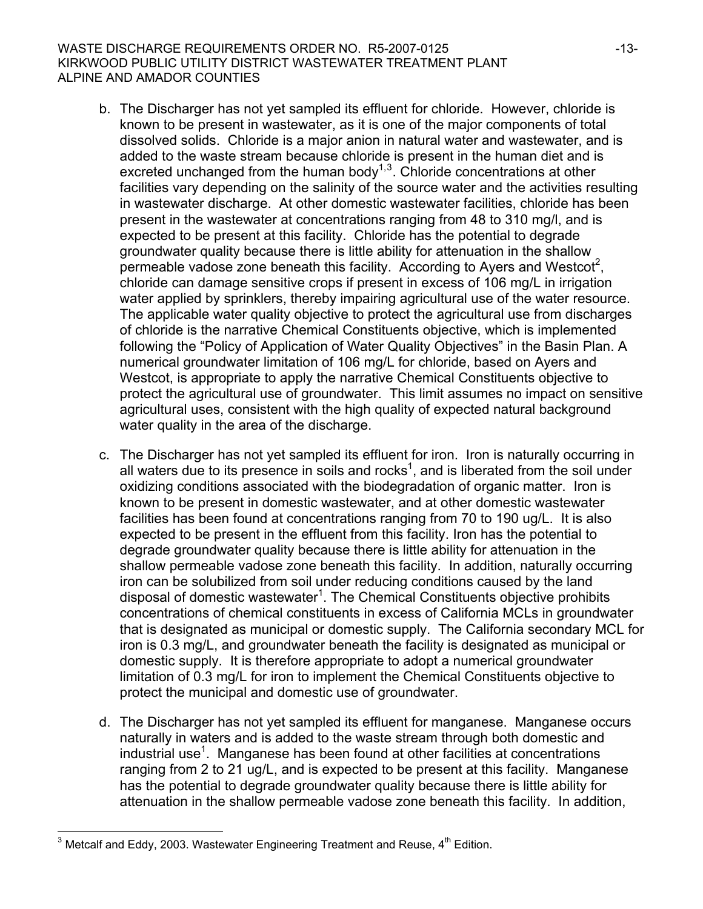#### WASTE DISCHARGE REQUIREMENTS ORDER NO. R5-2007-0125 -13-KIRKWOOD PUBLIC UTILITY DISTRICT WASTEWATER TREATMENT PLANT ALPINE AND AMADOR COUNTIES

- b. The Discharger has not yet sampled its effluent for chloride. However, chloride is known to be present in wastewater, as it is one of the major components of total dissolved solids. Chloride is a major anion in natural water and wastewater, and is added to the waste stream because chloride is present in the human diet and is excreted unchanged from the human body<sup> $1,3$  $1,3$ </sup>. Chloride concentrations at other facilities vary depending on the salinity of the source water and the activities resulting in wastewater discharge. At other domestic wastewater facilities, chloride has been present in the wastewater at concentrations ranging from 48 to 310 mg/l, and is expected to be present at this facility. Chloride has the potential to degrade groundwater quality because there is little ability for attenuation in the shallow permeable vadose zone beneath this facility. According to Ayers and Westcot<sup>2</sup>, chloride can damage sensitive crops if present in excess of 106 mg/L in irrigation water applied by sprinklers, thereby impairing agricultural use of the water resource. The applicable water quality objective to protect the agricultural use from discharges of chloride is the narrative Chemical Constituents objective, which is implemented following the "Policy of Application of Water Quality Objectives" in the Basin Plan. A numerical groundwater limitation of 106 mg/L for chloride, based on Ayers and Westcot, is appropriate to apply the narrative Chemical Constituents objective to protect the agricultural use of groundwater. This limit assumes no impact on sensitive agricultural uses, consistent with the high quality of expected natural background water quality in the area of the discharge.
- c. The Discharger has not yet sampled its effluent for iron. Iron is naturally occurring in all waters due to its presence in soils and rocks<sup>1</sup>, and is liberated from the soil under oxidizing conditions associated with the biodegradation of organic matter. Iron is known to be present in domestic wastewater, and at other domestic wastewater facilities has been found at concentrations ranging from 70 to 190 ug/L. It is also expected to be present in the effluent from this facility. Iron has the potential to degrade groundwater quality because there is little ability for attenuation in the shallow permeable vadose zone beneath this facility. In addition, naturally occurring iron can be solubilized from soil under reducing conditions caused by the land disposal of domestic wastewater<sup>1</sup>. The Chemical Constituents objective prohibits concentrations of chemical constituents in excess of California MCLs in groundwater that is designated as municipal or domestic supply. The California secondary MCL for iron is 0.3 mg/L, and groundwater beneath the facility is designated as municipal or domestic supply. It is therefore appropriate to adopt a numerical groundwater limitation of 0.3 mg/L for iron to implement the Chemical Constituents objective to protect the municipal and domestic use of groundwater.
- d. The Discharger has not yet sampled its effluent for manganese. Manganese occurs naturally in waters and is added to the waste stream through both domestic and  $industrial use<sup>1</sup>$ . Manganese has been found at other facilities at concentrations ranging from 2 to 21 ug/L, and is expected to be present at this facility. Manganese has the potential to degrade groundwater quality because there is little ability for attenuation in the shallow permeable vadose zone beneath this facility. In addition,

l

<span id="page-12-0"></span><sup>&</sup>lt;sup>3</sup> Metcalf and Eddy, 2003. Wastewater Engineering Treatment and Reuse,  $4^{\text{th}}$  Edition.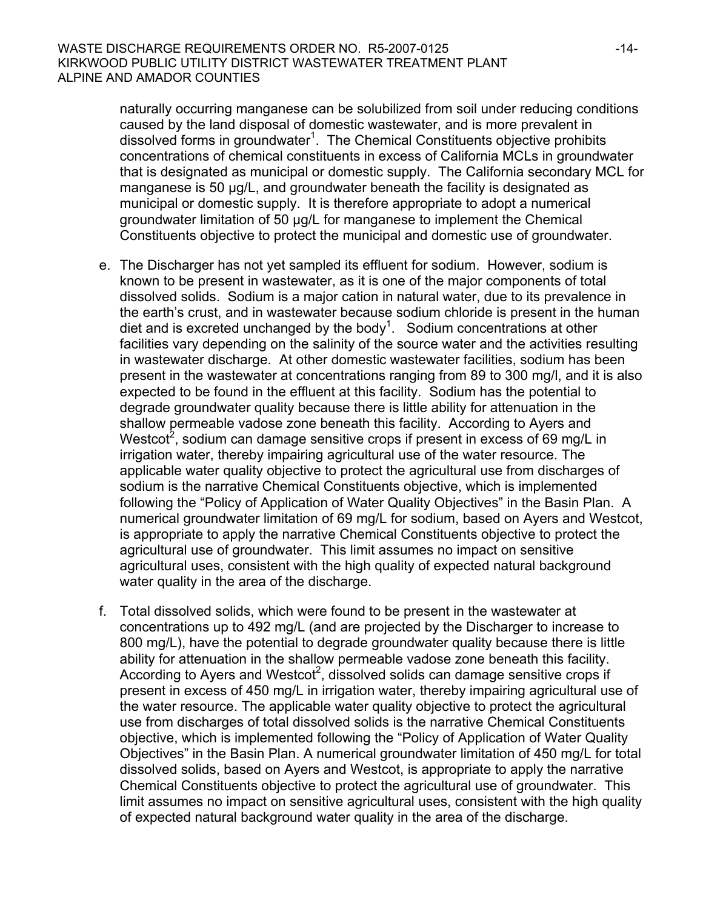naturally occurring manganese can be solubilized from soil under reducing conditions caused by the land disposal of domestic wastewater, and is more prevalent in dissolved forms in groundwater<sup>1</sup>. The Chemical Constituents objective prohibits concentrations of chemical constituents in excess of California MCLs in groundwater that is designated as municipal or domestic supply. The California secondary MCL for manganese is 50 μg/L, and groundwater beneath the facility is designated as municipal or domestic supply. It is therefore appropriate to adopt a numerical groundwater limitation of 50 μg/L for manganese to implement the Chemical Constituents objective to protect the municipal and domestic use of groundwater.

- e. The Discharger has not yet sampled its effluent for sodium. However, sodium is known to be present in wastewater, as it is one of the major components of total dissolved solids. Sodium is a major cation in natural water, due to its prevalence in the earth's crust, and in wastewater because sodium chloride is present in the human diet and is excreted unchanged by the body<sup>1</sup>. Sodium concentrations at other facilities vary depending on the salinity of the source water and the activities resulting in wastewater discharge. At other domestic wastewater facilities, sodium has been present in the wastewater at concentrations ranging from 89 to 300 mg/l, and it is also expected to be found in the effluent at this facility. Sodium has the potential to degrade groundwater quality because there is little ability for attenuation in the shallow permeable vadose zone beneath this facility. According to Ayers and Westcot<sup>2</sup>, sodium can damage sensitive crops if present in excess of 69 mg/L in irrigation water, thereby impairing agricultural use of the water resource. The applicable water quality objective to protect the agricultural use from discharges of sodium is the narrative Chemical Constituents objective, which is implemented following the "Policy of Application of Water Quality Objectives" in the Basin Plan. A numerical groundwater limitation of 69 mg/L for sodium, based on Ayers and Westcot, is appropriate to apply the narrative Chemical Constituents objective to protect the agricultural use of groundwater. This limit assumes no impact on sensitive agricultural uses, consistent with the high quality of expected natural background water quality in the area of the discharge.
- f. Total dissolved solids, which were found to be present in the wastewater at concentrations up to 492 mg/L (and are projected by the Discharger to increase to 800 mg/L), have the potential to degrade groundwater quality because there is little ability for attenuation in the shallow permeable vadose zone beneath this facility. According to Ayers and Westcot<sup>2</sup>, dissolved solids can damage sensitive crops if present in excess of 450 mg/L in irrigation water, thereby impairing agricultural use of the water resource. The applicable water quality objective to protect the agricultural use from discharges of total dissolved solids is the narrative Chemical Constituents objective, which is implemented following the "Policy of Application of Water Quality Objectives" in the Basin Plan. A numerical groundwater limitation of 450 mg/L for total dissolved solids, based on Ayers and Westcot, is appropriate to apply the narrative Chemical Constituents objective to protect the agricultural use of groundwater. This limit assumes no impact on sensitive agricultural uses, consistent with the high quality of expected natural background water quality in the area of the discharge.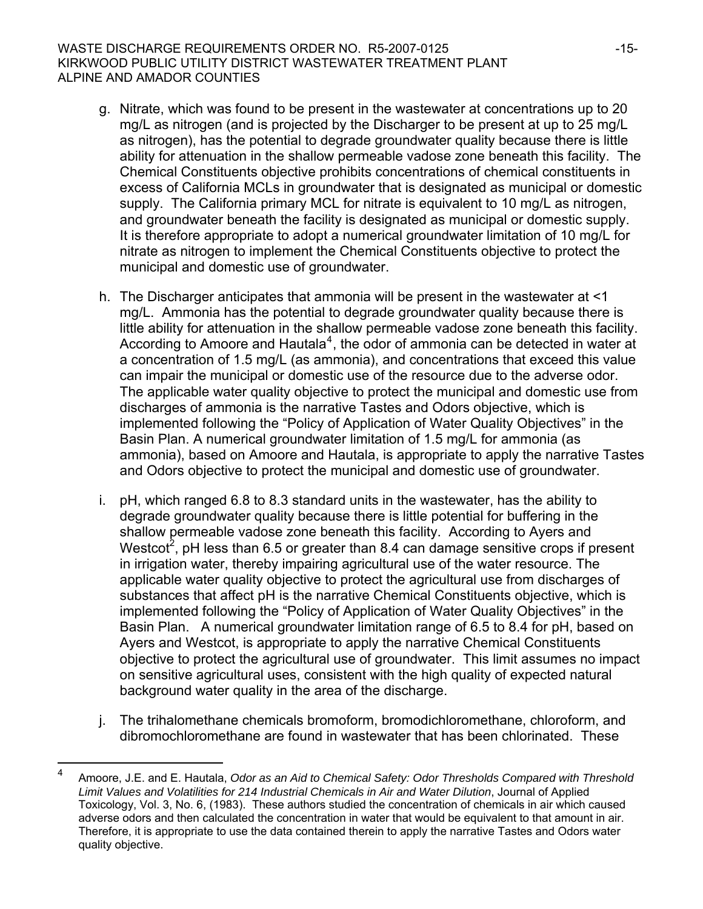#### WASTE DISCHARGE REQUIREMENTS ORDER NO. R5-2007-0125 -15-KIRKWOOD PUBLIC UTILITY DISTRICT WASTEWATER TREATMENT PLANT ALPINE AND AMADOR COUNTIES

- g. Nitrate, which was found to be present in the wastewater at concentrations up to 20 mg/L as nitrogen (and is projected by the Discharger to be present at up to 25 mg/L as nitrogen), has the potential to degrade groundwater quality because there is little ability for attenuation in the shallow permeable vadose zone beneath this facility. The Chemical Constituents objective prohibits concentrations of chemical constituents in excess of California MCLs in groundwater that is designated as municipal or domestic supply. The California primary MCL for nitrate is equivalent to 10 mg/L as nitrogen, and groundwater beneath the facility is designated as municipal or domestic supply. It is therefore appropriate to adopt a numerical groundwater limitation of 10 mg/L for nitrate as nitrogen to implement the Chemical Constituents objective to protect the municipal and domestic use of groundwater.
- h. The Discharger anticipates that ammonia will be present in the wastewater at <1 mg/L. Ammonia has the potential to degrade groundwater quality because there is little ability for attenuation in the shallow permeable vadose zone beneath this facility. According to Amoore and Hautala<sup>[4](#page-14-0)</sup>, the odor of ammonia can be detected in water at a concentration of 1.5 mg/L (as ammonia), and concentrations that exceed this value can impair the municipal or domestic use of the resource due to the adverse odor. The applicable water quality objective to protect the municipal and domestic use from discharges of ammonia is the narrative Tastes and Odors objective, which is implemented following the "Policy of Application of Water Quality Objectives" in the Basin Plan. A numerical groundwater limitation of 1.5 mg/L for ammonia (as ammonia), based on Amoore and Hautala, is appropriate to apply the narrative Tastes and Odors objective to protect the municipal and domestic use of groundwater.
- i. pH, which ranged 6.8 to 8.3 standard units in the wastewater, has the ability to degrade groundwater quality because there is little potential for buffering in the shallow permeable vadose zone beneath this facility. According to Ayers and Westcot<sup>2</sup>, pH less than 6.5 or greater than 8.4 can damage sensitive crops if present in irrigation water, thereby impairing agricultural use of the water resource. The applicable water quality objective to protect the agricultural use from discharges of substances that affect pH is the narrative Chemical Constituents objective, which is implemented following the "Policy of Application of Water Quality Objectives" in the Basin Plan. A numerical groundwater limitation range of 6.5 to 8.4 for pH, based on Ayers and Westcot, is appropriate to apply the narrative Chemical Constituents objective to protect the agricultural use of groundwater. This limit assumes no impact on sensitive agricultural uses, consistent with the high quality of expected natural background water quality in the area of the discharge.
- j. The trihalomethane chemicals bromoform, bromodichloromethane, chloroform, and dibromochloromethane are found in wastewater that has been chlorinated. These

l

<span id="page-14-0"></span><sup>4</sup> Amoore, J.E. and E. Hautala, *Odor as an Aid to Chemical Safety: Odor Thresholds Compared with Threshold Limit Values and Volatilities for 214 Industrial Chemicals in Air and Water Dilution*, Journal of Applied Toxicology, Vol. 3, No. 6, (1983). These authors studied the concentration of chemicals in air which caused adverse odors and then calculated the concentration in water that would be equivalent to that amount in air. Therefore, it is appropriate to use the data contained therein to apply the narrative Tastes and Odors water quality objective.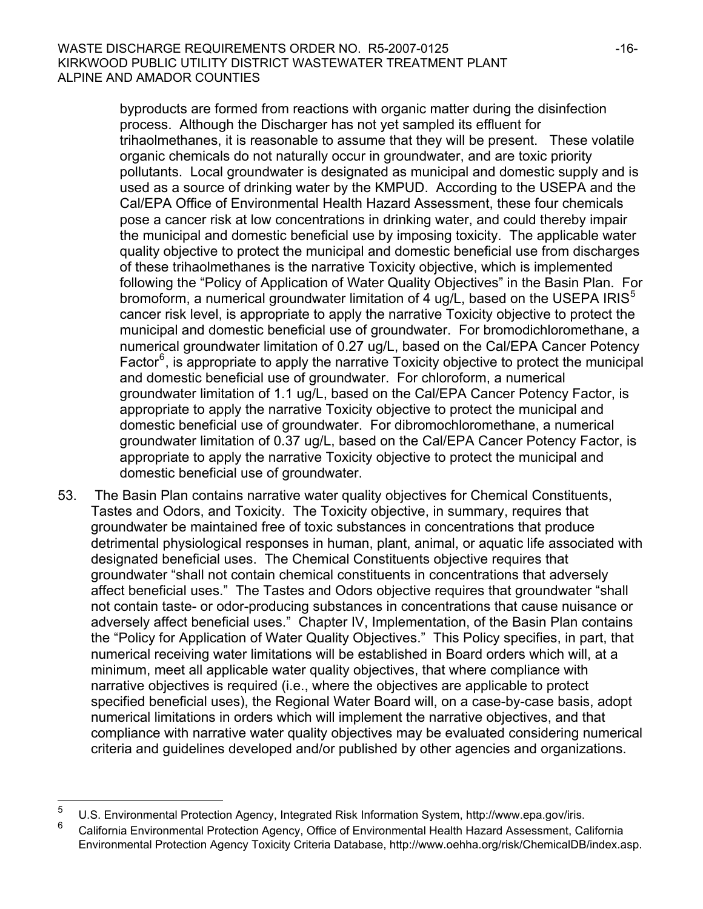byproducts are formed from reactions with organic matter during the disinfection process. Although the Discharger has not yet sampled its effluent for trihaolmethanes, it is reasonable to assume that they will be present. These volatile organic chemicals do not naturally occur in groundwater, and are toxic priority pollutants. Local groundwater is designated as municipal and domestic supply and is used as a source of drinking water by the KMPUD. According to the USEPA and the Cal/EPA Office of Environmental Health Hazard Assessment, these four chemicals pose a cancer risk at low concentrations in drinking water, and could thereby impair the municipal and domestic beneficial use by imposing toxicity. The applicable water quality objective to protect the municipal and domestic beneficial use from discharges of these trihaolmethanes is the narrative Toxicity objective, which is implemented following the "Policy of Application of Water Quality Objectives" in the Basin Plan. For bromoform, a numerical groundwater limitation of 4 ug/L, based on the USEPA IRIS<sup>[5](#page-15-0)</sup> cancer risk level, is appropriate to apply the narrative Toxicity objective to protect the municipal and domestic beneficial use of groundwater. For bromodichloromethane, a numerical groundwater limitation of 0.27 ug/L, based on the Cal/EPA Cancer Potency Factor<sup>[6](#page-15-1)</sup>, is appropriate to apply the narrative Toxicity objective to protect the municipal and domestic beneficial use of groundwater. For chloroform, a numerical groundwater limitation of 1.1 ug/L, based on the Cal/EPA Cancer Potency Factor, is appropriate to apply the narrative Toxicity objective to protect the municipal and domestic beneficial use of groundwater. For dibromochloromethane, a numerical groundwater limitation of 0.37 ug/L, based on the Cal/EPA Cancer Potency Factor, is appropriate to apply the narrative Toxicity objective to protect the municipal and domestic beneficial use of groundwater.

53. The Basin Plan contains narrative water quality objectives for Chemical Constituents, Tastes and Odors, and Toxicity. The Toxicity objective, in summary, requires that groundwater be maintained free of toxic substances in concentrations that produce detrimental physiological responses in human, plant, animal, or aquatic life associated with designated beneficial uses. The Chemical Constituents objective requires that groundwater "shall not contain chemical constituents in concentrations that adversely affect beneficial uses." The Tastes and Odors objective requires that groundwater "shall not contain taste- or odor-producing substances in concentrations that cause nuisance or adversely affect beneficial uses." Chapter IV, Implementation, of the Basin Plan contains the "Policy for Application of Water Quality Objectives." This Policy specifies, in part, that numerical receiving water limitations will be established in Board orders which will, at a minimum, meet all applicable water quality objectives, that where compliance with narrative objectives is required (i.e., where the objectives are applicable to protect specified beneficial uses), the Regional Water Board will, on a case-by-case basis, adopt numerical limitations in orders which will implement the narrative objectives, and that compliance with narrative water quality objectives may be evaluated considering numerical criteria and guidelines developed and/or published by other agencies and organizations.

 $\frac{1}{5}$ U.S. Environmental Protection Agency, Integrated Risk Information System, http://www.epa.gov/iris.

<span id="page-15-1"></span><span id="page-15-0"></span><sup>6</sup> California Environmental Protection Agency, Office of Environmental Health Hazard Assessment, California Environmental Protection Agency Toxicity Criteria Database, http://www.oehha.org/risk/ChemicalDB/index.asp.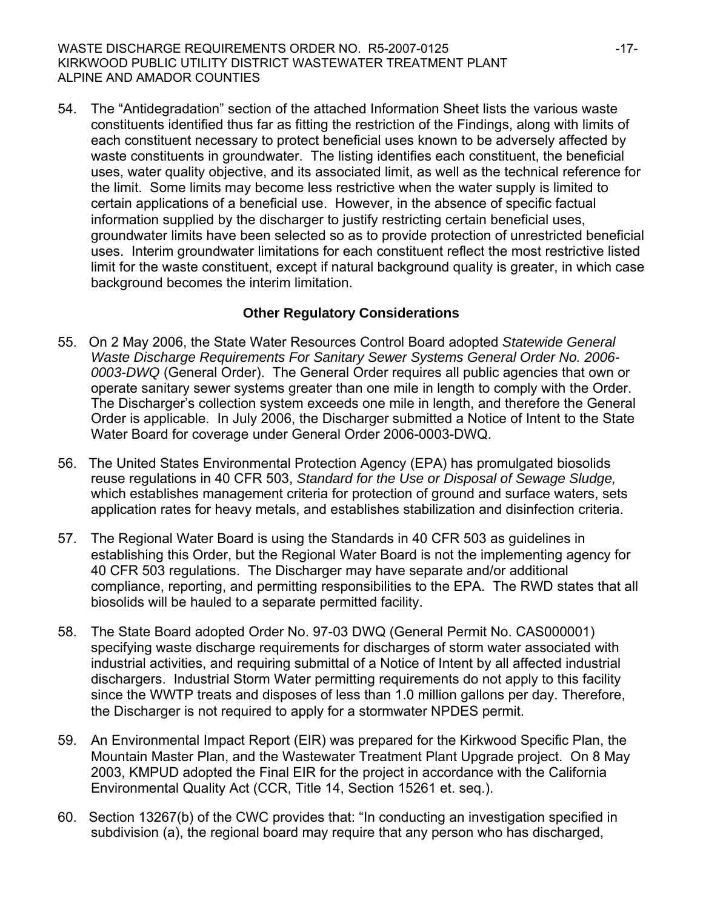54. The "Antidegradation" section of the attached Information Sheet lists the various waste constituents identified thus far as fitting the restriction of the Findings, along with limits of each constituent necessary to protect beneficial uses known to be adversely affected by waste constituents in groundwater. The listing identifies each constituent, the beneficial uses, water quality objective, and its associated limit, as well as the technical reference for the limit. Some limits may become less restrictive when the water supply is limited to certain applications of a beneficial use. However, in the absence of specific factual information supplied by the discharger to justify restricting certain beneficial uses, groundwater limits have been selected so as to provide protection of unrestricted beneficial uses. Interim groundwater limitations for each constituent reflect the most restrictive listed limit for the waste constituent, except if natural background quality is greater, in which case background becomes the interim limitation.

# **Other Regulatory Considerations**

- 55. On 2 May 2006, the State Water Resources Control Board adopted *Statewide General Waste Discharge Requirements For Sanitary Sewer Systems General Order No. 2006- 0003-DWQ* (General Order). The General Order requires all public agencies that own or operate sanitary sewer systems greater than one mile in length to comply with the Order. The Discharger's collection system exceeds one mile in length, and therefore the General Order is applicable. In July 2006, the Discharger submitted a Notice of Intent to the State Water Board for coverage under General Order 2006-0003-DWQ.
- 56. The United States Environmental Protection Agency (EPA) has promulgated biosolids reuse regulations in 40 CFR 503, *Standard for the Use or Disposal of Sewage Sludge,*  which establishes management criteria for protection of ground and surface waters, sets application rates for heavy metals, and establishes stabilization and disinfection criteria.
- 57. The Regional Water Board is using the Standards in 40 CFR 503 as guidelines in establishing this Order, but the Regional Water Board is not the implementing agency for 40 CFR 503 regulations. The Discharger may have separate and/or additional compliance, reporting, and permitting responsibilities to the EPA. The RWD states that all biosolids will be hauled to a separate permitted facility.
- 58. The State Board adopted Order No. 97-03 DWQ (General Permit No. CAS000001) specifying waste discharge requirements for discharges of storm water associated with industrial activities, and requiring submittal of a Notice of Intent by all affected industrial dischargers. Industrial Storm Water permitting requirements do not apply to this facility since the WWTP treats and disposes of less than 1.0 million gallons per day. Therefore, the Discharger is not required to apply for a stormwater NPDES permit.
- 59. An Environmental Impact Report (EIR) was prepared for the Kirkwood Specific Plan, the Mountain Master Plan, and the Wastewater Treatment Plant Upgrade project. On 8 May 2003, KMPUD adopted the Final EIR for the project in accordance with the California Environmental Quality Act (CCR, Title 14, Section 15261 et. seq.).
- 60. Section 13267(b) of the CWC provides that: "In conducting an investigation specified in subdivision (a), the regional board may require that any person who has discharged,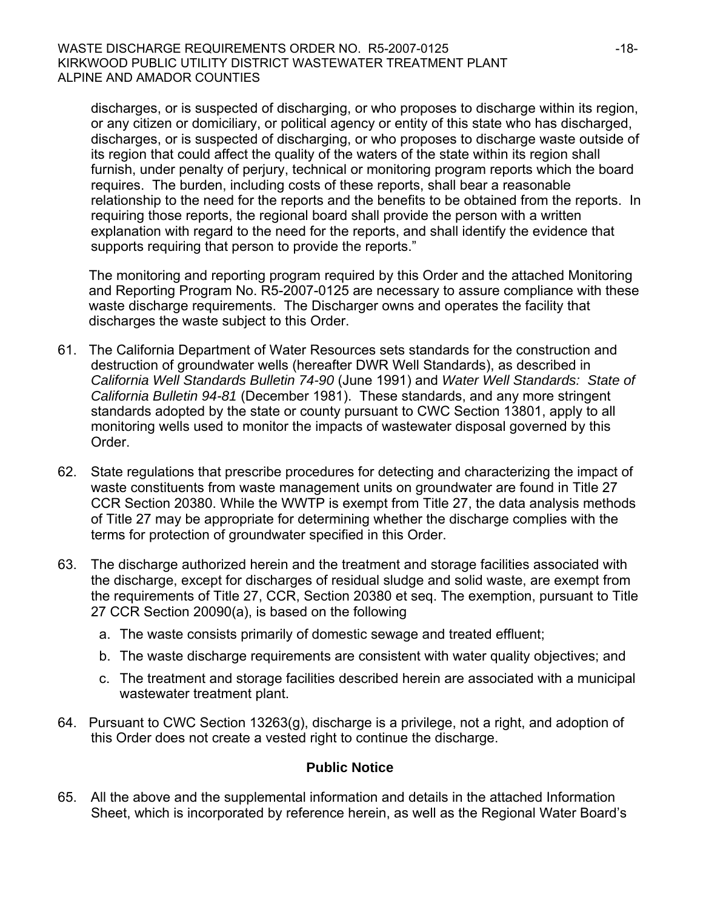discharges, or is suspected of discharging, or who proposes to discharge within its region, or any citizen or domiciliary, or political agency or entity of this state who has discharged, discharges, or is suspected of discharging, or who proposes to discharge waste outside of its region that could affect the quality of the waters of the state within its region shall furnish, under penalty of perjury, technical or monitoring program reports which the board requires. The burden, including costs of these reports, shall bear a reasonable relationship to the need for the reports and the benefits to be obtained from the reports. In requiring those reports, the regional board shall provide the person with a written explanation with regard to the need for the reports, and shall identify the evidence that supports requiring that person to provide the reports."

The monitoring and reporting program required by this Order and the attached Monitoring and Reporting Program No. R5-2007-0125 are necessary to assure compliance with these waste discharge requirements. The Discharger owns and operates the facility that discharges the waste subject to this Order.

- 61. The California Department of Water Resources sets standards for the construction and destruction of groundwater wells (hereafter DWR Well Standards), as described in *California Well Standards Bulletin 74-90* (June 1991) and *Water Well Standards: State of California Bulletin 94-81* (December 1981). These standards, and any more stringent standards adopted by the state or county pursuant to CWC Section 13801, apply to all monitoring wells used to monitor the impacts of wastewater disposal governed by this Order.
- 62. State regulations that prescribe procedures for detecting and characterizing the impact of waste constituents from waste management units on groundwater are found in Title 27 CCR Section 20380. While the WWTP is exempt from Title 27, the data analysis methods of Title 27 may be appropriate for determining whether the discharge complies with the terms for protection of groundwater specified in this Order.
- 63. The discharge authorized herein and the treatment and storage facilities associated with the discharge, except for discharges of residual sludge and solid waste, are exempt from the requirements of Title 27, CCR, Section 20380 et seq. The exemption, pursuant to Title 27 CCR Section 20090(a), is based on the following
	- a. The waste consists primarily of domestic sewage and treated effluent;
	- b. The waste discharge requirements are consistent with water quality objectives; and
	- c. The treatment and storage facilities described herein are associated with a municipal wastewater treatment plant.
- 64. Pursuant to CWC Section 13263(g), discharge is a privilege, not a right, and adoption of this Order does not create a vested right to continue the discharge.

#### **Public Notice**

65. All the above and the supplemental information and details in the attached Information Sheet, which is incorporated by reference herein, as well as the Regional Water Board's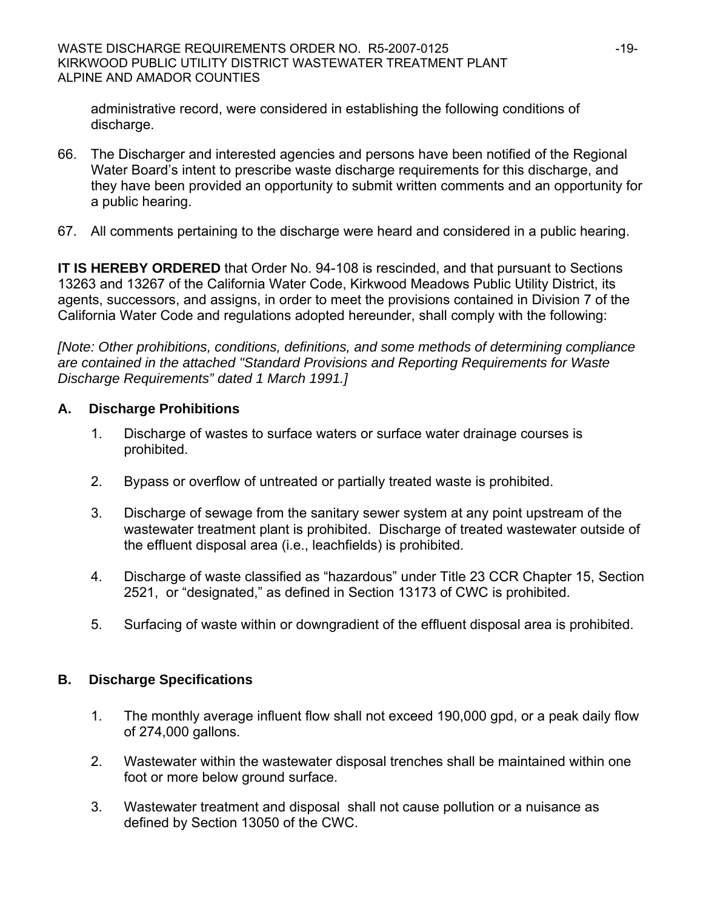administrative record, were considered in establishing the following conditions of discharge.

- 66. The Discharger and interested agencies and persons have been notified of the Regional Water Board's intent to prescribe waste discharge requirements for this discharge, and they have been provided an opportunity to submit written comments and an opportunity for a public hearing.
- 67. All comments pertaining to the discharge were heard and considered in a public hearing.

**IT IS HEREBY ORDERED** that Order No. 94-108 is rescinded, and that pursuant to Sections 13263 and 13267 of the California Water Code, Kirkwood Meadows Public Utility District, its agents, successors, and assigns, in order to meet the provisions contained in Division 7 of the California Water Code and regulations adopted hereunder, shall comply with the following:

*[Note: Other prohibitions, conditions, definitions, and some methods of determining compliance are contained in the attached "Standard Provisions and Reporting Requirements for Waste Discharge Requirements" dated 1 March 1991.]*

# **A. Discharge Prohibitions**

- 1. Discharge of wastes to surface waters or surface water drainage courses is prohibited.
- 2. Bypass or overflow of untreated or partially treated waste is prohibited.
- 3. Discharge of sewage from the sanitary sewer system at any point upstream of the wastewater treatment plant is prohibited. Discharge of treated wastewater outside of the effluent disposal area (i.e., leachfields) is prohibited.
- 4. Discharge of waste classified as "hazardous" under Title 23 CCR Chapter 15, Section 2521, or "designated," as defined in Section 13173 of CWC is prohibited.
- 5. Surfacing of waste within or downgradient of the effluent disposal area is prohibited.

### **B. Discharge Specifications**

- 1. The monthly average influent flow shall not exceed 190,000 gpd, or a peak daily flow of 274,000 gallons.
- 2. Wastewater within the wastewater disposal trenches shall be maintained within one foot or more below ground surface.
- 3. Wastewater treatment and disposal shall not cause pollution or a nuisance as defined by Section 13050 of the CWC.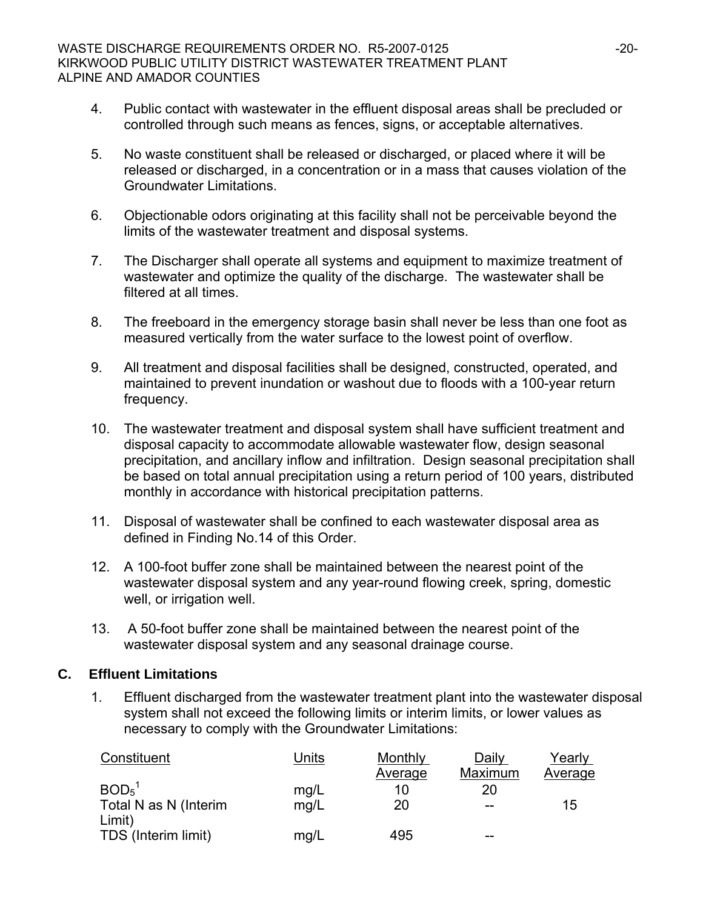- 4. Public contact with wastewater in the effluent disposal areas shall be precluded or controlled through such means as fences, signs, or acceptable alternatives.
- 5. No waste constituent shall be released or discharged, or placed where it will be released or discharged, in a concentration or in a mass that causes violation of the Groundwater Limitations.
- 6. Objectionable odors originating at this facility shall not be perceivable beyond the limits of the wastewater treatment and disposal systems.
- 7. The Discharger shall operate all systems and equipment to maximize treatment of wastewater and optimize the quality of the discharge. The wastewater shall be filtered at all times.
- 8. The freeboard in the emergency storage basin shall never be less than one foot as measured vertically from the water surface to the lowest point of overflow.
- 9. All treatment and disposal facilities shall be designed, constructed, operated, and maintained to prevent inundation or washout due to floods with a 100-year return frequency.
- 10. The wastewater treatment and disposal system shall have sufficient treatment and disposal capacity to accommodate allowable wastewater flow, design seasonal precipitation, and ancillary inflow and infiltration. Design seasonal precipitation shall be based on total annual precipitation using a return period of 100 years, distributed monthly in accordance with historical precipitation patterns.
- 11. Disposal of wastewater shall be confined to each wastewater disposal area as defined in Finding No.14 of this Order.
- 12. A 100-foot buffer zone shall be maintained between the nearest point of the wastewater disposal system and any year-round flowing creek, spring, domestic well, or irrigation well.
- 13. A 50-foot buffer zone shall be maintained between the nearest point of the wastewater disposal system and any seasonal drainage course.

### **C. Effluent Limitations**

1. Effluent discharged from the wastewater treatment plant into the wastewater disposal system shall not exceed the following limits or interim limits, or lower values as necessary to comply with the Groundwater Limitations:

| Constituent                   | Units | Monthly | Daily   | Yearly  |
|-------------------------------|-------|---------|---------|---------|
|                               |       | Average | Maximum | Average |
| BOD <sub>5</sub> <sup>1</sup> | mg/L  | 10      | 20      |         |
| Total N as N (Interim         | mg/L  | 20      |         | 15      |
| Limit)                        |       |         |         |         |
| TDS (Interim limit)           | mq/L  | 495     | --      |         |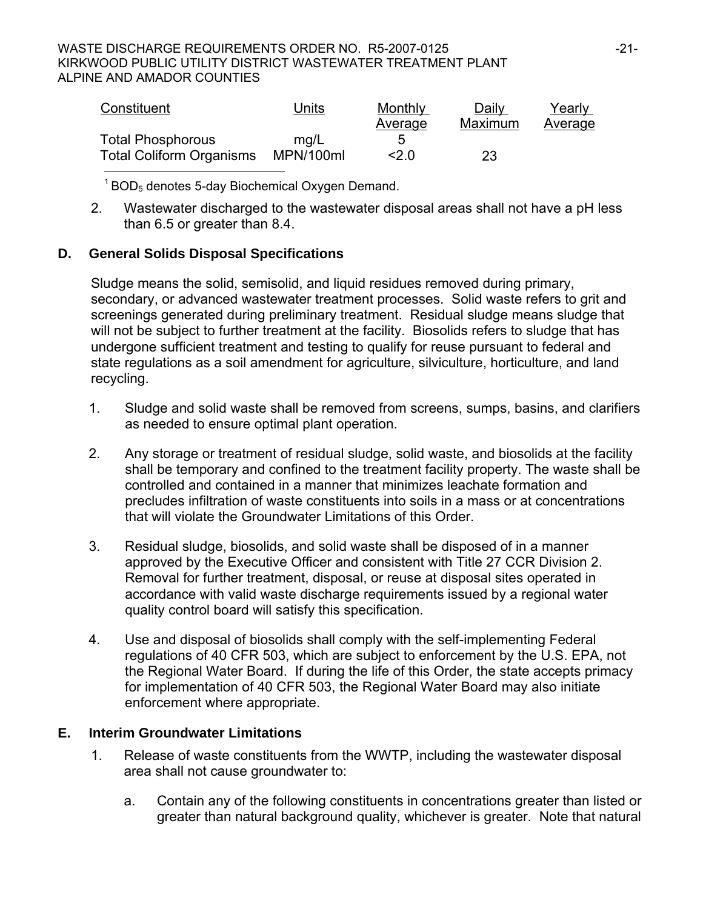#### WASTE DISCHARGE REQUIREMENTS ORDER NO. R5-2007-0125 -21-KIRKWOOD PUBLIC UTILITY DISTRICT WASTEWATER TREATMENT PLANT ALPINE AND AMADOR COUNTIES

| Constituent                     | Units     | Monthly | Daily          | Yearly  |
|---------------------------------|-----------|---------|----------------|---------|
|                                 |           | Average | <b>Maximum</b> | Average |
| <b>Total Phosphorous</b>        | mq/L      | 5       |                |         |
| <b>Total Coliform Organisms</b> | MPN/100ml | 2.0     | 23             |         |

 $1$  BOD<sub>5</sub> denotes 5-day Biochemical Oxygen Demand.

2. Wastewater discharged to the wastewater disposal areas shall not have a pH less than 6.5 or greater than 8.4.

# **D. General Solids Disposal Specifications**

Sludge means the solid, semisolid, and liquid residues removed during primary, secondary, or advanced wastewater treatment processes. Solid waste refers to grit and screenings generated during preliminary treatment. Residual sludge means sludge that will not be subject to further treatment at the facility. Biosolids refers to sludge that has undergone sufficient treatment and testing to qualify for reuse pursuant to federal and state regulations as a soil amendment for agriculture, silviculture, horticulture, and land recycling.

- 1. Sludge and solid waste shall be removed from screens, sumps, basins, and clarifiers as needed to ensure optimal plant operation.
- 2. Any storage or treatment of residual sludge, solid waste, and biosolids at the facility shall be temporary and confined to the treatment facility property. The waste shall be controlled and contained in a manner that minimizes leachate formation and precludes infiltration of waste constituents into soils in a mass or at concentrations that will violate the Groundwater Limitations of this Order.
- 3. Residual sludge, biosolids, and solid waste shall be disposed of in a manner approved by the Executive Officer and consistent with Title 27 CCR Division 2. Removal for further treatment, disposal, or reuse at disposal sites operated in accordance with valid waste discharge requirements issued by a regional water quality control board will satisfy this specification.
- 4. Use and disposal of biosolids shall comply with the self-implementing Federal regulations of 40 CFR 503, which are subject to enforcement by the U.S. EPA, not the Regional Water Board. If during the life of this Order, the state accepts primacy for implementation of 40 CFR 503, the Regional Water Board may also initiate enforcement where appropriate.

# **E. Interim Groundwater Limitations**

- 1. Release of waste constituents from the WWTP, including the wastewater disposal area shall not cause groundwater to:
	- a. Contain any of the following constituents in concentrations greater than listed or greater than natural background quality, whichever is greater. Note that natural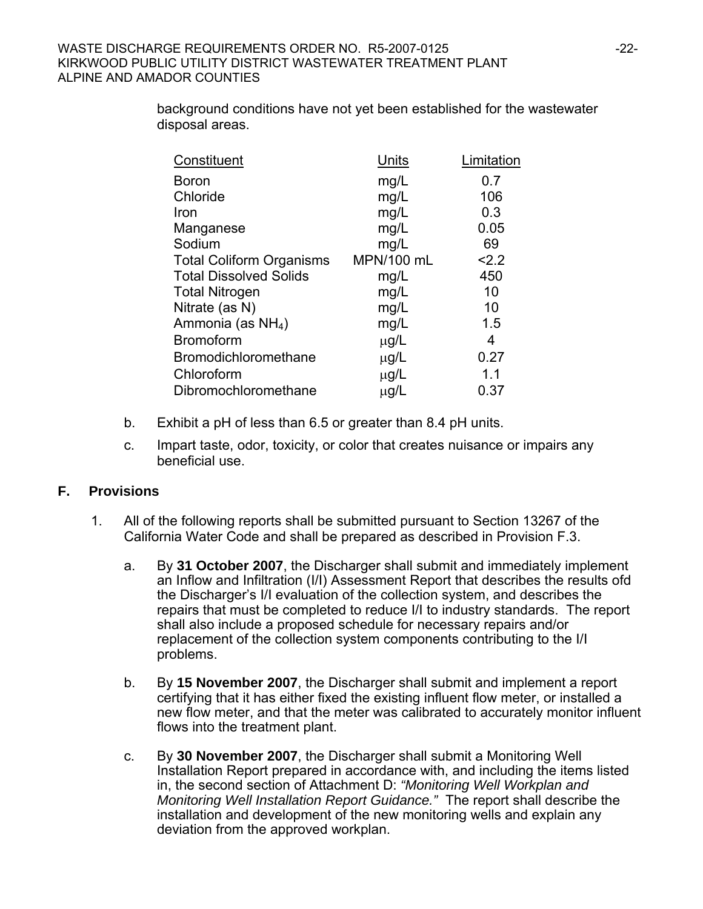background conditions have not yet been established for the wastewater disposal areas.

| Constituent                     | Units      | Limitation |
|---------------------------------|------------|------------|
| <b>Boron</b>                    | mg/L       | 0.7        |
| Chloride                        | mg/L       | 106        |
| Iron                            | mg/L       | 0.3        |
| Manganese                       | mg/L       | 0.05       |
| Sodium                          | mg/L       | 69         |
| <b>Total Coliform Organisms</b> | MPN/100 mL | 2.2        |
| <b>Total Dissolved Solids</b>   | mg/L       | 450        |
| <b>Total Nitrogen</b>           | mg/L       | 10         |
| Nitrate (as N)                  | mg/L       | 10         |
| Ammonia (as $NH4$ )             | mg/L       | 1.5        |
| <b>Bromoform</b>                | $\mu$ g/L  | 4          |
| Bromodichloromethane            | $\mu$ g/L  | 0.27       |
| Chloroform                      | $\mu$ g/L  | 1.1        |
| Dibromochloromethane            | $\mu$ g/L  | 0.37       |

- b. Exhibit a pH of less than 6.5 or greater than 8.4 pH units.
- c. Impart taste, odor, toxicity, or color that creates nuisance or impairs any beneficial use.

# **F. Provisions**

- 1. All of the following reports shall be submitted pursuant to Section 13267 of the California Water Code and shall be prepared as described in Provision F.3.
	- a. By **31 October 2007**, the Discharger shall submit and immediately implement an Inflow and Infiltration (I/I) Assessment Report that describes the results ofd the Discharger's I/I evaluation of the collection system, and describes the repairs that must be completed to reduce I/I to industry standards. The report shall also include a proposed schedule for necessary repairs and/or replacement of the collection system components contributing to the I/I problems.
	- b. By **15 November 2007**, the Discharger shall submit and implement a report certifying that it has either fixed the existing influent flow meter, or installed a new flow meter, and that the meter was calibrated to accurately monitor influent flows into the treatment plant.
	- c. By **30 November 2007**, the Discharger shall submit a Monitoring Well Installation Report prepared in accordance with, and including the items listed in, the second section of Attachment D: *"Monitoring Well Workplan and Monitoring Well Installation Report Guidance."* The report shall describe the installation and development of the new monitoring wells and explain any deviation from the approved workplan.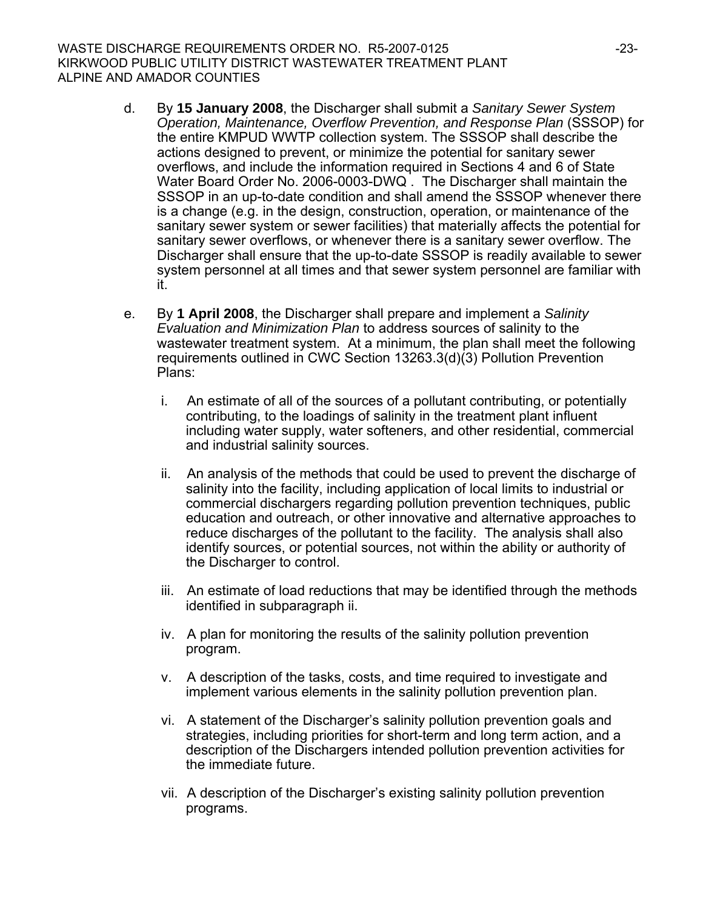- d. By **15 January 2008**, the Discharger shall submit a *Sanitary Sewer System Operation, Maintenance, Overflow Prevention, and Response Plan* (SSSOP) for the entire KMPUD WWTP collection system. The SSSOP shall describe the actions designed to prevent, or minimize the potential for sanitary sewer overflows, and include the information required in Sections 4 and 6 of State Water Board Order No. 2006-0003-DWQ . The Discharger shall maintain the SSSOP in an up-to-date condition and shall amend the SSSOP whenever there is a change (e.g. in the design, construction, operation, or maintenance of the sanitary sewer system or sewer facilities) that materially affects the potential for sanitary sewer overflows, or whenever there is a sanitary sewer overflow. The Discharger shall ensure that the up-to-date SSSOP is readily available to sewer system personnel at all times and that sewer system personnel are familiar with it.
- e. By **1 April 2008**, the Discharger shall prepare and implement a *Salinity Evaluation and Minimization Plan* to address sources of salinity to the wastewater treatment system. At a minimum, the plan shall meet the following requirements outlined in CWC Section 13263.3(d)(3) Pollution Prevention Plans:
	- i. An estimate of all of the sources of a pollutant contributing, or potentially contributing, to the loadings of salinity in the treatment plant influent including water supply, water softeners, and other residential, commercial and industrial salinity sources.
	- ii. An analysis of the methods that could be used to prevent the discharge of salinity into the facility, including application of local limits to industrial or commercial dischargers regarding pollution prevention techniques, public education and outreach, or other innovative and alternative approaches to reduce discharges of the pollutant to the facility. The analysis shall also identify sources, or potential sources, not within the ability or authority of the Discharger to control.
	- iii. An estimate of load reductions that may be identified through the methods identified in subparagraph ii.
	- iv. A plan for monitoring the results of the salinity pollution prevention program.
	- v. A description of the tasks, costs, and time required to investigate and implement various elements in the salinity pollution prevention plan.
	- vi. A statement of the Discharger's salinity pollution prevention goals and strategies, including priorities for short-term and long term action, and a description of the Dischargers intended pollution prevention activities for the immediate future.
	- vii. A description of the Discharger's existing salinity pollution prevention programs.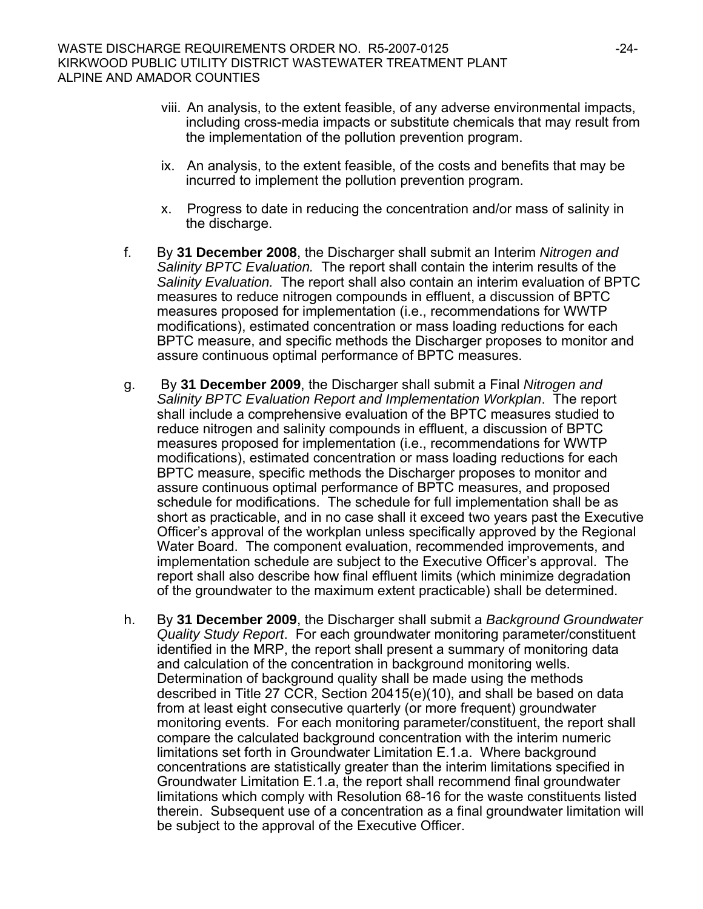- viii. An analysis, to the extent feasible, of any adverse environmental impacts, including cross-media impacts or substitute chemicals that may result from the implementation of the pollution prevention program.
- ix. An analysis, to the extent feasible, of the costs and benefits that may be incurred to implement the pollution prevention program.
- x. Progress to date in reducing the concentration and/or mass of salinity in the discharge.
- f. By **31 December 2008**, the Discharger shall submit an Interim *Nitrogen and Salinity BPTC Evaluation.* The report shall contain the interim results of the *Salinity Evaluation.* The report shall also contain an interim evaluation of BPTC measures to reduce nitrogen compounds in effluent, a discussion of BPTC measures proposed for implementation (i.e., recommendations for WWTP modifications), estimated concentration or mass loading reductions for each BPTC measure, and specific methods the Discharger proposes to monitor and assure continuous optimal performance of BPTC measures.
- g. By **31 December 2009**, the Discharger shall submit a Final *Nitrogen and Salinity BPTC Evaluation Report and Implementation Workplan*. The report shall include a comprehensive evaluation of the BPTC measures studied to reduce nitrogen and salinity compounds in effluent, a discussion of BPTC measures proposed for implementation (i.e., recommendations for WWTP modifications), estimated concentration or mass loading reductions for each BPTC measure, specific methods the Discharger proposes to monitor and assure continuous optimal performance of BPTC measures, and proposed schedule for modifications. The schedule for full implementation shall be as short as practicable, and in no case shall it exceed two years past the Executive Officer's approval of the workplan unless specifically approved by the Regional Water Board. The component evaluation, recommended improvements, and implementation schedule are subject to the Executive Officer's approval. The report shall also describe how final effluent limits (which minimize degradation of the groundwater to the maximum extent practicable) shall be determined.
- h. By **31 December 2009**, the Discharger shall submit a *Background Groundwater Quality Study Report*. For each groundwater monitoring parameter/constituent identified in the MRP, the report shall present a summary of monitoring data and calculation of the concentration in background monitoring wells. Determination of background quality shall be made using the methods described in Title 27 CCR, Section 20415(e)(10), and shall be based on data from at least eight consecutive quarterly (or more frequent) groundwater monitoring events. For each monitoring parameter/constituent, the report shall compare the calculated background concentration with the interim numeric limitations set forth in Groundwater Limitation E.1.a. Where background concentrations are statistically greater than the interim limitations specified in Groundwater Limitation E.1.a, the report shall recommend final groundwater limitations which comply with Resolution 68-16 for the waste constituents listed therein. Subsequent use of a concentration as a final groundwater limitation will be subject to the approval of the Executive Officer.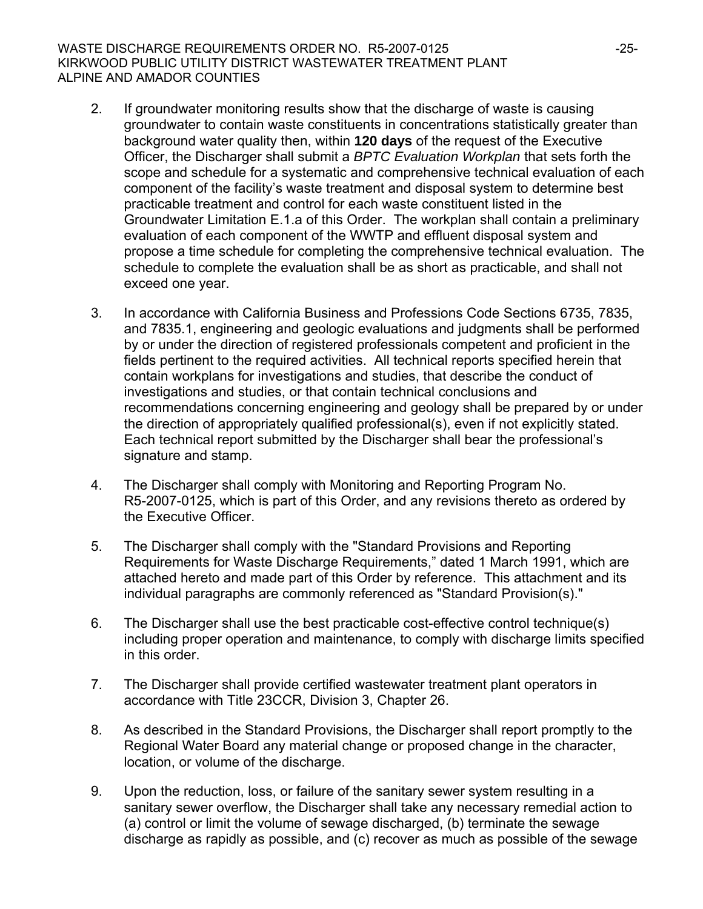#### WASTE DISCHARGE REQUIREMENTS ORDER NO. R5-2007-0125 KIRKWOOD PUBLIC UTILITY DISTRICT WASTEWATER TREATMENT PLANT ALPINE AND AMADOR COUNTIES

- 2. If groundwater monitoring results show that the discharge of waste is causing groundwater to contain waste constituents in concentrations statistically greater than background water quality then, within **120 days** of the request of the Executive Officer, the Discharger shall submit a *BPTC Evaluation Workplan* that sets forth the scope and schedule for a systematic and comprehensive technical evaluation of each component of the facility's waste treatment and disposal system to determine best practicable treatment and control for each waste constituent listed in the Groundwater Limitation E.1.a of this Order. The workplan shall contain a preliminary evaluation of each component of the WWTP and effluent disposal system and propose a time schedule for completing the comprehensive technical evaluation. The schedule to complete the evaluation shall be as short as practicable, and shall not exceed one year.
- 3. In accordance with California Business and Professions Code Sections 6735, 7835, and 7835.1, engineering and geologic evaluations and judgments shall be performed by or under the direction of registered professionals competent and proficient in the fields pertinent to the required activities. All technical reports specified herein that contain workplans for investigations and studies, that describe the conduct of investigations and studies, or that contain technical conclusions and recommendations concerning engineering and geology shall be prepared by or under the direction of appropriately qualified professional(s), even if not explicitly stated. Each technical report submitted by the Discharger shall bear the professional's signature and stamp.
- 4. The Discharger shall comply with Monitoring and Reporting Program No. R5-2007-0125, which is part of this Order, and any revisions thereto as ordered by the Executive Officer.
- 5. The Discharger shall comply with the "Standard Provisions and Reporting Requirements for Waste Discharge Requirements," dated 1 March 1991, which are attached hereto and made part of this Order by reference. This attachment and its individual paragraphs are commonly referenced as "Standard Provision(s)."
- 6. The Discharger shall use the best practicable cost-effective control technique(s) including proper operation and maintenance, to comply with discharge limits specified in this order.
- 7. The Discharger shall provide certified wastewater treatment plant operators in accordance with Title 23CCR, Division 3, Chapter 26.
- 8. As described in the Standard Provisions, the Discharger shall report promptly to the Regional Water Board any material change or proposed change in the character, location, or volume of the discharge.
- 9. Upon the reduction, loss, or failure of the sanitary sewer system resulting in a sanitary sewer overflow, the Discharger shall take any necessary remedial action to (a) control or limit the volume of sewage discharged, (b) terminate the sewage discharge as rapidly as possible, and (c) recover as much as possible of the sewage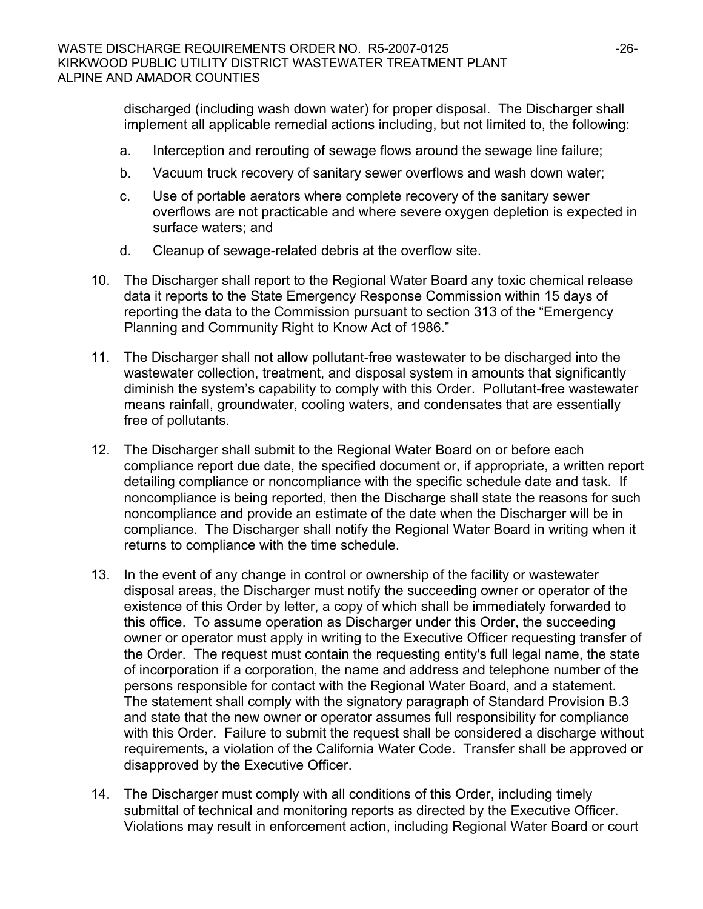discharged (including wash down water) for proper disposal. The Discharger shall implement all applicable remedial actions including, but not limited to, the following:

- a. Interception and rerouting of sewage flows around the sewage line failure;
- b. Vacuum truck recovery of sanitary sewer overflows and wash down water;
- c. Use of portable aerators where complete recovery of the sanitary sewer overflows are not practicable and where severe oxygen depletion is expected in surface waters; and
- d. Cleanup of sewage-related debris at the overflow site.
- 10. The Discharger shall report to the Regional Water Board any toxic chemical release data it reports to the State Emergency Response Commission within 15 days of reporting the data to the Commission pursuant to section 313 of the "Emergency Planning and Community Right to Know Act of 1986."
- 11. The Discharger shall not allow pollutant-free wastewater to be discharged into the wastewater collection, treatment, and disposal system in amounts that significantly diminish the system's capability to comply with this Order. Pollutant-free wastewater means rainfall, groundwater, cooling waters, and condensates that are essentially free of pollutants.
- 12. The Discharger shall submit to the Regional Water Board on or before each compliance report due date, the specified document or, if appropriate, a written report detailing compliance or noncompliance with the specific schedule date and task. If noncompliance is being reported, then the Discharge shall state the reasons for such noncompliance and provide an estimate of the date when the Discharger will be in compliance. The Discharger shall notify the Regional Water Board in writing when it returns to compliance with the time schedule.
- 13. In the event of any change in control or ownership of the facility or wastewater disposal areas, the Discharger must notify the succeeding owner or operator of the existence of this Order by letter, a copy of which shall be immediately forwarded to this office. To assume operation as Discharger under this Order, the succeeding owner or operator must apply in writing to the Executive Officer requesting transfer of the Order. The request must contain the requesting entity's full legal name, the state of incorporation if a corporation, the name and address and telephone number of the persons responsible for contact with the Regional Water Board, and a statement. The statement shall comply with the signatory paragraph of Standard Provision B.3 and state that the new owner or operator assumes full responsibility for compliance with this Order. Failure to submit the request shall be considered a discharge without requirements, a violation of the California Water Code. Transfer shall be approved or disapproved by the Executive Officer.
- 14. The Discharger must comply with all conditions of this Order, including timely submittal of technical and monitoring reports as directed by the Executive Officer. Violations may result in enforcement action, including Regional Water Board or court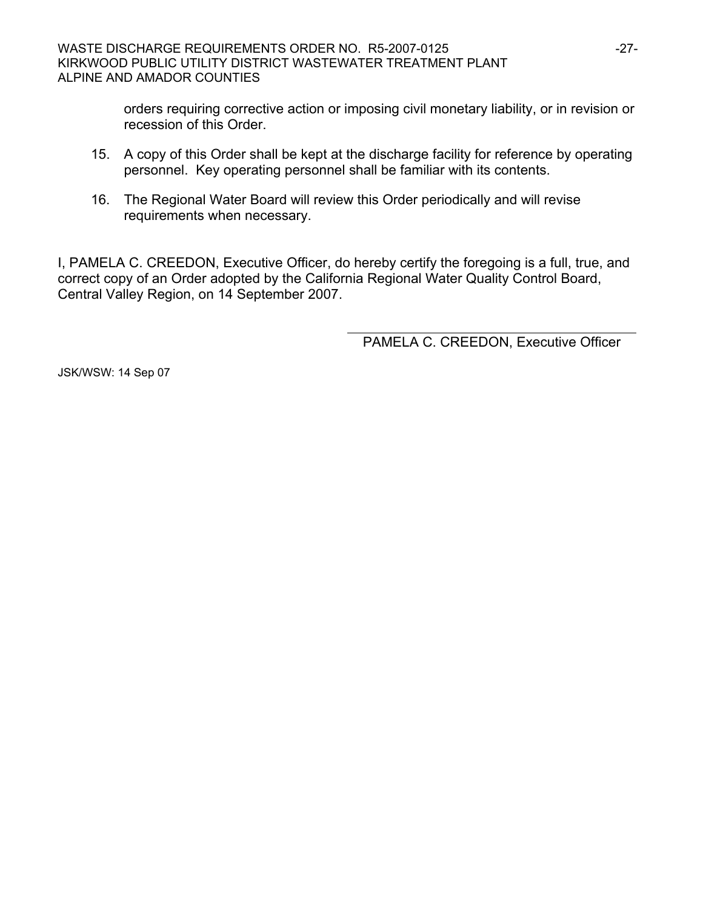orders requiring corrective action or imposing civil monetary liability, or in revision or recession of this Order.

- 15. A copy of this Order shall be kept at the discharge facility for reference by operating personnel. Key operating personnel shall be familiar with its contents.
- 16. The Regional Water Board will review this Order periodically and will revise requirements when necessary.

I, PAMELA C. CREEDON, Executive Officer, do hereby certify the foregoing is a full, true, and correct copy of an Order adopted by the California Regional Water Quality Control Board, Central Valley Region, on 14 September 2007.

PAMELA C. CREEDON, Executive Officer

JSK/WSW: 14 Sep 07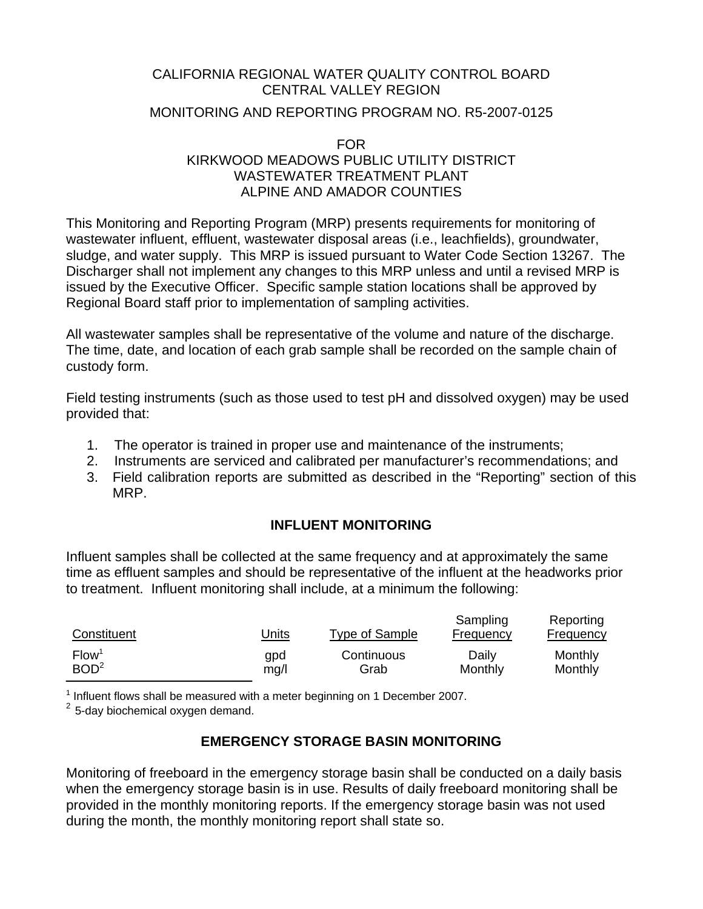### CALIFORNIA REGIONAL WATER QUALITY CONTROL BOARD CENTRAL VALLEY REGION

### MONITORING AND REPORTING PROGRAM NO. R5-2007-0125

FOR

# KIRKWOOD MEADOWS PUBLIC UTILITY DISTRICT WASTEWATER TREATMENT PLANT ALPINE AND AMADOR COUNTIES

This Monitoring and Reporting Program (MRP) presents requirements for monitoring of wastewater influent, effluent, wastewater disposal areas (i.e., leachfields), groundwater, sludge, and water supply. This MRP is issued pursuant to Water Code Section 13267. The Discharger shall not implement any changes to this MRP unless and until a revised MRP is issued by the Executive Officer. Specific sample station locations shall be approved by Regional Board staff prior to implementation of sampling activities.

All wastewater samples shall be representative of the volume and nature of the discharge. The time, date, and location of each grab sample shall be recorded on the sample chain of custody form.

Field testing instruments (such as those used to test pH and dissolved oxygen) may be used provided that:

- 1. The operator is trained in proper use and maintenance of the instruments;
- 2. Instruments are serviced and calibrated per manufacturer's recommendations; and
- 3. Field calibration reports are submitted as described in the "Reporting" section of this MRP.

# **INFLUENT MONITORING**

Influent samples shall be collected at the same frequency and at approximately the same time as effluent samples and should be representative of the influent at the headworks prior to treatment. Influent monitoring shall include, at a minimum the following:

| Constituent       | <u>Units</u> | Type of Sample | Sampling<br><b>Frequency</b> | Reporting<br>Frequency |
|-------------------|--------------|----------------|------------------------------|------------------------|
| Flow <sup>1</sup> | gpd          | Continuous     | Daily                        | Monthly                |
| BOD <sup>2</sup>  | mg/l         | Grab           | Monthly                      | Monthly                |

————————————————————<br><sup>1</sup> Influent flows shall be measured with a meter beginning on 1 December 2007.

 $2$  5-day biochemical oxygen demand.

# **EMERGENCY STORAGE BASIN MONITORING**

Monitoring of freeboard in the emergency storage basin shall be conducted on a daily basis when the emergency storage basin is in use. Results of daily freeboard monitoring shall be provided in the monthly monitoring reports. If the emergency storage basin was not used during the month, the monthly monitoring report shall state so.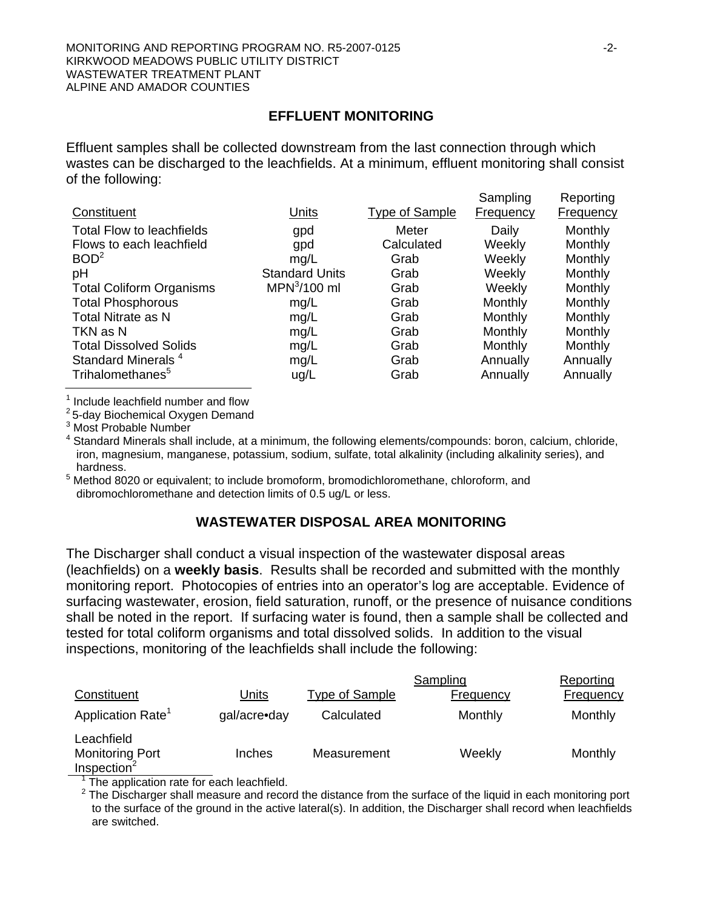# **EFFLUENT MONITORING**

Effluent samples shall be collected downstream from the last connection through which wastes can be discharged to the leachfields. At a minimum, effluent monitoring shall consist of the following:

|                                  |                       |                       | Sampling         | Reporting        |
|----------------------------------|-----------------------|-----------------------|------------------|------------------|
| Constituent                      | Units                 | <b>Type of Sample</b> | <b>Frequency</b> | <b>Frequency</b> |
| <b>Total Flow to leachfields</b> | gpd                   | Meter                 | Daily            | Monthly          |
| Flows to each leachfield         | gpd                   | Calculated            | Weekly           | Monthly          |
| BOD <sup>2</sup>                 | mq/L                  | Grab                  | Weekly           | Monthly          |
| pH                               | <b>Standard Units</b> | Grab                  | Weekly           | Monthly          |
| <b>Total Coliform Organisms</b>  | $MPN3/100$ ml         | Grab                  | Weekly           | Monthly          |
| <b>Total Phosphorous</b>         | mg/L                  | Grab                  | Monthly          | Monthly          |
| <b>Total Nitrate as N</b>        | mg/L                  | Grab                  | Monthly          | Monthly          |
| TKN as N                         | mg/L                  | Grab                  | Monthly          | Monthly          |
| <b>Total Dissolved Solids</b>    | mg/L                  | Grab                  | Monthly          | Monthly          |
| Standard Minerals <sup>4</sup>   | mg/L                  | Grab                  | Annually         | Annually         |
| Trihalomethanes <sup>5</sup>     | ug/L                  | Grab                  | Annually         | Annually         |
|                                  |                       |                       |                  |                  |

<sup>1</sup> Include leachfield number and flow

<sup>2</sup> 5-day Biochemical Oxygen Demand

<sup>3</sup> Most Probable Number

 Standard Minerals shall include, at a minimum, the following elements/compounds: boron, calcium, chloride, iron, magnesium, manganese, potassium, sodium, sulfate, total alkalinity (including alkalinity series), and hardness.

<sup>5</sup> Method 8020 or equivalent; to include bromoform, bromodichloromethane, chloroform, and dibromochloromethane and detection limits of 0.5 ug/L or less.

### **WASTEWATER DISPOSAL AREA MONITORING**

The Discharger shall conduct a visual inspection of the wastewater disposal areas (leachfields) on a **weekly basis**. Results shall be recorded and submitted with the monthly monitoring report. Photocopies of entries into an operator's log are acceptable. Evidence of surfacing wastewater, erosion, field saturation, runoff, or the presence of nuisance conditions shall be noted in the report. If surfacing water is found, then a sample shall be collected and tested for total coliform organisms and total dissolved solids. In addition to the visual inspections, monitoring of the leachfields shall include the following:

|                                                                 |              |                       | Sampling         | Reporting        |
|-----------------------------------------------------------------|--------------|-----------------------|------------------|------------------|
| Constituent                                                     | <u>Units</u> | <b>Type of Sample</b> | <b>Frequency</b> | <b>Frequency</b> |
| Application Rate <sup>1</sup>                                   | gal/acre•day | Calculated            | Monthly          | Monthly          |
| Leachfield<br><b>Monitoring Port</b><br>Inspection <sup>2</sup> | Inches       | Measurement           | Weekly           | Monthly          |

The application rate for each leachfield.

Reporting

Sampling

 $2$  The Discharger shall measure and record the distance from the surface of the liquid in each monitoring port to the surface of the ground in the active lateral(s). In addition, the Discharger shall record when leachfields are switched.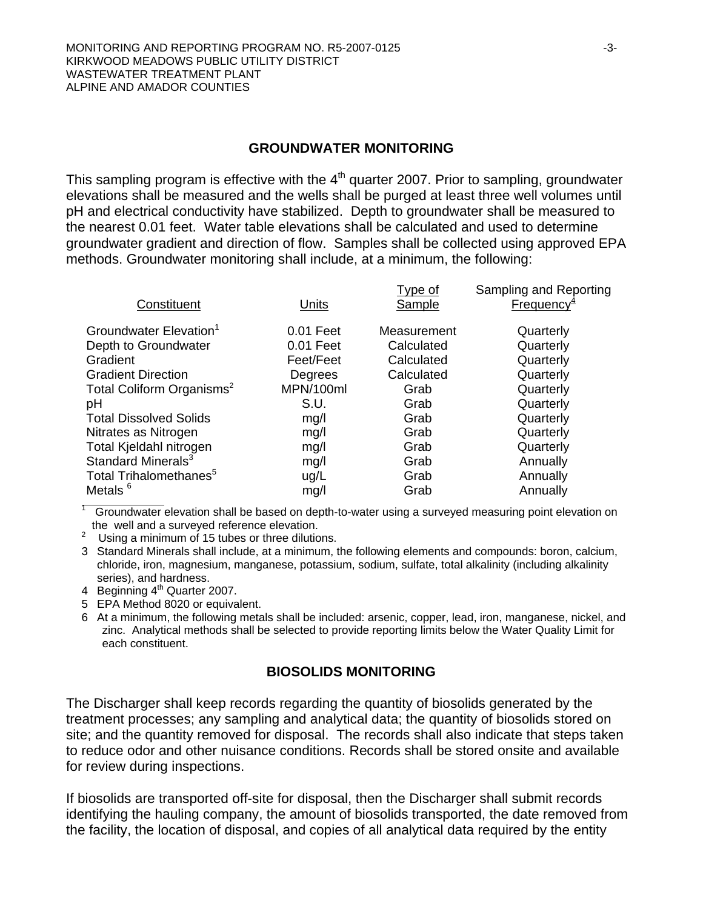#### **GROUNDWATER MONITORING**

This sampling program is effective with the  $4<sup>th</sup>$  quarter 2007. Prior to sampling, groundwater elevations shall be measured and the wells shall be purged at least three well volumes until pH and electrical conductivity have stabilized. Depth to groundwater shall be measured to the nearest 0.01 feet. Water table elevations shall be calculated and used to determine groundwater gradient and direction of flow. Samples shall be collected using approved EPA methods. Groundwater monitoring shall include, at a minimum, the following:

| Constituent                           | Units       | <b>Type of</b><br>Sample | Sampling and Reporting<br>Frequency $4$ |
|---------------------------------------|-------------|--------------------------|-----------------------------------------|
| Groundwater Elevation <sup>1</sup>    | $0.01$ Feet | Measurement              | Quarterly                               |
| Depth to Groundwater                  | 0.01 Feet   | Calculated               | Quarterly                               |
| Gradient                              | Feet/Feet   | Calculated               | Quarterly                               |
| <b>Gradient Direction</b>             | Degrees     | Calculated               | Quarterly                               |
| Total Coliform Organisms <sup>2</sup> | MPN/100ml   | Grab                     | Quarterly                               |
| рH                                    | S.U.        | Grab                     | Quarterly                               |
| <b>Total Dissolved Solids</b>         | mg/l        | Grab                     | Quarterly                               |
| Nitrates as Nitrogen                  | mg/l        | Grab                     | Quarterly                               |
| Total Kjeldahl nitrogen               | mg/l        | Grab                     | Quarterly                               |
| Standard Minerals <sup>3</sup>        | mg/l        | Grab                     | Annually                                |
| Total Trihalomethanes <sup>5</sup>    | ug/L        | Grab                     | Annually                                |
| Metals <sup>6</sup>                   | mg/l        | Grab                     | Annually                                |

1 Groundwater elevation shall be based on depth-to-water using a surveyed measuring point elevation on the well and a surveyed reference elevation.

<sup>2</sup> Using a minimum of 15 tubes or three dilutions.

3 Standard Minerals shall include, at a minimum, the following elements and compounds: boron, calcium, chloride, iron, magnesium, manganese, potassium, sodium, sulfate, total alkalinity (including alkalinity series), and hardness.

4 Beginning 4<sup>th</sup> Quarter 2007.

5 EPA Method 8020 or equivalent.

6 At a minimum, the following metals shall be included: arsenic, copper, lead, iron, manganese, nickel, and zinc. Analytical methods shall be selected to provide reporting limits below the Water Quality Limit for each constituent.

#### **BIOSOLIDS MONITORING**

The Discharger shall keep records regarding the quantity of biosolids generated by the treatment processes; any sampling and analytical data; the quantity of biosolids stored on site; and the quantity removed for disposal. The records shall also indicate that steps taken to reduce odor and other nuisance conditions. Records shall be stored onsite and available for review during inspections.

If biosolids are transported off-site for disposal, then the Discharger shall submit records identifying the hauling company, the amount of biosolids transported, the date removed from the facility, the location of disposal, and copies of all analytical data required by the entity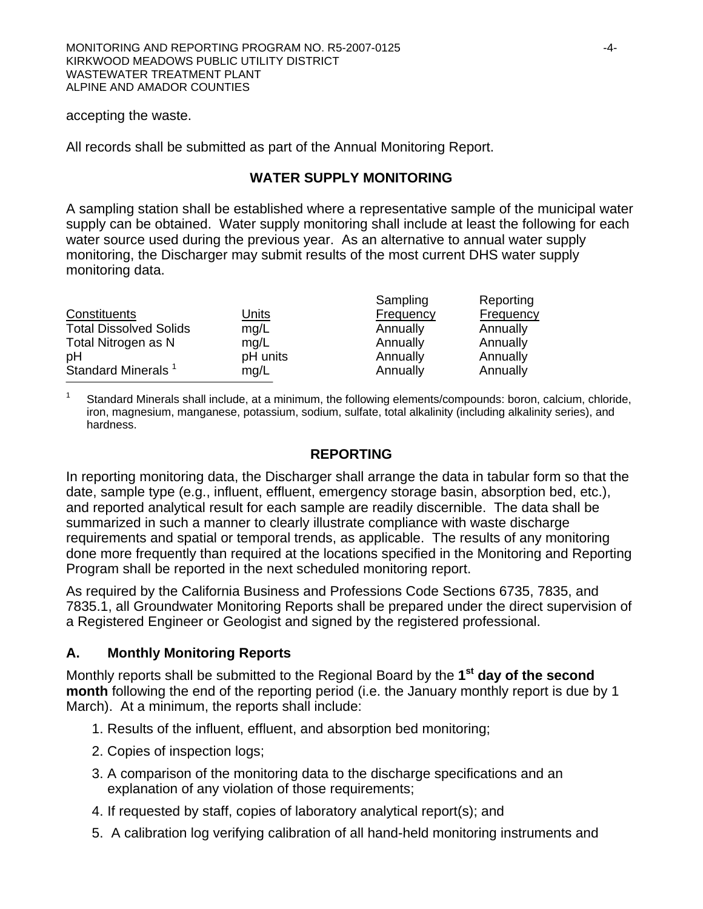accepting the waste.

All records shall be submitted as part of the Annual Monitoring Report.

#### **WATER SUPPLY MONITORING**

A sampling station shall be established where a representative sample of the municipal water supply can be obtained. Water supply monitoring shall include at least the following for each water source used during the previous year. As an alternative to annual water supply monitoring, the Discharger may submit results of the most current DHS water supply monitoring data.

|                                |              | Sampling  | Reporting |
|--------------------------------|--------------|-----------|-----------|
| Constituents                   | <u>Units</u> | Frequency | Frequency |
| <b>Total Dissolved Solids</b>  | mg/L         | Annually  | Annually  |
| Total Nitrogen as N            | mq/L         | Annually  | Annually  |
| pH                             | pH units     | Annually  | Annually  |
| Standard Minerals <sup>1</sup> | mg/L         | Annually  | Annually  |
|                                |              |           |           |

Standard Minerals shall include, at a minimum, the following elements/compounds: boron, calcium, chloride, iron, magnesium, manganese, potassium, sodium, sulfate, total alkalinity (including alkalinity series), and hardness.

#### **REPORTING**

In reporting monitoring data, the Discharger shall arrange the data in tabular form so that the date, sample type (e.g., influent, effluent, emergency storage basin, absorption bed, etc.), and reported analytical result for each sample are readily discernible. The data shall be summarized in such a manner to clearly illustrate compliance with waste discharge requirements and spatial or temporal trends, as applicable. The results of any monitoring done more frequently than required at the locations specified in the Monitoring and Reporting Program shall be reported in the next scheduled monitoring report.

As required by the California Business and Professions Code Sections 6735, 7835, and 7835.1, all Groundwater Monitoring Reports shall be prepared under the direct supervision of a Registered Engineer or Geologist and signed by the registered professional.

### **A. Monthly Monitoring Reports**

Monthly reports shall be submitted to the Regional Board by the **1st day of the second month** following the end of the reporting period (i.e. the January monthly report is due by 1 March). At a minimum, the reports shall include:

- 1. Results of the influent, effluent, and absorption bed monitoring;
- 2. Copies of inspection logs;
- 3. A comparison of the monitoring data to the discharge specifications and an explanation of any violation of those requirements;
- 4. If requested by staff, copies of laboratory analytical report(s); and
- 5. A calibration log verifying calibration of all hand-held monitoring instruments and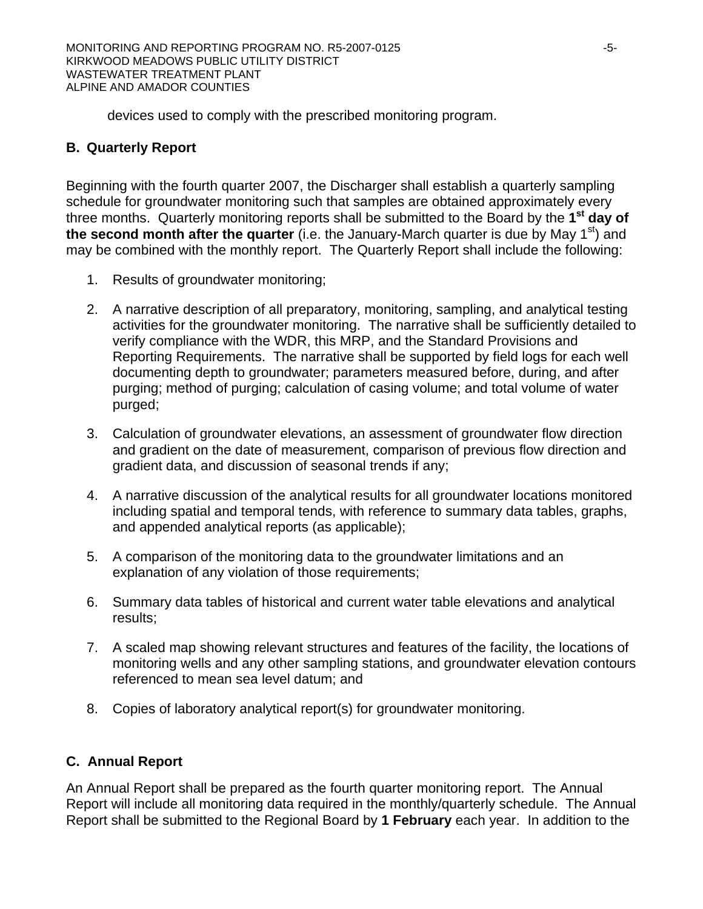devices used to comply with the prescribed monitoring program.

# **B. Quarterly Report**

Beginning with the fourth quarter 2007, the Discharger shall establish a quarterly sampling schedule for groundwater monitoring such that samples are obtained approximately every three months. Quarterly monitoring reports shall be submitted to the Board by the **1st day of**  the second month after the quarter (i.e. the January-March quarter is due by May 1<sup>st</sup>) and may be combined with the monthly report. The Quarterly Report shall include the following:

- 1. Results of groundwater monitoring;
- 2. A narrative description of all preparatory, monitoring, sampling, and analytical testing activities for the groundwater monitoring. The narrative shall be sufficiently detailed to verify compliance with the WDR, this MRP, and the Standard Provisions and Reporting Requirements. The narrative shall be supported by field logs for each well documenting depth to groundwater; parameters measured before, during, and after purging; method of purging; calculation of casing volume; and total volume of water purged;
- 3. Calculation of groundwater elevations, an assessment of groundwater flow direction and gradient on the date of measurement, comparison of previous flow direction and gradient data, and discussion of seasonal trends if any;
- 4. A narrative discussion of the analytical results for all groundwater locations monitored including spatial and temporal tends, with reference to summary data tables, graphs, and appended analytical reports (as applicable);
- 5. A comparison of the monitoring data to the groundwater limitations and an explanation of any violation of those requirements;
- 6. Summary data tables of historical and current water table elevations and analytical results;
- 7. A scaled map showing relevant structures and features of the facility, the locations of monitoring wells and any other sampling stations, and groundwater elevation contours referenced to mean sea level datum; and
- 8. Copies of laboratory analytical report(s) for groundwater monitoring.

# **C. Annual Report**

An Annual Report shall be prepared as the fourth quarter monitoring report. The Annual Report will include all monitoring data required in the monthly/quarterly schedule. The Annual Report shall be submitted to the Regional Board by **1 February** each year. In addition to the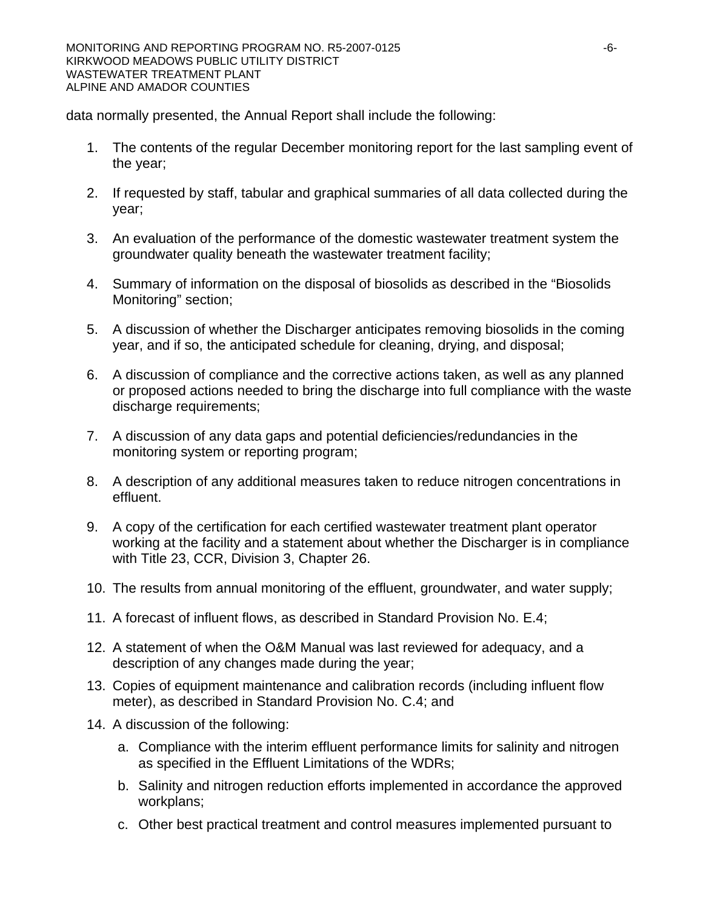data normally presented, the Annual Report shall include the following:

- 1. The contents of the regular December monitoring report for the last sampling event of the year;
- 2. If requested by staff, tabular and graphical summaries of all data collected during the year;
- 3. An evaluation of the performance of the domestic wastewater treatment system the groundwater quality beneath the wastewater treatment facility;
- 4. Summary of information on the disposal of biosolids as described in the "Biosolids Monitoring" section;
- 5. A discussion of whether the Discharger anticipates removing biosolids in the coming year, and if so, the anticipated schedule for cleaning, drying, and disposal;
- 6. A discussion of compliance and the corrective actions taken, as well as any planned or proposed actions needed to bring the discharge into full compliance with the waste discharge requirements;
- 7. A discussion of any data gaps and potential deficiencies/redundancies in the monitoring system or reporting program;
- 8. A description of any additional measures taken to reduce nitrogen concentrations in effluent.
- 9. A copy of the certification for each certified wastewater treatment plant operator working at the facility and a statement about whether the Discharger is in compliance with Title 23, CCR, Division 3, Chapter 26.
- 10. The results from annual monitoring of the effluent, groundwater, and water supply;
- 11. A forecast of influent flows, as described in Standard Provision No. E.4;
- 12. A statement of when the O&M Manual was last reviewed for adequacy, and a description of any changes made during the year;
- 13. Copies of equipment maintenance and calibration records (including influent flow meter), as described in Standard Provision No. C.4; and
- 14. A discussion of the following:
	- a. Compliance with the interim effluent performance limits for salinity and nitrogen as specified in the Effluent Limitations of the WDRs;
	- b. Salinity and nitrogen reduction efforts implemented in accordance the approved workplans;
	- c. Other best practical treatment and control measures implemented pursuant to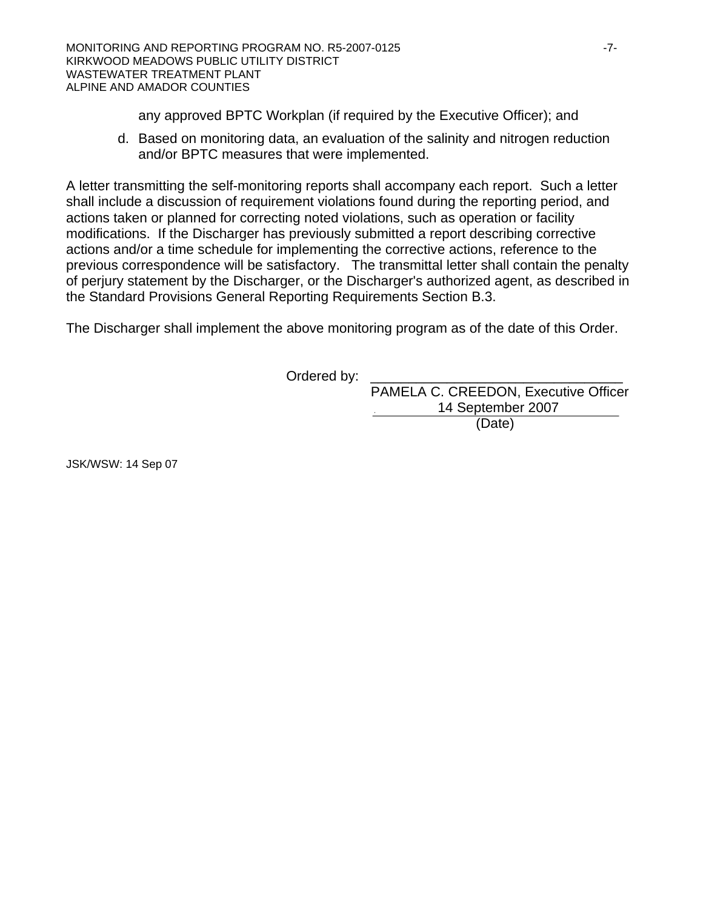any approved BPTC Workplan (if required by the Executive Officer); and

d. Based on monitoring data, an evaluation of the salinity and nitrogen reduction and/or BPTC measures that were implemented.

A letter transmitting the self-monitoring reports shall accompany each report. Such a letter shall include a discussion of requirement violations found during the reporting period, and actions taken or planned for correcting noted violations, such as operation or facility modifications. If the Discharger has previously submitted a report describing corrective actions and/or a time schedule for implementing the corrective actions, reference to the previous correspondence will be satisfactory. The transmittal letter shall contain the penalty of perjury statement by the Discharger, or the Discharger's authorized agent, as described in the Standard Provisions General Reporting Requirements Section B.3.

The Discharger shall implement the above monitoring program as of the date of this Order.

Ordered by:

 PAMELA C. CREEDON, Executive Officer 14 September 2007 (Date)

JSK/WSW: 14 Sep 07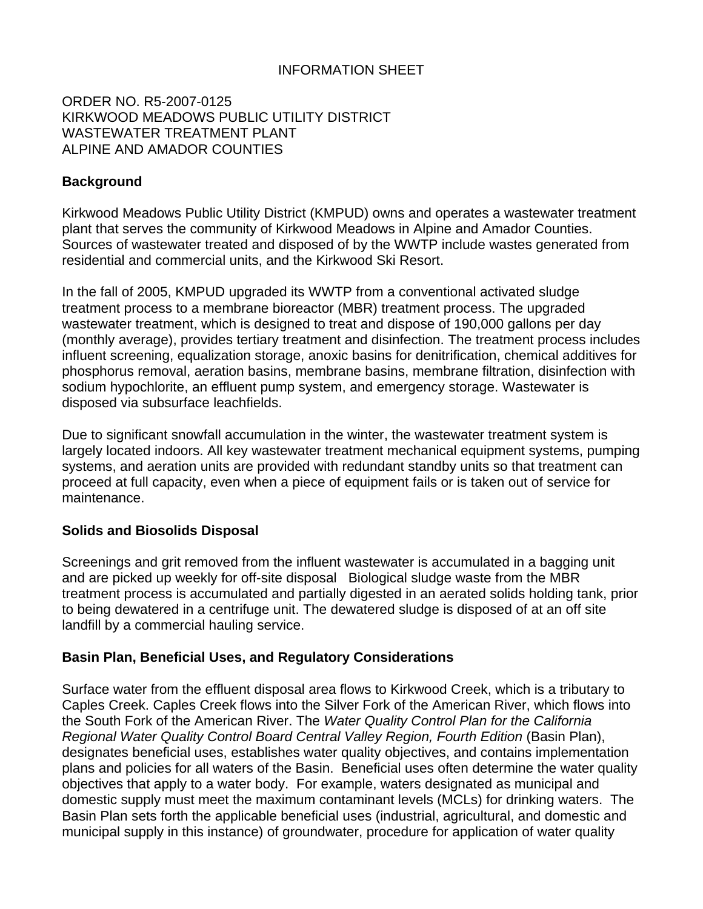# INFORMATION SHEET

#### ORDER NO. R5-2007-0125 KIRKWOOD MEADOWS PUBLIC UTILITY DISTRICT WASTEWATER TREATMENT PLANT ALPINE AND AMADOR COUNTIES

# **Background**

Kirkwood Meadows Public Utility District (KMPUD) owns and operates a wastewater treatment plant that serves the community of Kirkwood Meadows in Alpine and Amador Counties. Sources of wastewater treated and disposed of by the WWTP include wastes generated from residential and commercial units, and the Kirkwood Ski Resort.

In the fall of 2005, KMPUD upgraded its WWTP from a conventional activated sludge treatment process to a membrane bioreactor (MBR) treatment process. The upgraded wastewater treatment, which is designed to treat and dispose of 190,000 gallons per day (monthly average), provides tertiary treatment and disinfection. The treatment process includes influent screening, equalization storage, anoxic basins for denitrification, chemical additives for phosphorus removal, aeration basins, membrane basins, membrane filtration, disinfection with sodium hypochlorite, an effluent pump system, and emergency storage. Wastewater is disposed via subsurface leachfields.

Due to significant snowfall accumulation in the winter, the wastewater treatment system is largely located indoors. All key wastewater treatment mechanical equipment systems, pumping systems, and aeration units are provided with redundant standby units so that treatment can proceed at full capacity, even when a piece of equipment fails or is taken out of service for maintenance.

### **Solids and Biosolids Disposal**

Screenings and grit removed from the influent wastewater is accumulated in a bagging unit and are picked up weekly for off-site disposal Biological sludge waste from the MBR treatment process is accumulated and partially digested in an aerated solids holding tank, prior to being dewatered in a centrifuge unit. The dewatered sludge is disposed of at an off site landfill by a commercial hauling service.

#### **Basin Plan, Beneficial Uses, and Regulatory Considerations**

Surface water from the effluent disposal area flows to Kirkwood Creek, which is a tributary to Caples Creek. Caples Creek flows into the Silver Fork of the American River, which flows into the South Fork of the American River. The *Water Quality Control Plan for the California Regional Water Quality Control Board Central Valley Region, Fourth Edition* (Basin Plan), designates beneficial uses, establishes water quality objectives, and contains implementation plans and policies for all waters of the Basin. Beneficial uses often determine the water quality objectives that apply to a water body. For example, waters designated as municipal and domestic supply must meet the maximum contaminant levels (MCLs) for drinking waters. The Basin Plan sets forth the applicable beneficial uses (industrial, agricultural, and domestic and municipal supply in this instance) of groundwater, procedure for application of water quality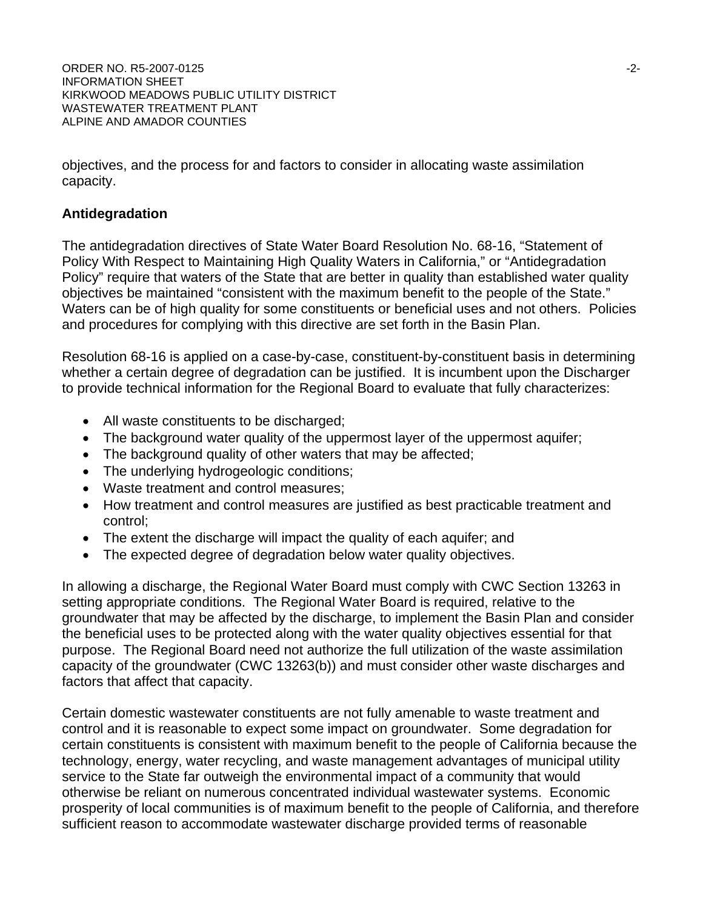ORDER NO. R5-2007-0125 -2-INFORMATION SHEET KIRKWOOD MEADOWS PUBLIC UTILITY DISTRICT WASTEWATER TREATMENT PLANT ALPINE AND AMADOR COUNTIES

objectives, and the process for and factors to consider in allocating waste assimilation capacity.

#### **Antidegradation**

The antidegradation directives of State Water Board Resolution No. 68-16, "Statement of Policy With Respect to Maintaining High Quality Waters in California," or "Antidegradation Policy" require that waters of the State that are better in quality than established water quality objectives be maintained "consistent with the maximum benefit to the people of the State." Waters can be of high quality for some constituents or beneficial uses and not others. Policies and procedures for complying with this directive are set forth in the Basin Plan.

Resolution 68-16 is applied on a case-by-case, constituent-by-constituent basis in determining whether a certain degree of degradation can be justified. It is incumbent upon the Discharger to provide technical information for the Regional Board to evaluate that fully characterizes:

- All waste constituents to be discharged;
- The background water quality of the uppermost layer of the uppermost aquifer;
- The background quality of other waters that may be affected;
- The underlying hydrogeologic conditions;
- Waste treatment and control measures;
- How treatment and control measures are justified as best practicable treatment and control;
- The extent the discharge will impact the quality of each aquifer; and
- The expected degree of degradation below water quality objectives.

In allowing a discharge, the Regional Water Board must comply with CWC Section 13263 in setting appropriate conditions. The Regional Water Board is required, relative to the groundwater that may be affected by the discharge, to implement the Basin Plan and consider the beneficial uses to be protected along with the water quality objectives essential for that purpose. The Regional Board need not authorize the full utilization of the waste assimilation capacity of the groundwater (CWC 13263(b)) and must consider other waste discharges and factors that affect that capacity.

Certain domestic wastewater constituents are not fully amenable to waste treatment and control and it is reasonable to expect some impact on groundwater. Some degradation for certain constituents is consistent with maximum benefit to the people of California because the technology, energy, water recycling, and waste management advantages of municipal utility service to the State far outweigh the environmental impact of a community that would otherwise be reliant on numerous concentrated individual wastewater systems. Economic prosperity of local communities is of maximum benefit to the people of California, and therefore sufficient reason to accommodate wastewater discharge provided terms of reasonable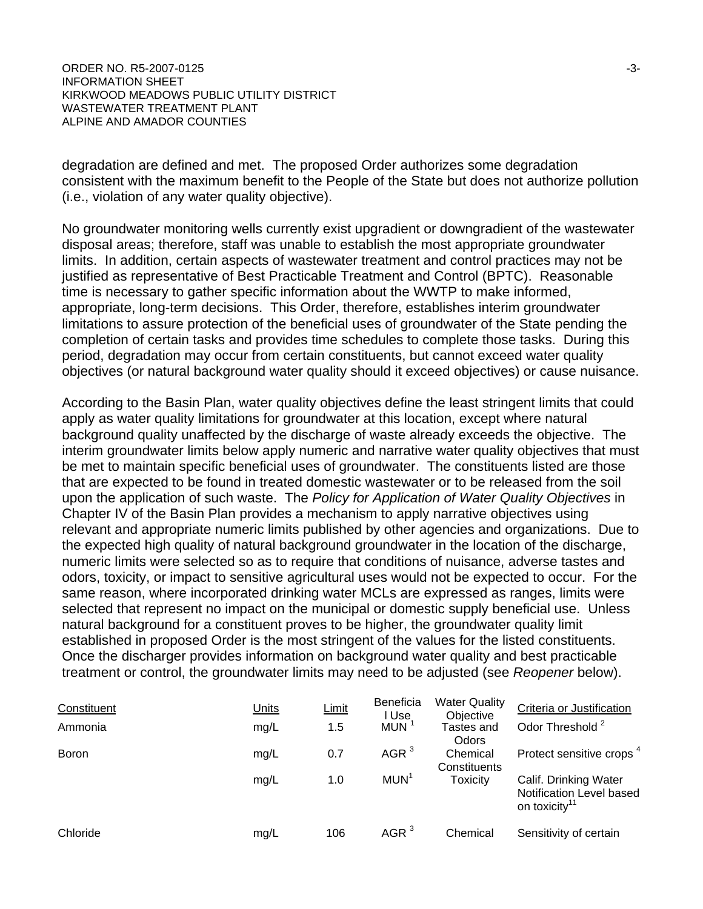degradation are defined and met. The proposed Order authorizes some degradation consistent with the maximum benefit to the People of the State but does not authorize pollution (i.e., violation of any water quality objective).

No groundwater monitoring wells currently exist upgradient or downgradient of the wastewater disposal areas; therefore, staff was unable to establish the most appropriate groundwater limits. In addition, certain aspects of wastewater treatment and control practices may not be justified as representative of Best Practicable Treatment and Control (BPTC). Reasonable time is necessary to gather specific information about the WWTP to make informed, appropriate, long-term decisions. This Order, therefore, establishes interim groundwater limitations to assure protection of the beneficial uses of groundwater of the State pending the completion of certain tasks and provides time schedules to complete those tasks. During this period, degradation may occur from certain constituents, but cannot exceed water quality objectives (or natural background water quality should it exceed objectives) or cause nuisance.

According to the Basin Plan, water quality objectives define the least stringent limits that could apply as water quality limitations for groundwater at this location, except where natural background quality unaffected by the discharge of waste already exceeds the objective. The interim groundwater limits below apply numeric and narrative water quality objectives that must be met to maintain specific beneficial uses of groundwater. The constituents listed are those that are expected to be found in treated domestic wastewater or to be released from the soil upon the application of such waste. The *Policy for Application of Water Quality Objectives* in Chapter IV of the Basin Plan provides a mechanism to apply narrative objectives using relevant and appropriate numeric limits published by other agencies and organizations. Due to the expected high quality of natural background groundwater in the location of the discharge, numeric limits were selected so as to require that conditions of nuisance, adverse tastes and odors, toxicity, or impact to sensitive agricultural uses would not be expected to occur. For the same reason, where incorporated drinking water MCLs are expressed as ranges, limits were selected that represent no impact on the municipal or domestic supply beneficial use. Unless natural background for a constituent proves to be higher, the groundwater quality limit established in proposed Order is the most stringent of the values for the listed constituents. Once the discharger provides information on background water quality and best practicable treatment or control, the groundwater limits may need to be adjusted (see *Reopener* below).

| Constituent  | <b>Units</b> | <b>Limit</b> | <b>Beneficia</b><br>l Use | <b>Water Quality</b><br>Objective | Criteria or Justification                                                      |
|--------------|--------------|--------------|---------------------------|-----------------------------------|--------------------------------------------------------------------------------|
| Ammonia      | mg/L         | 1.5          | <b>MUN</b>                | Tastes and<br>Odors               | Odor Threshold <sup>2</sup>                                                    |
| <b>Boron</b> | mg/L         | 0.7          | AGR <sup>3</sup>          | Chemical<br>Constituents          | Protect sensitive crops <sup>4</sup>                                           |
|              | mg/L         | 1.0          | MUN <sup>1</sup>          | <b>Toxicity</b>                   | Calif. Drinking Water<br>Notification Level based<br>on toxicity <sup>11</sup> |
| Chloride     | mg/L         | 106          | AGR <sup>3</sup>          | Chemical                          | Sensitivity of certain                                                         |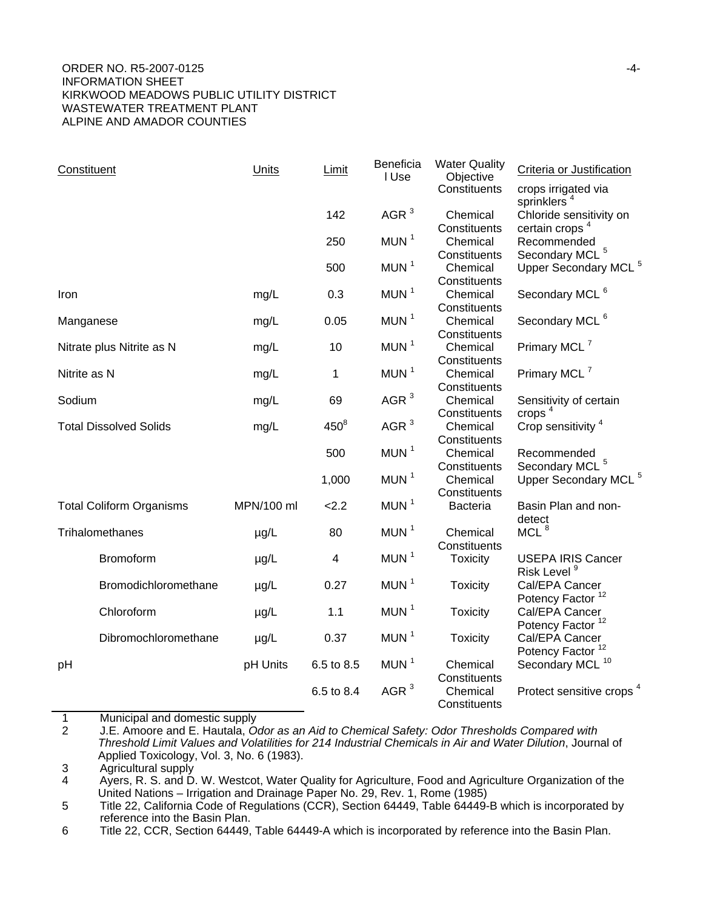#### ORDER NO. R5-2007-0125 -4-INFORMATION SHEET KIRKWOOD MEADOWS PUBLIC UTILITY DISTRICT WASTEWATER TREATMENT PLANT ALPINE AND AMADOR COUNTIES

| Constituent                     | Units      | Limit                   | Beneficia<br>I Use | <b>Water Quality</b><br>Objective | Criteria or Justification                                      |
|---------------------------------|------------|-------------------------|--------------------|-----------------------------------|----------------------------------------------------------------|
|                                 |            |                         |                    | Constituents                      | crops irrigated via<br>sprinklers <sup>4</sup>                 |
|                                 |            | 142                     | AGR $3$            | Chemical<br>Constituents          | Chloride sensitivity on<br>certain crops <sup>4</sup>          |
|                                 |            | 250                     | MUN <sup>1</sup>   | Chemical<br>Constituents          | Recommended<br>Secondary MCL <sup>5</sup>                      |
|                                 |            | 500                     | MUN <sup>1</sup>   | Chemical<br>Constituents          | Upper Secondary MCL <sup>5</sup>                               |
| Iron                            | mg/L       | 0.3                     | MUN <sup>1</sup>   | Chemical<br>Constituents          | Secondary MCL <sup>6</sup>                                     |
| Manganese                       | mg/L       | 0.05                    | MUN <sup>1</sup>   | Chemical<br>Constituents          | Secondary MCL <sup>6</sup>                                     |
| Nitrate plus Nitrite as N       | mg/L       | 10                      | MUN $1$            | Chemical<br>Constituents          | Primary MCL <sup>7</sup>                                       |
| Nitrite as N                    | mg/L       | $\mathbf{1}$            | MUN <sup>1</sup>   | Chemical<br>Constituents          | Primary MCL <sup>7</sup>                                       |
| Sodium                          | mg/L       | 69                      | AGR $3$            | Chemical<br>Constituents          | Sensitivity of certain<br>crops $4$                            |
| <b>Total Dissolved Solids</b>   | mg/L       | $450^8$                 | AGR $3$            | Chemical                          | Crop sensitivity <sup>4</sup>                                  |
|                                 |            | 500                     | MUN $1$            | Constituents<br>Chemical          | Recommended                                                    |
|                                 |            | 1,000                   | MUN <sup>1</sup>   | Constituents<br>Chemical          | Secondary MCL <sup>5</sup><br>Upper Secondary MCL <sup>5</sup> |
| <b>Total Coliform Organisms</b> | MPN/100 ml | 2.2                     | MUN <sup>1</sup>   | Constituents<br><b>Bacteria</b>   | Basin Plan and non-<br>detect                                  |
| Trihalomethanes                 | $\mu$ g/L  | 80                      | MUN <sup>1</sup>   | Chemical<br>Constituents          | MCL $8$                                                        |
| Bromoform                       | $\mu$ g/L  | $\overline{\mathbf{4}}$ | MUN <sup>1</sup>   | <b>Toxicity</b>                   | <b>USEPA IRIS Cancer</b><br>Risk Level <sup>9</sup>            |
| Bromodichloromethane            | $\mu$ g/L  | 0.27                    | MUN <sup>1</sup>   | <b>Toxicity</b>                   | Cal/EPA Cancer<br>Potency Factor <sup>12</sup>                 |
| Chloroform                      | $\mu$ g/L  | 1.1                     | MUN <sup>1</sup>   | <b>Toxicity</b>                   | Cal/EPA Cancer<br>Potency Factor <sup>12</sup>                 |
| Dibromochloromethane            | $\mu$ g/L  | 0.37                    | MUN <sup>1</sup>   | <b>Toxicity</b>                   | Cal/EPA Cancer<br>Potency Factor <sup>12</sup>                 |
| pH                              | pH Units   | 6.5 to 8.5              | MUN <sup>1</sup>   | Chemical<br>Constituents          | Secondary MCL <sup>10</sup>                                    |
|                                 |            | 6.5 to 8.4              | AGR $3$            | Chemical<br>Constituents          | Protect sensitive crops <sup>4</sup>                           |

1 Municipal and domestic supply

2 J.E. Amoore and E. Hautala, *Odor as an Aid to Chemical Safety: Odor Thresholds Compared with Threshold Limit Values and Volatilities for 214 Industrial Chemicals in Air and Water Dilution*, Journal of Applied Toxicology, Vol. 3, No. 6 (1983).

4 Ayers, R. S. and D. W. Westcot, Water Quality for Agriculture, Food and Agriculture Organization of the United Nations – Irrigation and Drainage Paper No. 29, Rev. 1, Rome (1985)

5 Title 22, California Code of Regulations (CCR), Section 64449, Table 64449-B which is incorporated by reference into the Basin Plan.

6 Title 22, CCR, Section 64449, Table 64449-A which is incorporated by reference into the Basin Plan.

<sup>3</sup> Agricultural supply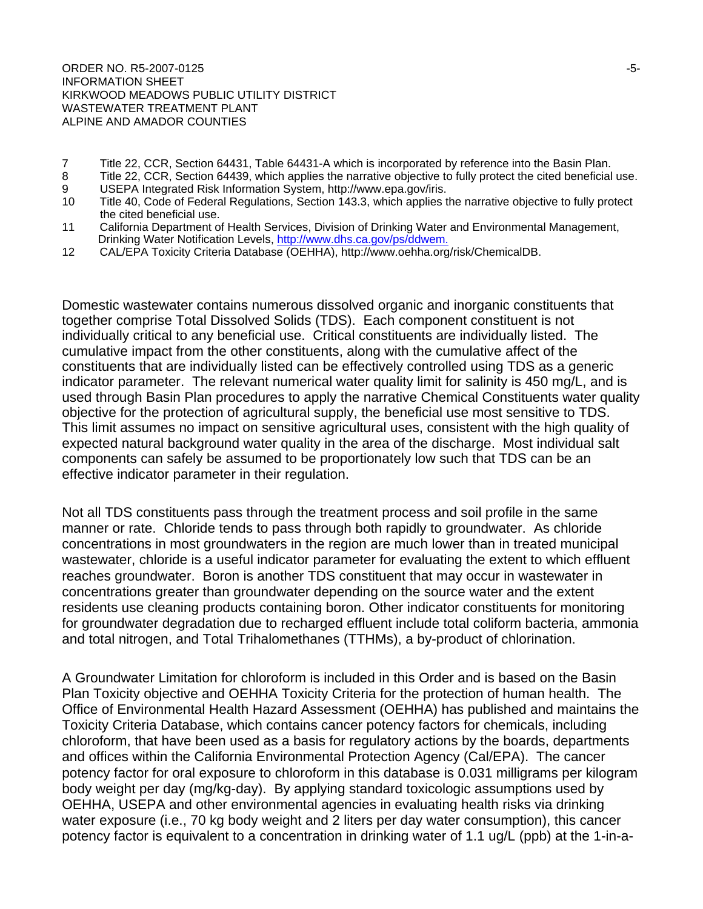ORDER NO. R5-2007-0125 - 5-2007 - 5-3-2007 - 5-3-2007 - 5-3-2007 - 5-3-2007 - 5-3-2007 - 5-3-2007 - 5-3-2007 - 5-INFORMATION SHEET KIRKWOOD MEADOWS PUBLIC UTILITY DISTRICT WASTEWATER TREATMENT PLANT ALPINE AND AMADOR COUNTIES

- 7 Title 22, CCR, Section 64431, Table 64431-A which is incorporated by reference into the Basin Plan.<br>8 Title 22, CCR, Section 64439, which applies the narrative objective to fully protect the cited beneficial
- Title 22, CCR, Section 64439, which applies the narrative objective to fully protect the cited beneficial use.
- 9 USEPA Integrated Risk Information System, http://www.epa.gov/iris. Title 40, Code of Federal Regulations, Section 143.3, which applies the narrative objective to fully protect
- the cited beneficial use.<br>11 California Department o California Department of Health Services, Division of Drinking Water and Environmental Management, Drinking Water Notification Levels, http://www.dhs.ca.gov/ps/ddwem.
- 12 CAL/EPA Toxicity Criteria Database (OEHHA), http://www.oehha.org/risk/ChemicalDB.

Domestic wastewater contains numerous dissolved organic and inorganic constituents that together comprise Total Dissolved Solids (TDS). Each component constituent is not individually critical to any beneficial use. Critical constituents are individually listed. The cumulative impact from the other constituents, along with the cumulative affect of the constituents that are individually listed can be effectively controlled using TDS as a generic indicator parameter. The relevant numerical water quality limit for salinity is 450 mg/L, and is used through Basin Plan procedures to apply the narrative Chemical Constituents water quality objective for the protection of agricultural supply, the beneficial use most sensitive to TDS. This limit assumes no impact on sensitive agricultural uses, consistent with the high quality of expected natural background water quality in the area of the discharge. Most individual salt components can safely be assumed to be proportionately low such that TDS can be an effective indicator parameter in their regulation.

Not all TDS constituents pass through the treatment process and soil profile in the same manner or rate. Chloride tends to pass through both rapidly to groundwater. As chloride concentrations in most groundwaters in the region are much lower than in treated municipal wastewater, chloride is a useful indicator parameter for evaluating the extent to which effluent reaches groundwater. Boron is another TDS constituent that may occur in wastewater in concentrations greater than groundwater depending on the source water and the extent residents use cleaning products containing boron. Other indicator constituents for monitoring for groundwater degradation due to recharged effluent include total coliform bacteria, ammonia and total nitrogen, and Total Trihalomethanes (TTHMs), a by-product of chlorination.

A Groundwater Limitation for chloroform is included in this Order and is based on the Basin Plan Toxicity objective and OEHHA Toxicity Criteria for the protection of human health. The Office of Environmental Health Hazard Assessment (OEHHA) has published and maintains the Toxicity Criteria Database, which contains cancer potency factors for chemicals, including chloroform, that have been used as a basis for regulatory actions by the boards, departments and offices within the California Environmental Protection Agency (Cal/EPA). The cancer potency factor for oral exposure to chloroform in this database is 0.031 milligrams per kilogram body weight per day (mg/kg-day). By applying standard toxicologic assumptions used by OEHHA, USEPA and other environmental agencies in evaluating health risks via drinking water exposure (i.e., 70 kg body weight and 2 liters per day water consumption), this cancer potency factor is equivalent to a concentration in drinking water of 1.1 ug/L (ppb) at the 1-in-a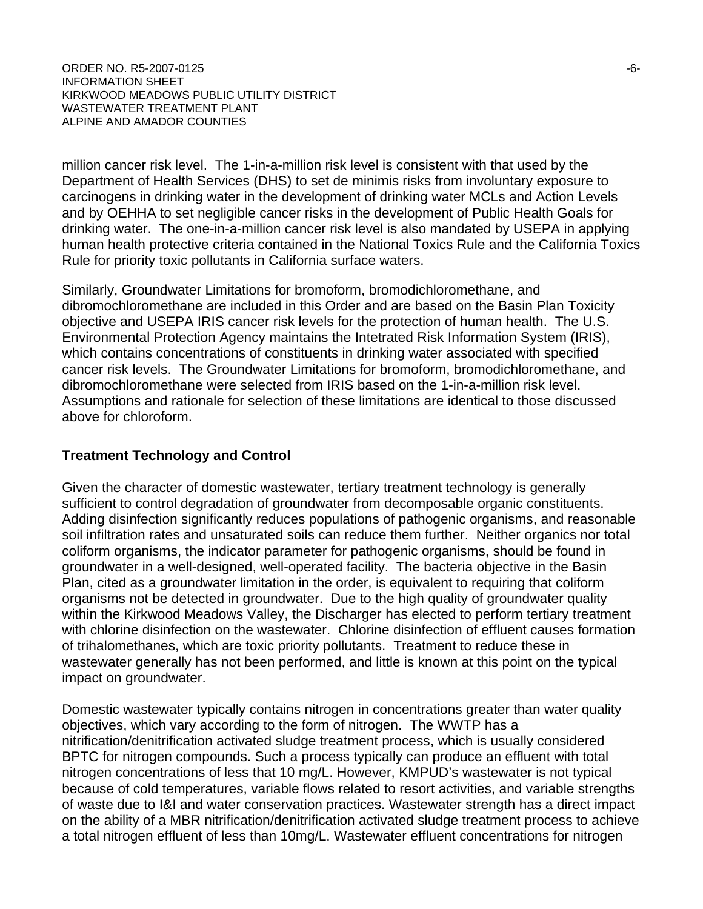ORDER NO. R5-2007-0125 -6-INFORMATION SHEET KIRKWOOD MEADOWS PUBLIC UTILITY DISTRICT WASTEWATER TREATMENT PLANT ALPINE AND AMADOR COUNTIES

million cancer risk level. The 1-in-a-million risk level is consistent with that used by the Department of Health Services (DHS) to set de minimis risks from involuntary exposure to carcinogens in drinking water in the development of drinking water MCLs and Action Levels and by OEHHA to set negligible cancer risks in the development of Public Health Goals for drinking water. The one-in-a-million cancer risk level is also mandated by USEPA in applying human health protective criteria contained in the National Toxics Rule and the California Toxics Rule for priority toxic pollutants in California surface waters.

Similarly, Groundwater Limitations for bromoform, bromodichloromethane, and dibromochloromethane are included in this Order and are based on the Basin Plan Toxicity objective and USEPA IRIS cancer risk levels for the protection of human health. The U.S. Environmental Protection Agency maintains the Intetrated Risk Information System (IRIS), which contains concentrations of constituents in drinking water associated with specified cancer risk levels. The Groundwater Limitations for bromoform, bromodichloromethane, and dibromochloromethane were selected from IRIS based on the 1-in-a-million risk level. Assumptions and rationale for selection of these limitations are identical to those discussed above for chloroform.

#### **Treatment Technology and Control**

Given the character of domestic wastewater, tertiary treatment technology is generally sufficient to control degradation of groundwater from decomposable organic constituents. Adding disinfection significantly reduces populations of pathogenic organisms, and reasonable soil infiltration rates and unsaturated soils can reduce them further. Neither organics nor total coliform organisms, the indicator parameter for pathogenic organisms, should be found in groundwater in a well-designed, well-operated facility. The bacteria objective in the Basin Plan, cited as a groundwater limitation in the order, is equivalent to requiring that coliform organisms not be detected in groundwater. Due to the high quality of groundwater quality within the Kirkwood Meadows Valley, the Discharger has elected to perform tertiary treatment with chlorine disinfection on the wastewater. Chlorine disinfection of effluent causes formation of trihalomethanes, which are toxic priority pollutants. Treatment to reduce these in wastewater generally has not been performed, and little is known at this point on the typical impact on groundwater.

Domestic wastewater typically contains nitrogen in concentrations greater than water quality objectives, which vary according to the form of nitrogen. The WWTP has a nitrification/denitrification activated sludge treatment process, which is usually considered BPTC for nitrogen compounds. Such a process typically can produce an effluent with total nitrogen concentrations of less that 10 mg/L. However, KMPUD's wastewater is not typical because of cold temperatures, variable flows related to resort activities, and variable strengths of waste due to I&I and water conservation practices. Wastewater strength has a direct impact on the ability of a MBR nitrification/denitrification activated sludge treatment process to achieve a total nitrogen effluent of less than 10mg/L. Wastewater effluent concentrations for nitrogen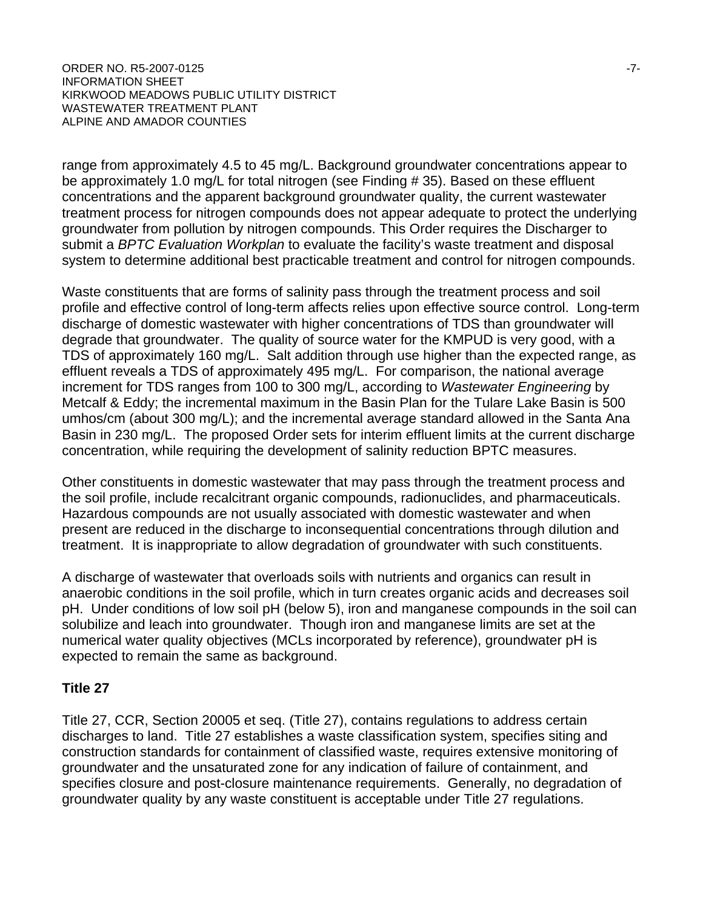ORDER NO. R5-2007-0125 -7-INFORMATION SHEET KIRKWOOD MEADOWS PUBLIC UTILITY DISTRICT WASTEWATER TREATMENT PLANT ALPINE AND AMADOR COUNTIES

range from approximately 4.5 to 45 mg/L. Background groundwater concentrations appear to be approximately 1.0 mg/L for total nitrogen (see Finding # 35). Based on these effluent concentrations and the apparent background groundwater quality, the current wastewater treatment process for nitrogen compounds does not appear adequate to protect the underlying groundwater from pollution by nitrogen compounds. This Order requires the Discharger to submit a *BPTC Evaluation Workplan* to evaluate the facility's waste treatment and disposal system to determine additional best practicable treatment and control for nitrogen compounds.

Waste constituents that are forms of salinity pass through the treatment process and soil profile and effective control of long-term affects relies upon effective source control. Long-term discharge of domestic wastewater with higher concentrations of TDS than groundwater will degrade that groundwater. The quality of source water for the KMPUD is very good, with a TDS of approximately 160 mg/L. Salt addition through use higher than the expected range, as effluent reveals a TDS of approximately 495 mg/L. For comparison, the national average increment for TDS ranges from 100 to 300 mg/L, according to *Wastewater Engineering* by Metcalf & Eddy; the incremental maximum in the Basin Plan for the Tulare Lake Basin is 500 umhos/cm (about 300 mg/L); and the incremental average standard allowed in the Santa Ana Basin in 230 mg/L. The proposed Order sets for interim effluent limits at the current discharge concentration, while requiring the development of salinity reduction BPTC measures.

Other constituents in domestic wastewater that may pass through the treatment process and the soil profile, include recalcitrant organic compounds, radionuclides, and pharmaceuticals. Hazardous compounds are not usually associated with domestic wastewater and when present are reduced in the discharge to inconsequential concentrations through dilution and treatment. It is inappropriate to allow degradation of groundwater with such constituents.

A discharge of wastewater that overloads soils with nutrients and organics can result in anaerobic conditions in the soil profile, which in turn creates organic acids and decreases soil pH. Under conditions of low soil pH (below 5), iron and manganese compounds in the soil can solubilize and leach into groundwater. Though iron and manganese limits are set at the numerical water quality objectives (MCLs incorporated by reference), groundwater pH is expected to remain the same as background.

### **Title 27**

Title 27, CCR, Section 20005 et seq. (Title 27), contains regulations to address certain discharges to land. Title 27 establishes a waste classification system, specifies siting and construction standards for containment of classified waste, requires extensive monitoring of groundwater and the unsaturated zone for any indication of failure of containment, and specifies closure and post-closure maintenance requirements. Generally, no degradation of groundwater quality by any waste constituent is acceptable under Title 27 regulations.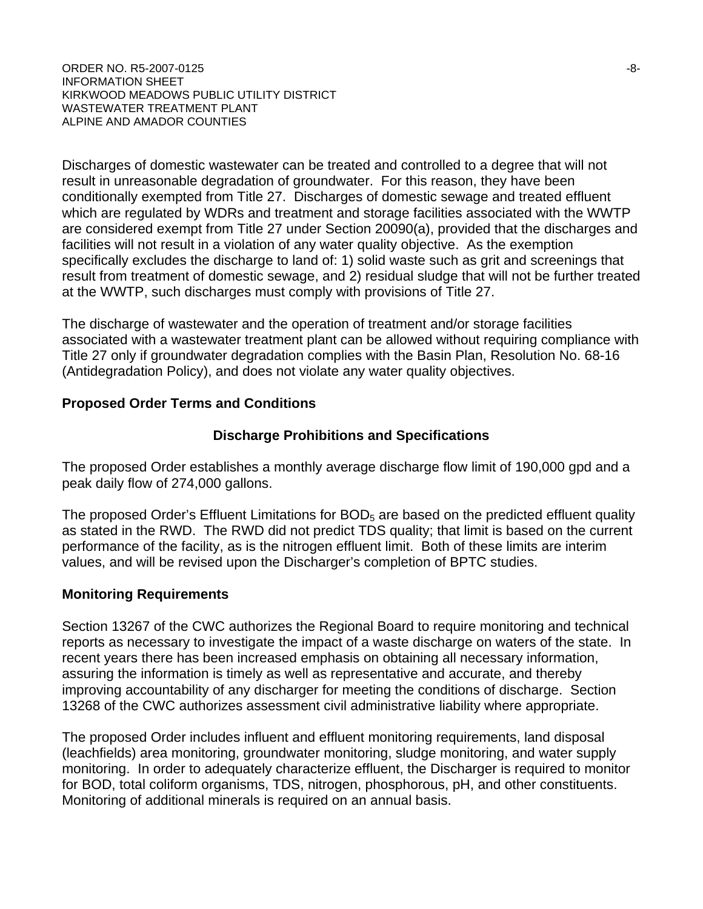#### $ORDER NO. R5-2007-0125$   $-8-$ INFORMATION SHEET KIRKWOOD MEADOWS PUBLIC UTILITY DISTRICT WASTEWATER TREATMENT PLANT ALPINE AND AMADOR COUNTIES

Discharges of domestic wastewater can be treated and controlled to a degree that will not result in unreasonable degradation of groundwater. For this reason, they have been conditionally exempted from Title 27. Discharges of domestic sewage and treated effluent which are regulated by WDRs and treatment and storage facilities associated with the WWTP are considered exempt from Title 27 under Section 20090(a), provided that the discharges and facilities will not result in a violation of any water quality objective. As the exemption specifically excludes the discharge to land of: 1) solid waste such as grit and screenings that result from treatment of domestic sewage, and 2) residual sludge that will not be further treated at the WWTP, such discharges must comply with provisions of Title 27.

The discharge of wastewater and the operation of treatment and/or storage facilities associated with a wastewater treatment plant can be allowed without requiring compliance with Title 27 only if groundwater degradation complies with the Basin Plan, Resolution No. 68-16 (Antidegradation Policy), and does not violate any water quality objectives.

### **Proposed Order Terms and Conditions**

### **Discharge Prohibitions and Specifications**

The proposed Order establishes a monthly average discharge flow limit of 190,000 gpd and a peak daily flow of 274,000 gallons.

The proposed Order's Effluent Limitations for  $BOD<sub>5</sub>$  are based on the predicted effluent quality as stated in the RWD. The RWD did not predict TDS quality; that limit is based on the current performance of the facility, as is the nitrogen effluent limit. Both of these limits are interim values, and will be revised upon the Discharger's completion of BPTC studies.

### **Monitoring Requirements**

Section 13267 of the CWC authorizes the Regional Board to require monitoring and technical reports as necessary to investigate the impact of a waste discharge on waters of the state. In recent years there has been increased emphasis on obtaining all necessary information, assuring the information is timely as well as representative and accurate, and thereby improving accountability of any discharger for meeting the conditions of discharge. Section 13268 of the CWC authorizes assessment civil administrative liability where appropriate.

The proposed Order includes influent and effluent monitoring requirements, land disposal (leachfields) area monitoring, groundwater monitoring, sludge monitoring, and water supply monitoring. In order to adequately characterize effluent, the Discharger is required to monitor for BOD, total coliform organisms, TDS, nitrogen, phosphorous, pH, and other constituents. Monitoring of additional minerals is required on an annual basis.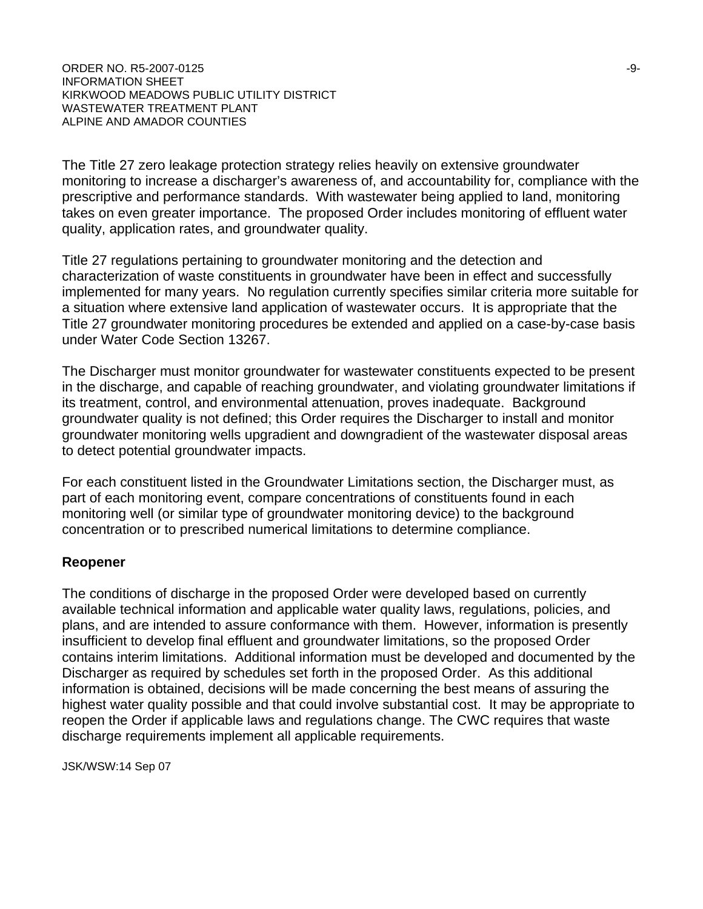#### ORDER NO. R5-2007-0125 -9- INFORMATION SHEET KIRKWOOD MEADOWS PUBLIC UTILITY DISTRICT WASTEWATER TREATMENT PLANT ALPINE AND AMADOR COUNTIES

The Title 27 zero leakage protection strategy relies heavily on extensive groundwater monitoring to increase a discharger's awareness of, and accountability for, compliance with the prescriptive and performance standards. With wastewater being applied to land, monitoring takes on even greater importance. The proposed Order includes monitoring of effluent water quality, application rates, and groundwater quality.

Title 27 regulations pertaining to groundwater monitoring and the detection and characterization of waste constituents in groundwater have been in effect and successfully implemented for many years. No regulation currently specifies similar criteria more suitable for a situation where extensive land application of wastewater occurs. It is appropriate that the Title 27 groundwater monitoring procedures be extended and applied on a case-by-case basis under Water Code Section 13267.

The Discharger must monitor groundwater for wastewater constituents expected to be present in the discharge, and capable of reaching groundwater, and violating groundwater limitations if its treatment, control, and environmental attenuation, proves inadequate. Background groundwater quality is not defined; this Order requires the Discharger to install and monitor groundwater monitoring wells upgradient and downgradient of the wastewater disposal areas to detect potential groundwater impacts.

For each constituent listed in the Groundwater Limitations section, the Discharger must, as part of each monitoring event, compare concentrations of constituents found in each monitoring well (or similar type of groundwater monitoring device) to the background concentration or to prescribed numerical limitations to determine compliance.

### **Reopener**

The conditions of discharge in the proposed Order were developed based on currently available technical information and applicable water quality laws, regulations, policies, and plans, and are intended to assure conformance with them. However, information is presently insufficient to develop final effluent and groundwater limitations, so the proposed Order contains interim limitations. Additional information must be developed and documented by the Discharger as required by schedules set forth in the proposed Order. As this additional information is obtained, decisions will be made concerning the best means of assuring the highest water quality possible and that could involve substantial cost. It may be appropriate to reopen the Order if applicable laws and regulations change. The CWC requires that waste discharge requirements implement all applicable requirements.

JSK/WSW:14 Sep 07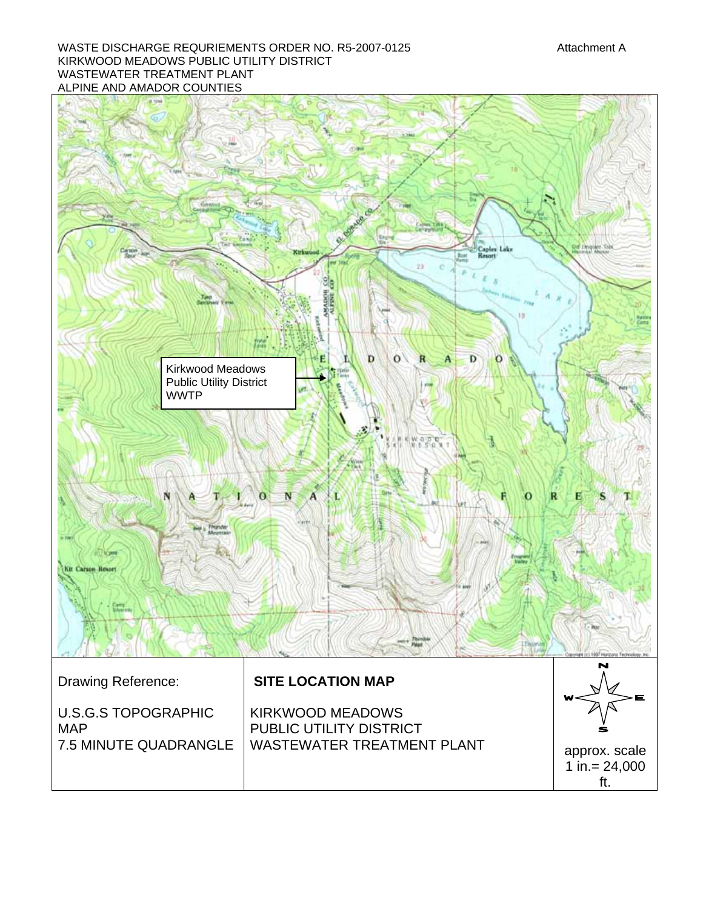#### WASTE DISCHARGE REQURIEMENTS ORDER NO. R5-2007-0125 Attachment A KIRKWOOD MEADOWS PUBLIC UTILITY DISTRICT WASTEWATER TREATMENT PLANT ALPINE AND AMADOR COUNTIES

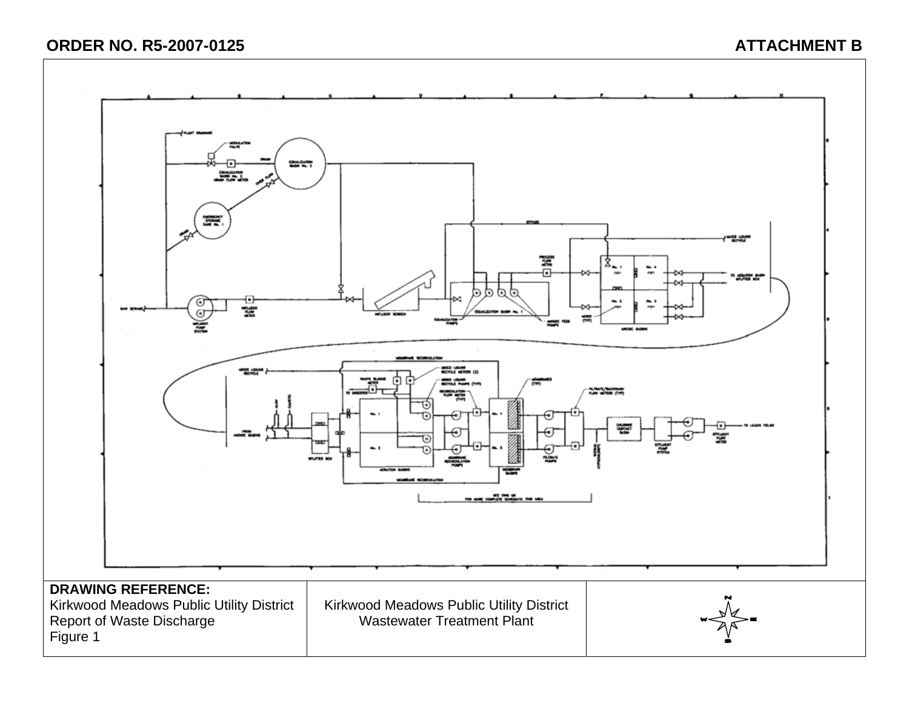# **ORDER NO. R5-2007-0125 ATTACHMENT B**

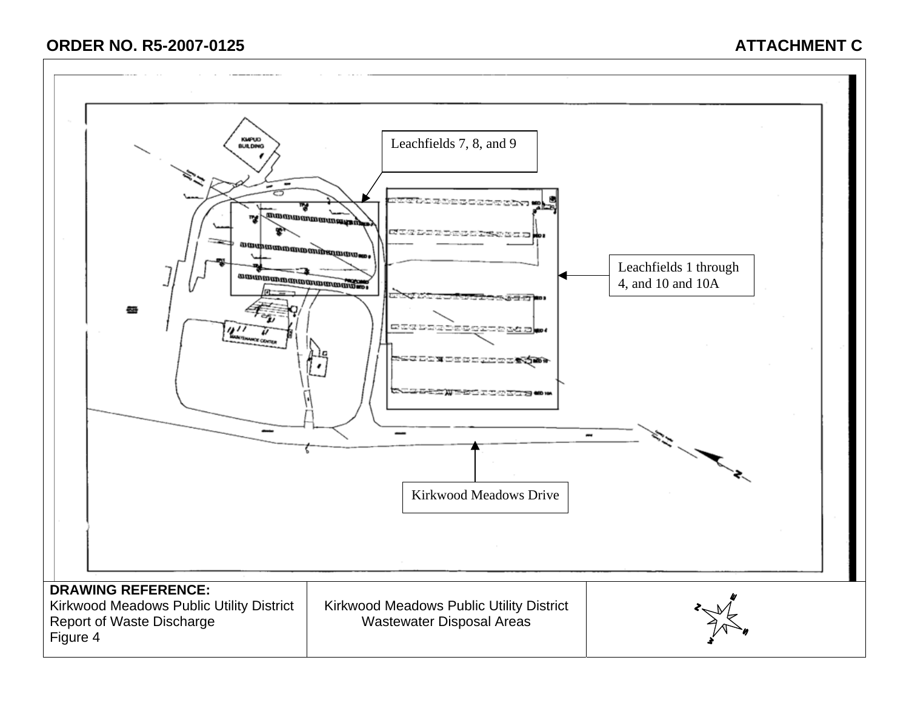# **ORDER NO. R5-2007-0125 ATTACHMENT C**

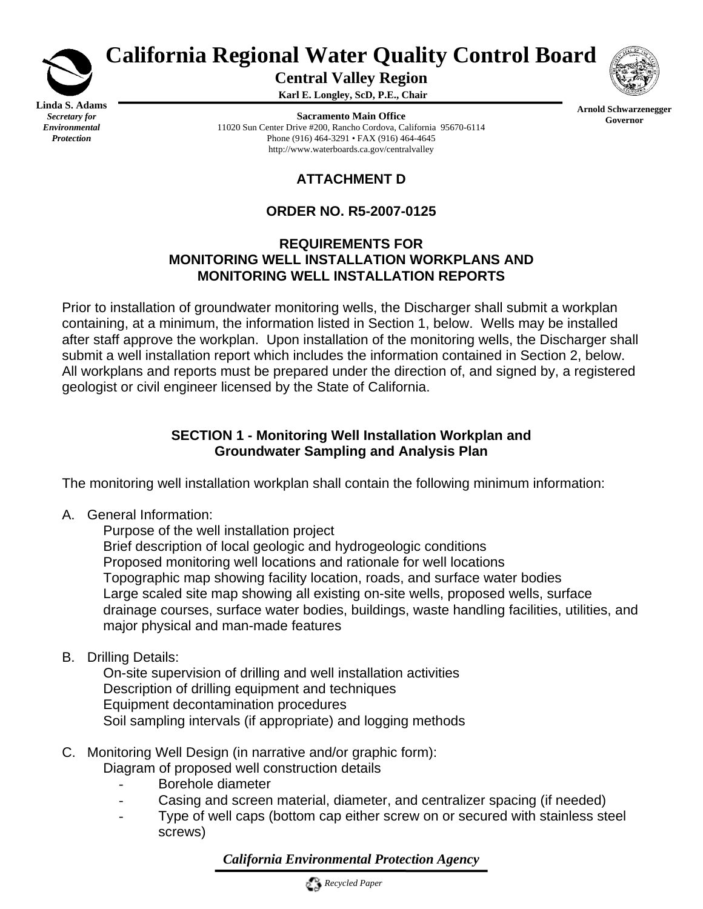

*Protection*

# **California Regional Water Quality Control Board**

**Central Valley Region** 

**Karl E. Longley, ScD, P.E., Chair** 

**Sacramento Main Office** 11020 Sun Center Drive #200, Rancho Cordova, California 95670-6114 Phone (916) 464-3291 • FAX (916) 464-4645 http://www.waterboards.ca.gov/centralvalley



**Arnold Schwarzenegger** 

**Governor**

# **ATTACHMENT D**

# **ORDER NO. R5-2007-0125**

# **REQUIREMENTS FOR MONITORING WELL INSTALLATION WORKPLANS AND MONITORING WELL INSTALLATION REPORTS**

Prior to installation of groundwater monitoring wells, the Discharger shall submit a workplan containing, at a minimum, the information listed in Section 1, below. Wells may be installed after staff approve the workplan. Upon installation of the monitoring wells, the Discharger shall submit a well installation report which includes the information contained in Section 2, below. All workplans and reports must be prepared under the direction of, and signed by, a registered geologist or civil engineer licensed by the State of California.

# **SECTION 1 - Monitoring Well Installation Workplan and Groundwater Sampling and Analysis Plan**

The monitoring well installation workplan shall contain the following minimum information:

A. General Information:

 Purpose of the well installation project Brief description of local geologic and hydrogeologic conditions Proposed monitoring well locations and rationale for well locations Topographic map showing facility location, roads, and surface water bodies Large scaled site map showing all existing on-site wells, proposed wells, surface drainage courses, surface water bodies, buildings, waste handling facilities, utilities, and major physical and man-made features

B. Drilling Details:

 On-site supervision of drilling and well installation activities Description of drilling equipment and techniques Equipment decontamination procedures Soil sampling intervals (if appropriate) and logging methods

- C. Monitoring Well Design (in narrative and/or graphic form): Diagram of proposed well construction details
	- Borehole diameter
	- Casing and screen material, diameter, and centralizer spacing (if needed)
	- Type of well caps (bottom cap either screw on or secured with stainless steel screws)

*California Environmental Protection Agency*

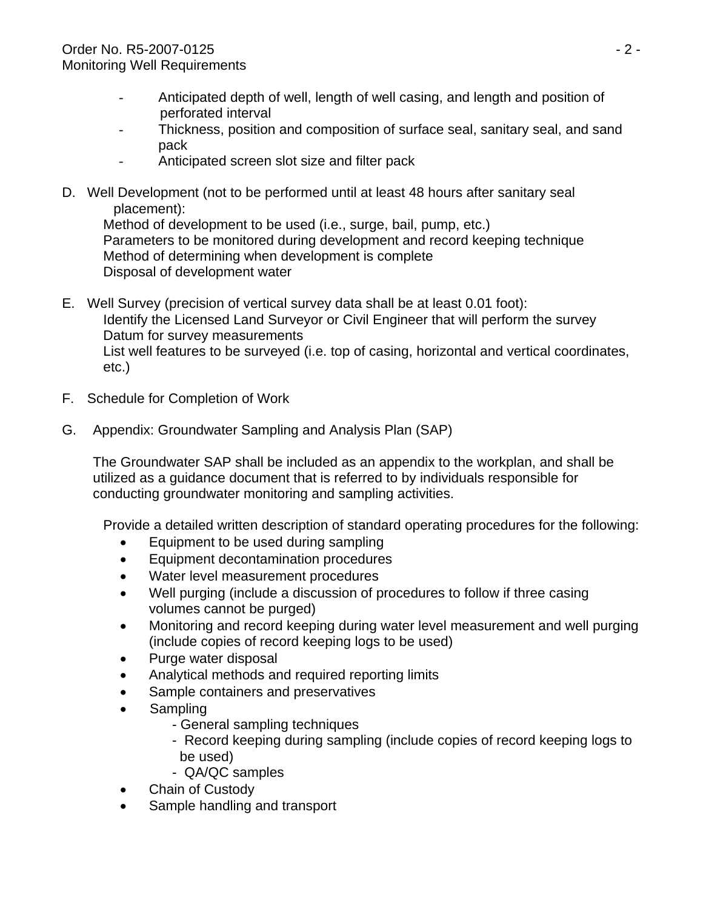- Anticipated depth of well, length of well casing, and length and position of perforated interval
- Thickness, position and composition of surface seal, sanitary seal, and sand pack
- Anticipated screen slot size and filter pack
- D. Well Development (not to be performed until at least 48 hours after sanitary seal placement):

 Method of development to be used (i.e., surge, bail, pump, etc.) Parameters to be monitored during development and record keeping technique Method of determining when development is complete Disposal of development water

- E. Well Survey (precision of vertical survey data shall be at least 0.01 foot): Identify the Licensed Land Surveyor or Civil Engineer that will perform the survey Datum for survey measurements List well features to be surveyed (i.e. top of casing, horizontal and vertical coordinates, etc.)
- F. Schedule for Completion of Work
- G. Appendix: Groundwater Sampling and Analysis Plan (SAP)

 The Groundwater SAP shall be included as an appendix to the workplan, and shall be utilized as a guidance document that is referred to by individuals responsible for conducting groundwater monitoring and sampling activities.

Provide a detailed written description of standard operating procedures for the following:

- Equipment to be used during sampling
- Equipment decontamination procedures
- Water level measurement procedures
- Well purging (include a discussion of procedures to follow if three casing volumes cannot be purged)
- Monitoring and record keeping during water level measurement and well purging (include copies of record keeping logs to be used)
- Purge water disposal
- Analytical methods and required reporting limits
- Sample containers and preservatives
- Sampling
	- General sampling techniques
	- Record keeping during sampling (include copies of record keeping logs to be used)
	- QA/QC samples
- Chain of Custody
- Sample handling and transport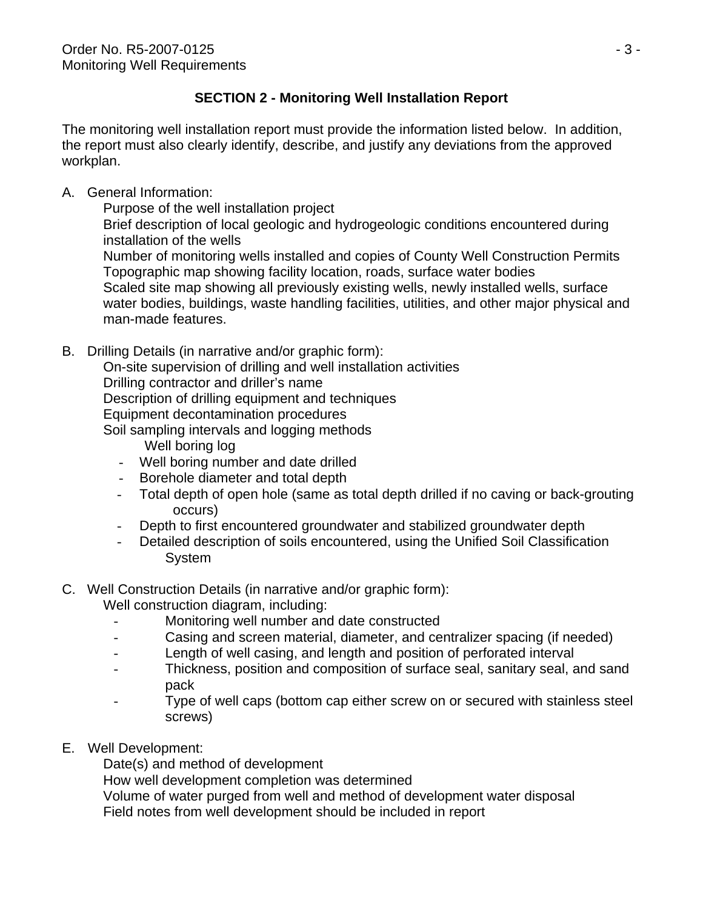# **SECTION 2 - Monitoring Well Installation Report**

The monitoring well installation report must provide the information listed below. In addition, the report must also clearly identify, describe, and justify any deviations from the approved workplan.

A. General Information:

 Purpose of the well installation project Brief description of local geologic and hydrogeologic conditions encountered during installation of the wells Number of monitoring wells installed and copies of County Well Construction Permits Topographic map showing facility location, roads, surface water bodies Scaled site map showing all previously existing wells, newly installed wells, surface water bodies, buildings, waste handling facilities, utilities, and other major physical and man-made features.

B. Drilling Details (in narrative and/or graphic form):

 On-site supervision of drilling and well installation activities Drilling contractor and driller's name Description of drilling equipment and techniques Equipment decontamination procedures Soil sampling intervals and logging methods

- Well boring log
- Well boring number and date drilled
- Borehole diameter and total depth
- Total depth of open hole (same as total depth drilled if no caving or back-grouting occurs)
- Depth to first encountered groundwater and stabilized groundwater depth
- Detailed description of soils encountered, using the Unified Soil Classification System
- C. Well Construction Details (in narrative and/or graphic form):
	- Well construction diagram, including:
		- Monitoring well number and date constructed
		- Casing and screen material, diameter, and centralizer spacing (if needed)
		- Length of well casing, and length and position of perforated interval
		- Thickness, position and composition of surface seal, sanitary seal, and sand pack
		- Type of well caps (bottom cap either screw on or secured with stainless steel screws)
- E. Well Development:

Date(s) and method of development

How well development completion was determined

 Volume of water purged from well and method of development water disposal Field notes from well development should be included in report